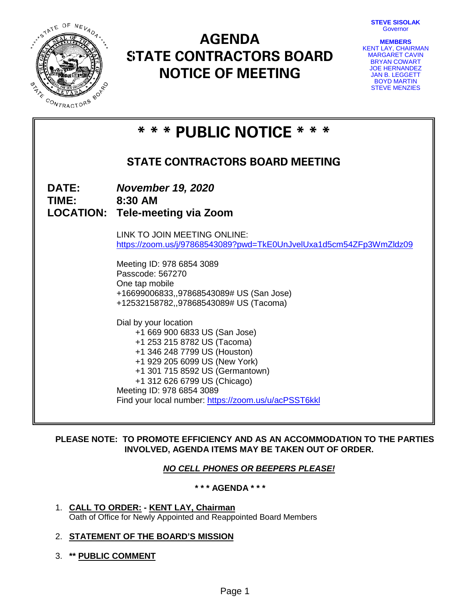**STEVE SISOLAK Governor** 



# **AGENDA STATE CONTRACTORS BOARD NOTICE OF MEETING**



|                     | * * * PUBLIC NOTICE * * *                                                                                                                                                                                                                                                                                      |  |  |  |  |
|---------------------|----------------------------------------------------------------------------------------------------------------------------------------------------------------------------------------------------------------------------------------------------------------------------------------------------------------|--|--|--|--|
|                     | <b>STATE CONTRACTORS BOARD MEETING</b>                                                                                                                                                                                                                                                                         |  |  |  |  |
| DATE:<br>TIME: TIME | <b>November 19, 2020</b><br>$8:30$ AM<br><b>LOCATION: Tele-meeting via Zoom</b>                                                                                                                                                                                                                                |  |  |  |  |
|                     | LINK TO JOIN MEETING ONLINE:<br>https://zoom.us/j/97868543089?pwd=TkE0UnJvelUxa1d5cm54ZFp3WmZldz09                                                                                                                                                                                                             |  |  |  |  |
|                     | Meeting ID: 978 6854 3089<br>Passcode: 567270<br>One tap mobile<br>+16699006833,,97868543089# US (San Jose)<br>+12532158782,,97868543089# US (Tacoma)                                                                                                                                                          |  |  |  |  |
|                     | Dial by your location<br>+1 669 900 6833 US (San Jose)<br>+1 253 215 8782 US (Tacoma)<br>+1 346 248 7799 US (Houston)<br>+1 929 205 6099 US (New York)<br>+1 301 715 8592 US (Germantown)<br>+1 312 626 6799 US (Chicago)<br>Meeting ID: 978 6854 3089<br>Find your local number: https://zoom.us/u/acPSST6kkl |  |  |  |  |

## **PLEASE NOTE: TO PROMOTE EFFICIENCY AND AS AN ACCOMMODATION TO THE PARTIES INVOLVED, AGENDA ITEMS MAY BE TAKEN OUT OF ORDER.**

## *NO CELL PHONES OR BEEPERS PLEASE!*

## **\* \* \* AGENDA \* \* \***

1. **CALL TO ORDER: - KENT LAY, Chairman** Oath of Office for Newly Appointed and Reappointed Board Members

## 2. **STATEMENT OF THE BOARD'S MISSION**

3. **\*\* PUBLIC COMMENT**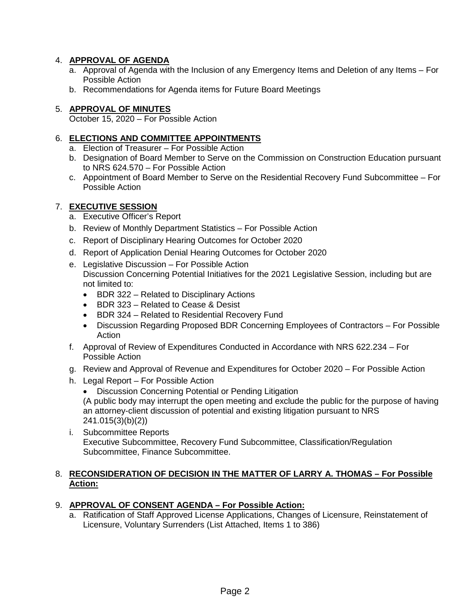## 4. **APPROVAL OF AGENDA**

- a. Approval of Agenda with the Inclusion of any Emergency Items and Deletion of any Items For Possible Action
- b. Recommendations for Agenda items for Future Board Meetings

## 5. **APPROVAL OF MINUTES**

October 15, 2020 – For Possible Action

## 6. **ELECTIONS AND COMMITTEE APPOINTMENTS**

- a. Election of Treasurer For Possible Action
- b. Designation of Board Member to Serve on the Commission on Construction Education pursuant to NRS 624.570 – For Possible Action
- c. Appointment of Board Member to Serve on the Residential Recovery Fund Subcommittee For Possible Action

## 7. **EXECUTIVE SESSION**

- a. Executive Officer's Report
- b. Review of Monthly Department Statistics For Possible Action
- c. Report of Disciplinary Hearing Outcomes for October 2020
- d. Report of Application Denial Hearing Outcomes for October 2020
- e. Legislative Discussion For Possible Action
	- Discussion Concerning Potential Initiatives for the 2021 Legislative Session, including but are not limited to:
		- BDR 322 Related to Disciplinary Actions
		- BDR 323 Related to Cease & Desist
		- BDR 324 Related to Residential Recovery Fund
		- Discussion Regarding Proposed BDR Concerning Employees of Contractors For Possible Action
- f. Approval of Review of Expenditures Conducted in Accordance with NRS 622.234 For Possible Action
- g. Review and Approval of Revenue and Expenditures for October 2020 For Possible Action
- h. Legal Report For Possible Action
	- Discussion Concerning Potential or Pending Litigation

(A public body may interrupt the open meeting and exclude the public for the purpose of having an attorney-client discussion of potential and existing litigation pursuant to NRS 241.015(3)(b)(2))

i. Subcommittee Reports Executive Subcommittee, Recovery Fund Subcommittee, Classification/Regulation Subcommittee, Finance Subcommittee.

## 8. **RECONSIDERATION OF DECISION IN THE MATTER OF LARRY A. THOMAS – For Possible Action:**

## 9. **APPROVAL OF CONSENT AGENDA – For Possible Action:**

a. Ratification of Staff Approved License Applications, Changes of Licensure, Reinstatement of Licensure, Voluntary Surrenders (List Attached, Items 1 to 386)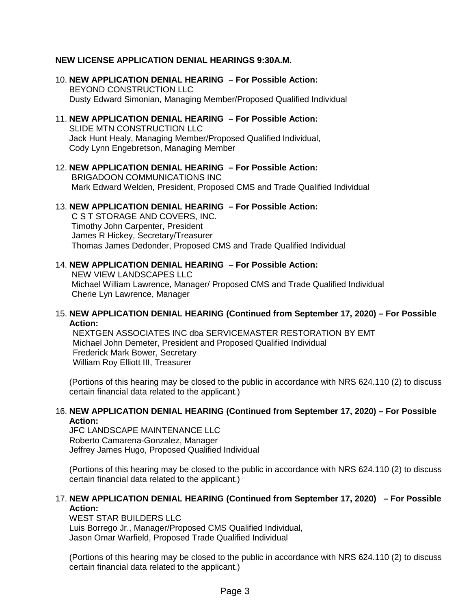## **NEW LICENSE APPLICATION DENIAL HEARINGS 9:30A.M.**

- 10. **NEW APPLICATION DENIAL HEARING – For Possible Action:** BEYOND CONSTRUCTION LLC Dusty Edward Simonian, Managing Member/Proposed Qualified Individual
- 11. **NEW APPLICATION DENIAL HEARING – For Possible Action:** SLIDE MTN CONSTRUCTION LLC Jack Hunt Healy, Managing Member/Proposed Qualified Individual, Cody Lynn Engebretson, Managing Member
- 12. **NEW APPLICATION DENIAL HEARING – For Possible Action:** BRIGADOON COMMUNICATIONS INC Mark Edward Welden, President, Proposed CMS and Trade Qualified Individual

## 13. **NEW APPLICATION DENIAL HEARING – For Possible Action:**

C S T STORAGE AND COVERS, INC. Timothy John Carpenter, President James R Hickey, Secretary/Treasurer Thomas James Dedonder, Proposed CMS and Trade Qualified Individual

## 14. **NEW APPLICATION DENIAL HEARING – For Possible Action:**

NEW VIEW LANDSCAPES LLC Michael William Lawrence, Manager/ Proposed CMS and Trade Qualified Individual Cherie Lyn Lawrence, Manager

## 15. **NEW APPLICATION DENIAL HEARING (Continued from September 17, 2020) – For Possible Action:**

NEXTGEN ASSOCIATES INC dba SERVICEMASTER RESTORATION BY EMT Michael John Demeter, President and Proposed Qualified Individual Frederick Mark Bower, Secretary William Roy Elliott III, Treasurer

(Portions of this hearing may be closed to the public in accordance with NRS 624.110 (2) to discuss certain financial data related to the applicant.)

## 16. **NEW APPLICATION DENIAL HEARING (Continued from September 17, 2020) – For Possible Action:**

JFC LANDSCAPE MAINTENANCE LLC Roberto Camarena-Gonzalez, Manager Jeffrey James Hugo, Proposed Qualified Individual

(Portions of this hearing may be closed to the public in accordance with NRS 624.110 (2) to discuss certain financial data related to the applicant.)

## 17. **NEW APPLICATION DENIAL HEARING (Continued from September 17, 2020) – For Possible Action:**

WEST STAR BUILDERS LLC Luis Borrego Jr., Manager/Proposed CMS Qualified Individual, Jason Omar Warfield, Proposed Trade Qualified Individual

(Portions of this hearing may be closed to the public in accordance with NRS 624.110 (2) to discuss certain financial data related to the applicant.)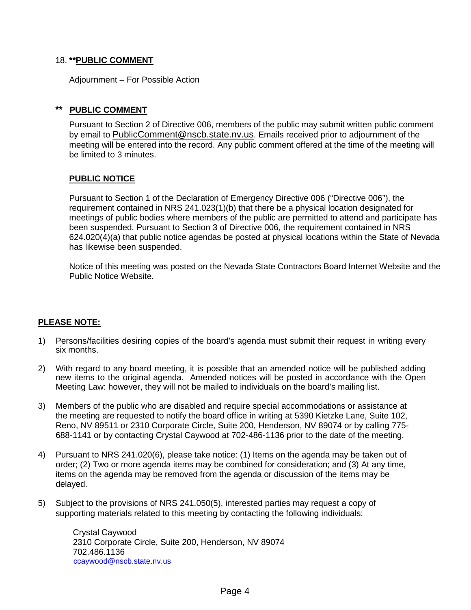## 18. **\*\*PUBLIC COMMENT**

Adjournment – For Possible Action

## **\*\* PUBLIC COMMENT**

Pursuant to Section 2 of Directive 006, members of the public may submit written public comment by email to **PublicComment@nscb.state.nv.us**. Emails received prior to adjournment of the meeting will be entered into the record. Any public comment offered at the time of the meeting will be limited to 3 minutes.

## **PUBLIC NOTICE**

Pursuant to Section 1 of the Declaration of Emergency Directive 006 ("Directive 006"), the requirement contained in NRS 241.023(1)(b) that there be a physical location designated for meetings of public bodies where members of the public are permitted to attend and participate has been suspended. Pursuant to Section 3 of Directive 006, the requirement contained in NRS 624.020(4)(a) that public notice agendas be posted at physical locations within the State of Nevada has likewise been suspended.

Notice of this meeting was posted on the Nevada State Contractors Board Internet Website and the Public Notice Website.

## **PLEASE NOTE:**

- 1) Persons/facilities desiring copies of the board's agenda must submit their request in writing every six months.
- 2) With regard to any board meeting, it is possible that an amended notice will be published adding new items to the original agenda. Amended notices will be posted in accordance with the Open Meeting Law: however, they will not be mailed to individuals on the board's mailing list.
- 3) Members of the public who are disabled and require special accommodations or assistance at the meeting are requested to notify the board office in writing at 5390 Kietzke Lane, Suite 102, Reno, NV 89511 or 2310 Corporate Circle, Suite 200, Henderson, NV 89074 or by calling 775- 688-1141 or by contacting Crystal Caywood at 702-486-1136 prior to the date of the meeting.
- 4) Pursuant to NRS 241.020(6), please take notice: (1) Items on the agenda may be taken out of order; (2) Two or more agenda items may be combined for consideration; and (3) At any time, items on the agenda may be removed from the agenda or discussion of the items may be delayed.
- 5) Subject to the provisions of NRS 241.050(5), interested parties may request a copy of supporting materials related to this meeting by contacting the following individuals:

Crystal Caywood 2310 Corporate Circle, Suite 200, Henderson, NV 89074 702.486.1136 [ccaywood@nscb.state.nv.us](mailto:ccaywood@nscb.state.nv.us)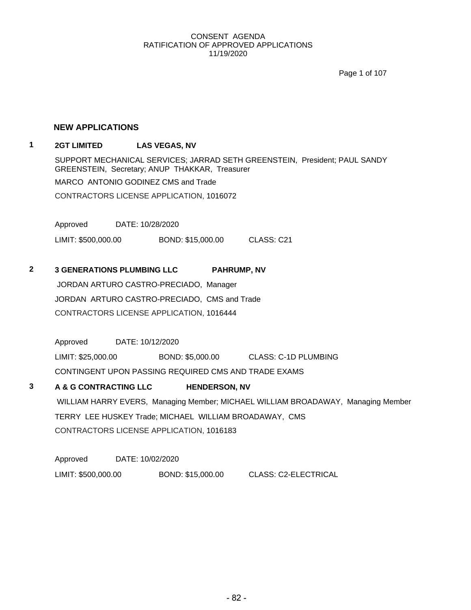Page 1 of 107

#### **NEW APPLICATIONS**

## **1 2GT LIMITED LAS VEGAS, NV**

SUPPORT MECHANICAL SERVICES; JARRAD SETH GREENSTEIN, President; PAUL SANDY GREENSTEIN, Secretary; ANUP THAKKAR, Treasurer MARCO ANTONIO GODINEZ CMS and Trade CONTRACTORS LICENSE APPLICATION, 1016072

Approved DATE: 10/28/2020

LIMIT: \$500,000.00 BOND: \$15,000.00 CLASS: C21

#### **2 3 GENERATIONS PLUMBING LLC PAHRUMP, NV**

 JORDAN ARTURO CASTRO-PRECIADO, Manager JORDAN ARTURO CASTRO-PRECIADO, CMS and Trade CONTRACTORS LICENSE APPLICATION, 1016444

Approved DATE: 10/12/2020

LIMIT: \$25,000.00 BOND: \$5,000.00 CLASS: C-1D PLUMBING CONTINGENT UPON PASSING REQUIRED CMS AND TRADE EXAMS

## **3 A & G CONTRACTING LLC HENDERSON, NV**

 WILLIAM HARRY EVERS, Managing Member; MICHAEL WILLIAM BROADAWAY, Managing Member TERRY LEE HUSKEY Trade; MICHAEL WILLIAM BROADAWAY, CMS CONTRACTORS LICENSE APPLICATION, 1016183

Approved DATE: 10/02/2020 LIMIT: \$500,000.00 BOND: \$15,000.00 CLASS: C2-ELECTRICAL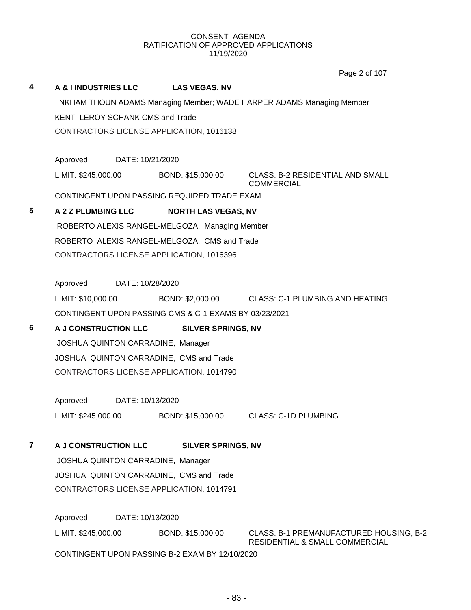Page 2 of 107

#### **4 A & I INDUSTRIES LLC LAS VEGAS, NV**

 INKHAM THOUN ADAMS Managing Member; WADE HARPER ADAMS Managing Member KENT LEROY SCHANK CMS and Trade

CONTRACTORS LICENSE APPLICATION, 1016138

Approved DATE: 10/21/2020

LIMIT: \$245,000.00 BOND: \$15,000.00 CLASS: B-2 RESIDENTIAL AND SMALL **COMMERCIAL** 

CONTINGENT UPON PASSING REQUIRED TRADE EXAM

## **5 A 2 Z PLUMBING LLC NORTH LAS VEGAS, NV**

 ROBERTO ALEXIS RANGEL-MELGOZA, Managing Member ROBERTO ALEXIS RANGEL-MELGOZA, CMS and Trade CONTRACTORS LICENSE APPLICATION, 1016396

Approved DATE: 10/28/2020

LIMIT: \$10,000.00 BOND: \$2,000.00 CLASS: C-1 PLUMBING AND HEATING CONTINGENT UPON PASSING CMS & C-1 EXAMS BY 03/23/2021

## **6 A J CONSTRUCTION LLC SILVER SPRINGS, NV**

 JOSHUA QUINTON CARRADINE, Manager JOSHUA QUINTON CARRADINE, CMS and Trade CONTRACTORS LICENSE APPLICATION, 1014790

Approved DATE: 10/13/2020 LIMIT: \$245,000.00 BOND: \$15,000.00 CLASS: C-1D PLUMBING

**7 A J CONSTRUCTION LLC SILVER SPRINGS, NV**

 JOSHUA QUINTON CARRADINE, Manager JOSHUA QUINTON CARRADINE, CMS and Trade CONTRACTORS LICENSE APPLICATION, 1014791

Approved DATE: 10/13/2020 LIMIT: \$245,000.00 BOND: \$15,000.00 CLASS: B-1 PREMANUFACTURED HOUSING; B-2 RESIDENTIAL & SMALL COMMERCIAL CONTINGENT UPON PASSING B-2 EXAM BY 12/10/2020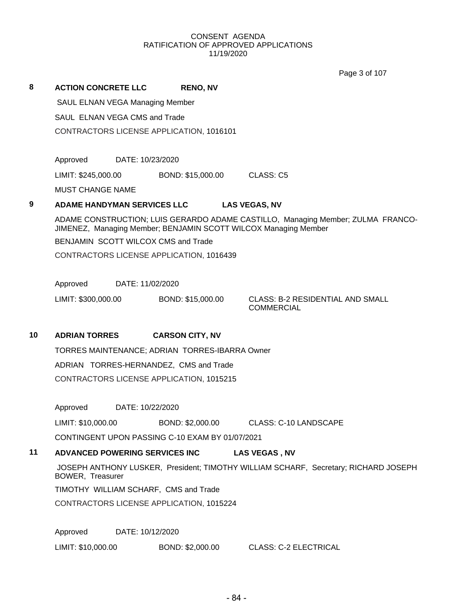Page 3 of 107

| 8  | <b>ACTION CONCRETE LLC</b>               |                  | <b>RENO, NV</b>                                 |                                                                                                                                                    |  |  |
|----|------------------------------------------|------------------|-------------------------------------------------|----------------------------------------------------------------------------------------------------------------------------------------------------|--|--|
|    | <b>SAUL ELNAN VEGA Managing Member</b>   |                  |                                                 |                                                                                                                                                    |  |  |
|    | SAUL ELNAN VEGA CMS and Trade            |                  |                                                 |                                                                                                                                                    |  |  |
|    |                                          |                  | CONTRACTORS LICENSE APPLICATION, 1016101        |                                                                                                                                                    |  |  |
|    |                                          |                  |                                                 |                                                                                                                                                    |  |  |
|    | Approved                                 | DATE: 10/23/2020 |                                                 |                                                                                                                                                    |  |  |
|    | LIMIT: \$245,000.00                      |                  | BOND: \$15,000.00                               | CLASS: C5                                                                                                                                          |  |  |
|    | <b>MUST CHANGE NAME</b>                  |                  |                                                 |                                                                                                                                                    |  |  |
| 9  | <b>ADAME HANDYMAN SERVICES LLC</b>       |                  |                                                 | <b>LAS VEGAS, NV</b>                                                                                                                               |  |  |
|    |                                          |                  |                                                 | ADAME CONSTRUCTION; LUIS GERARDO ADAME CASTILLO, Managing Member; ZULMA FRANCO-<br>JIMENEZ, Managing Member; BENJAMIN SCOTT WILCOX Managing Member |  |  |
|    | BENJAMIN SCOTT WILCOX CMS and Trade      |                  |                                                 |                                                                                                                                                    |  |  |
|    |                                          |                  | CONTRACTORS LICENSE APPLICATION, 1016439        |                                                                                                                                                    |  |  |
|    |                                          |                  |                                                 |                                                                                                                                                    |  |  |
|    | Approved                                 | DATE: 11/02/2020 |                                                 |                                                                                                                                                    |  |  |
|    | LIMIT: \$300,000.00                      |                  | BOND: \$15,000.00                               | <b>CLASS: B-2 RESIDENTIAL AND SMALL</b><br><b>COMMERCIAL</b>                                                                                       |  |  |
| 10 | <b>ADRIAN TORRES</b>                     |                  | <b>CARSON CITY, NV</b>                          |                                                                                                                                                    |  |  |
|    |                                          |                  | TORRES MAINTENANCE; ADRIAN TORRES-IBARRA Owner  |                                                                                                                                                    |  |  |
|    |                                          |                  | ADRIAN TORRES-HERNANDEZ, CMS and Trade          |                                                                                                                                                    |  |  |
|    |                                          |                  | CONTRACTORS LICENSE APPLICATION, 1015215        |                                                                                                                                                    |  |  |
|    |                                          |                  |                                                 |                                                                                                                                                    |  |  |
|    | Approved                                 | DATE: 10/22/2020 |                                                 |                                                                                                                                                    |  |  |
|    | LIMIT: \$10,000.00                       |                  | BOND: \$2,000.00                                | CLASS: C-10 LANDSCAPE                                                                                                                              |  |  |
|    |                                          |                  | CONTINGENT UPON PASSING C-10 EXAM BY 01/07/2021 |                                                                                                                                                    |  |  |
| 11 | <b>ADVANCED POWERING SERVICES INC</b>    |                  |                                                 | <b>LAS VEGAS, NV</b>                                                                                                                               |  |  |
|    | <b>BOWER, Treasurer</b>                  |                  |                                                 | JOSEPH ANTHONY LUSKER, President; TIMOTHY WILLIAM SCHARF, Secretary; RICHARD JOSEPH                                                                |  |  |
|    |                                          |                  | TIMOTHY WILLIAM SCHARF, CMS and Trade           |                                                                                                                                                    |  |  |
|    | CONTRACTORS LICENSE APPLICATION, 1015224 |                  |                                                 |                                                                                                                                                    |  |  |

Approved DATE: 10/12/2020

LIMIT: \$10,000.00 BOND: \$2,000.00 CLASS: C-2 ELECTRICAL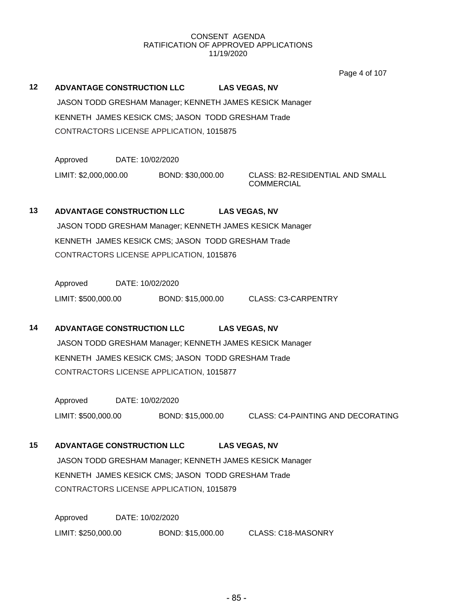Page 4 of 107

## **12 ADVANTAGE CONSTRUCTION LLC LAS VEGAS, NV** JASON TODD GRESHAM Manager; KENNETH JAMES KESICK Manager KENNETH JAMES KESICK CMS; JASON TODD GRESHAM Trade

CONTRACTORS LICENSE APPLICATION, 1015875

Approved DATE: 10/02/2020 LIMIT: \$2,000,000.00 BOND: \$30,000.00 CLASS: B2-RESIDENTIAL AND SMALL

**COMMERCIAL** 

## **13 ADVANTAGE CONSTRUCTION LLC LAS VEGAS, NV** JASON TODD GRESHAM Manager; KENNETH JAMES KESICK Manager KENNETH JAMES KESICK CMS; JASON TODD GRESHAM Trade CONTRACTORS LICENSE APPLICATION, 1015876

Approved DATE: 10/02/2020 LIMIT: \$500,000.00 BOND: \$15,000.00 CLASS: C3-CARPENTRY

## **14 ADVANTAGE CONSTRUCTION LLC LAS VEGAS, NV**

 JASON TODD GRESHAM Manager; KENNETH JAMES KESICK Manager KENNETH JAMES KESICK CMS; JASON TODD GRESHAM Trade CONTRACTORS LICENSE APPLICATION, 1015877

Approved DATE: 10/02/2020 LIMIT: \$500,000.00 BOND: \$15,000.00 CLASS: C4-PAINTING AND DECORATING

## **15 ADVANTAGE CONSTRUCTION LLC LAS VEGAS, NV**

 JASON TODD GRESHAM Manager; KENNETH JAMES KESICK Manager KENNETH JAMES KESICK CMS; JASON TODD GRESHAM Trade CONTRACTORS LICENSE APPLICATION, 1015879

Approved DATE: 10/02/2020 LIMIT: \$250,000.00 BOND: \$15,000.00 CLASS: C18-MASONRY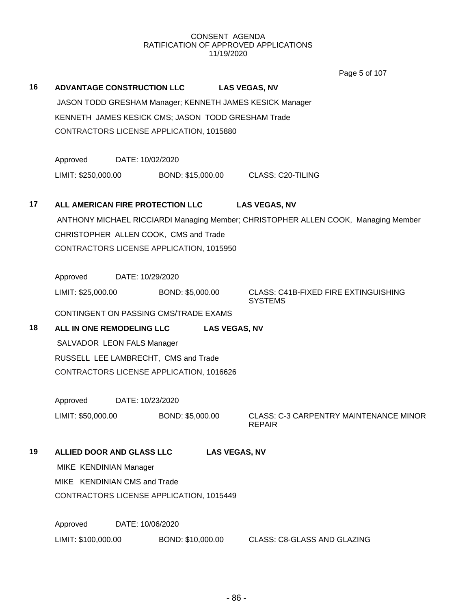|    |                                                          |                      | Page 5 of 107                                                                      |  |  |  |  |
|----|----------------------------------------------------------|----------------------|------------------------------------------------------------------------------------|--|--|--|--|
| 16 | <b>ADVANTAGE CONSTRUCTION LLC</b>                        |                      | <b>LAS VEGAS, NV</b>                                                               |  |  |  |  |
|    | JASON TODD GRESHAM Manager; KENNETH JAMES KESICK Manager |                      |                                                                                    |  |  |  |  |
|    | KENNETH JAMES KESICK CMS; JASON TODD GRESHAM Trade       |                      |                                                                                    |  |  |  |  |
|    | CONTRACTORS LICENSE APPLICATION, 1015880                 |                      |                                                                                    |  |  |  |  |
|    |                                                          |                      |                                                                                    |  |  |  |  |
|    | Approved<br>DATE: 10/02/2020                             |                      |                                                                                    |  |  |  |  |
|    | LIMIT: \$250,000.00                                      | BOND: \$15,000.00    | CLASS: C20-TILING                                                                  |  |  |  |  |
| 17 | ALL AMERICAN FIRE PROTECTION LLC                         |                      | <b>LAS VEGAS, NV</b>                                                               |  |  |  |  |
|    |                                                          |                      | ANTHONY MICHAEL RICCIARDI Managing Member; CHRISTOPHER ALLEN COOK, Managing Member |  |  |  |  |
|    | CHRISTOPHER ALLEN COOK, CMS and Trade                    |                      |                                                                                    |  |  |  |  |
|    | CONTRACTORS LICENSE APPLICATION, 1015950                 |                      |                                                                                    |  |  |  |  |
|    |                                                          |                      |                                                                                    |  |  |  |  |
|    | Approved<br>DATE: 10/29/2020                             |                      |                                                                                    |  |  |  |  |
|    | LIMIT: \$25,000.00                                       | BOND: \$5,000.00     | <b>CLASS: C41B-FIXED FIRE EXTINGUISHING</b><br><b>SYSTEMS</b>                      |  |  |  |  |
|    | CONTINGENT ON PASSING CMS/TRADE EXAMS                    |                      |                                                                                    |  |  |  |  |
| 18 | ALL IN ONE REMODELING LLC                                | <b>LAS VEGAS, NV</b> |                                                                                    |  |  |  |  |
|    | SALVADOR LEON FALS Manager                               |                      |                                                                                    |  |  |  |  |
|    | RUSSELL LEE LAMBRECHT, CMS and Trade                     |                      |                                                                                    |  |  |  |  |
|    | CONTRACTORS LICENSE APPLICATION, 1016626                 |                      |                                                                                    |  |  |  |  |
|    |                                                          |                      |                                                                                    |  |  |  |  |
|    | Approved<br>DATE: 10/23/2020                             | BOND: \$5,000.00     | <b>CLASS: C-3 CARPENTRY MAINTENANCE MINOR</b>                                      |  |  |  |  |
|    | LIMIT: \$50,000.00                                       |                      | <b>REPAIR</b>                                                                      |  |  |  |  |
| 19 | <b>ALLIED DOOR AND GLASS LLC</b>                         | <b>LAS VEGAS, NV</b> |                                                                                    |  |  |  |  |
|    | MIKE KENDINIAN Manager                                   |                      |                                                                                    |  |  |  |  |
|    | MIKE KENDINIAN CMS and Trade                             |                      |                                                                                    |  |  |  |  |
|    | CONTRACTORS LICENSE APPLICATION, 1015449                 |                      |                                                                                    |  |  |  |  |
|    |                                                          |                      |                                                                                    |  |  |  |  |
|    | Approved<br>DATE: 10/06/2020                             |                      |                                                                                    |  |  |  |  |
|    | LIMIT: \$100,000.00                                      | BOND: \$10,000.00    | CLASS: C8-GLASS AND GLAZING                                                        |  |  |  |  |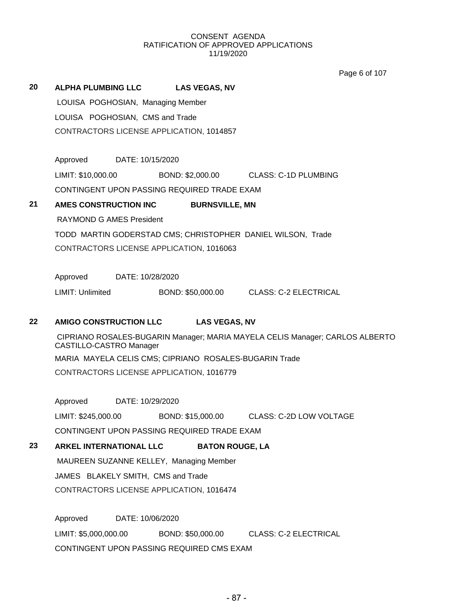Page 6 of 107

**20 ALPHA PLUMBING LLC LAS VEGAS, NV** LOUISA POGHOSIAN, Managing Member LOUISA POGHOSIAN, CMS and Trade CONTRACTORS LICENSE APPLICATION, 1014857

Approved DATE: 10/15/2020 LIMIT: \$10,000.00 BOND: \$2,000.00 CLASS: C-1D PLUMBING CONTINGENT UPON PASSING REQUIRED TRADE EXAM

#### **21 AMES CONSTRUCTION INC BURNSVILLE, MN**

 RAYMOND G AMES President TODD MARTIN GODERSTAD CMS; CHRISTOPHER DANIEL WILSON, Trade CONTRACTORS LICENSE APPLICATION, 1016063

Approved DATE: 10/28/2020

LIMIT: Unlimited BOND: \$50,000.00 CLASS: C-2 ELECTRICAL

#### **22 AMIGO CONSTRUCTION LLC LAS VEGAS, NV**

 CIPRIANO ROSALES-BUGARIN Manager; MARIA MAYELA CELIS Manager; CARLOS ALBERTO CASTILLO-CASTRO Manager MARIA MAYELA CELIS CMS; CIPRIANO ROSALES-BUGARIN Trade CONTRACTORS LICENSE APPLICATION, 1016779

Approved DATE: 10/29/2020

LIMIT: \$245,000.00 BOND: \$15,000.00 CLASS: C-2D LOW VOLTAGE CONTINGENT UPON PASSING REQUIRED TRADE EXAM

**23 ARKEL INTERNATIONAL LLC BATON ROUGE, LA**

 MAUREEN SUZANNE KELLEY, Managing Member JAMES BLAKELY SMITH, CMS and Trade CONTRACTORS LICENSE APPLICATION, 1016474

Approved DATE: 10/06/2020 LIMIT: \$5,000,000.00 BOND: \$50,000.00 CLASS: C-2 ELECTRICAL CONTINGENT UPON PASSING REQUIRED CMS EXAM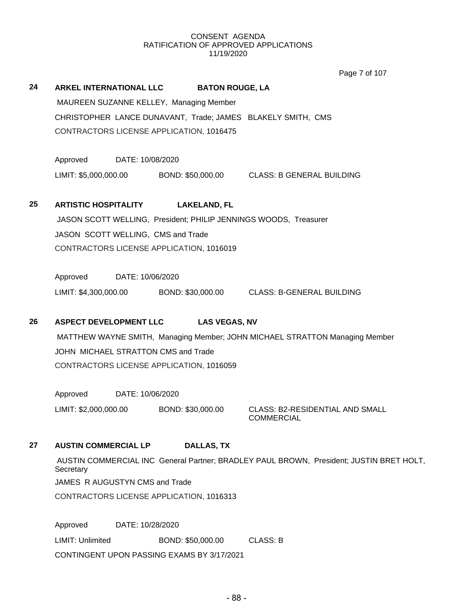Page 7 of 107

**24 ARKEL INTERNATIONAL LLC BATON ROUGE, LA** MAUREEN SUZANNE KELLEY, Managing Member CHRISTOPHER LANCE DUNAVANT, Trade; JAMES BLAKELY SMITH, CMS CONTRACTORS LICENSE APPLICATION, 1016475

Approved DATE: 10/08/2020

LIMIT: \$5,000,000.00 BOND: \$50,000.00 CLASS: B GENERAL BUILDING

#### **25 ARTISTIC HOSPITALITY LAKELAND, FL**

 JASON SCOTT WELLING, President; PHILIP JENNINGS WOODS, Treasurer JASON SCOTT WELLING, CMS and Trade CONTRACTORS LICENSE APPLICATION, 1016019

Approved DATE: 10/06/2020 LIMIT: \$4,300,000.00 BOND: \$30,000.00 CLASS: B-GENERAL BUILDING

## **26 ASPECT DEVELOPMENT LLC LAS VEGAS, NV**

 MATTHEW WAYNE SMITH, Managing Member; JOHN MICHAEL STRATTON Managing Member JOHN MICHAEL STRATTON CMS and Trade CONTRACTORS LICENSE APPLICATION, 1016059

Approved DATE: 10/06/2020 LIMIT: \$2,000,000.00 BOND: \$30,000.00 CLASS: B2-RESIDENTIAL AND SMALL

COMMERCIAL

#### **27 AUSTIN COMMERCIAL LP DALLAS, TX**

 AUSTIN COMMERCIAL INC General Partner; BRADLEY PAUL BROWN, President; JUSTIN BRET HOLT, **Secretary** JAMES R AUGUSTYN CMS and Trade

CONTRACTORS LICENSE APPLICATION, 1016313

Approved DATE: 10/28/2020 LIMIT: Unlimited BOND: \$50,000.00 CLASS: B CONTINGENT UPON PASSING EXAMS BY 3/17/2021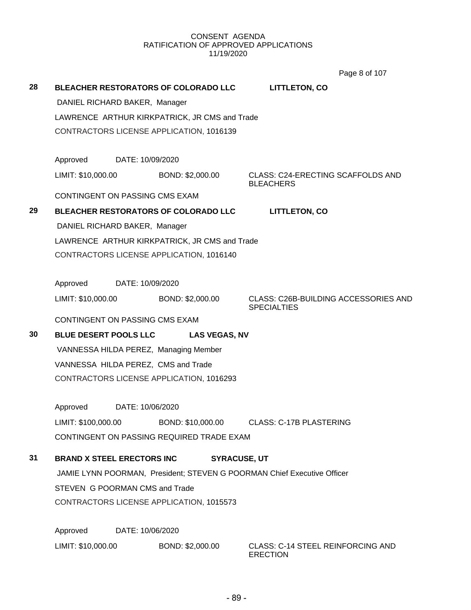Page 8 of 107

| 28 | BLEACHER RESTORATORS OF COLORADO LLC<br>DANIEL RICHARD BAKER, Manager<br>LAWRENCE ARTHUR KIRKPATRICK, JR CMS and Trade<br>CONTRACTORS LICENSE APPLICATION, 1016139 |                  |                                               |  | <b>LITTLETON, CO</b>                                          |
|----|--------------------------------------------------------------------------------------------------------------------------------------------------------------------|------------------|-----------------------------------------------|--|---------------------------------------------------------------|
|    | Approved DATE: 10/09/2020                                                                                                                                          |                  |                                               |  |                                                               |
|    | LIMIT: \$10,000.00                                                                                                                                                 |                  | BOND: \$2,000.00                              |  | <b>CLASS: C24-ERECTING SCAFFOLDS AND</b><br><b>BLEACHERS</b>  |
|    | CONTINGENT ON PASSING CMS EXAM                                                                                                                                     |                  |                                               |  |                                                               |
| 29 |                                                                                                                                                                    |                  | BLEACHER RESTORATORS OF COLORADO LLC          |  | <b>LITTLETON, CO</b>                                          |
|    | DANIEL RICHARD BAKER, Manager                                                                                                                                      |                  |                                               |  |                                                               |
|    |                                                                                                                                                                    |                  | LAWRENCE ARTHUR KIRKPATRICK, JR CMS and Trade |  |                                                               |
|    |                                                                                                                                                                    |                  | CONTRACTORS LICENSE APPLICATION, 1016140      |  |                                                               |
|    | Approved DATE: 10/09/2020                                                                                                                                          |                  |                                               |  |                                                               |
|    | LIMIT: \$10,000.00                                                                                                                                                 |                  | BOND: \$2,000.00                              |  | CLASS: C26B-BUILDING ACCESSORIES AND<br><b>SPECIALTIES</b>    |
|    | CONTINGENT ON PASSING CMS EXAM                                                                                                                                     |                  |                                               |  |                                                               |
| 30 |                                                                                                                                                                    |                  | BLUE DESERT POOLS LLC LAS VEGAS, NV           |  |                                                               |
|    |                                                                                                                                                                    |                  | VANNESSA HILDA PEREZ, Managing Member         |  |                                                               |
|    | VANNESSA HILDA PEREZ, CMS and Trade                                                                                                                                |                  |                                               |  |                                                               |
|    |                                                                                                                                                                    |                  | CONTRACTORS LICENSE APPLICATION, 1016293      |  |                                                               |
|    | Approved DATE: 10/06/2020                                                                                                                                          |                  |                                               |  |                                                               |
|    |                                                                                                                                                                    |                  |                                               |  | LIMIT: \$100,000.00 BOND: \$10,000.00 CLASS: C-17B PLASTERING |
|    |                                                                                                                                                                    |                  | CONTINGENT ON PASSING REQUIRED TRADE EXAM     |  |                                                               |
| 31 | <b>BRAND X STEEL ERECTORS INC</b>                                                                                                                                  |                  | <b>SYRACUSE, UT</b>                           |  |                                                               |
|    | JAMIE LYNN POORMAN, President; STEVEN G POORMAN Chief Executive Officer                                                                                            |                  |                                               |  |                                                               |
|    | STEVEN G POORMAN CMS and Trade                                                                                                                                     |                  |                                               |  |                                                               |
|    | CONTRACTORS LICENSE APPLICATION, 1015573                                                                                                                           |                  |                                               |  |                                                               |
|    | Approved                                                                                                                                                           | DATE: 10/06/2020 |                                               |  |                                                               |
|    | LIMIT: \$10,000.00                                                                                                                                                 |                  | BOND: \$2,000.00                              |  | <b>CLASS: C-14 STEEL REINFORCING AND</b><br><b>ERECTION</b>   |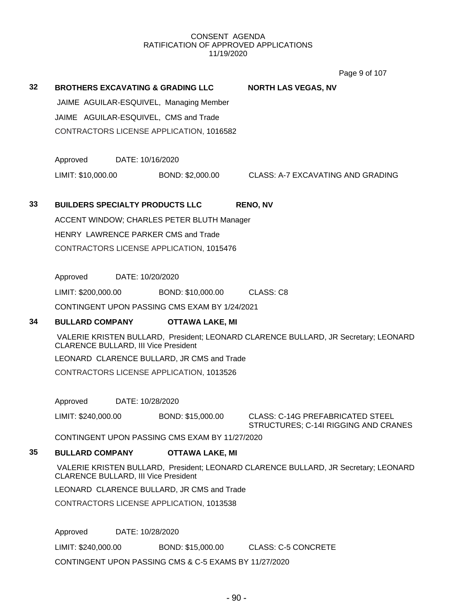Page 9 of 107

| 32 <sub>2</sub> | <b>BROTHERS EXCAVATING &amp; GRADING LLC</b> |                   | <b>NORTH LAS VEGAS, NV</b>        |  |  |  |
|-----------------|----------------------------------------------|-------------------|-----------------------------------|--|--|--|
|                 | JAIME AGUILAR-ESQUIVEL, Managing Member      |                   |                                   |  |  |  |
|                 | JAIME AGUILAR-ESQUIVEL, CMS and Trade        |                   |                                   |  |  |  |
|                 | CONTRACTORS LICENSE APPLICATION, 1016582     |                   |                                   |  |  |  |
|                 | DATE: 10/16/2020<br>Approved                 |                   |                                   |  |  |  |
|                 | LIMIT: \$10,000.00                           | BOND: \$2,000.00  | CLASS: A-7 EXCAVATING AND GRADING |  |  |  |
|                 |                                              |                   |                                   |  |  |  |
| 33              | <b>BUILDERS SPECIALTY PRODUCTS LLC</b>       |                   | <b>RENO, NV</b>                   |  |  |  |
|                 | ACCENT WINDOW; CHARLES PETER BLUTH Manager   |                   |                                   |  |  |  |
|                 | HENRY LAWRENCE PARKER CMS and Trade          |                   |                                   |  |  |  |
|                 | CONTRACTORS LICENSE APPLICATION, 1015476     |                   |                                   |  |  |  |
|                 |                                              |                   |                                   |  |  |  |
|                 | Approved<br>DATE: 10/20/2020                 |                   |                                   |  |  |  |
|                 | LIMIT: \$200,000.00                          | BOND: \$10,000.00 | CLASS: C8                         |  |  |  |
|                 |                                              |                   |                                   |  |  |  |

CONTINGENT UPON PASSING CMS EXAM BY 1/24/2021

#### **34 BULLARD COMPANY OTTAWA LAKE, MI**

 VALERIE KRISTEN BULLARD, President; LEONARD CLARENCE BULLARD, JR Secretary; LEONARD CLARENCE BULLARD, III Vice President

LEONARD CLARENCE BULLARD, JR CMS and Trade

CONTRACTORS LICENSE APPLICATION, 1013526

Approved DATE: 10/28/2020

LIMIT: \$240,000.00 BOND: \$15,000.00 CLASS: C-14G PREFABRICATED STEEL STRUCTURES; C-14I RIGGING AND CRANES

CONTINGENT UPON PASSING CMS EXAM BY 11/27/2020

## **35 BULLARD COMPANY OTTAWA LAKE, MI**

 VALERIE KRISTEN BULLARD, President; LEONARD CLARENCE BULLARD, JR Secretary; LEONARD CLARENCE BULLARD, III Vice President

LEONARD CLARENCE BULLARD, JR CMS and Trade

CONTRACTORS LICENSE APPLICATION, 1013538

Approved DATE: 10/28/2020

LIMIT: \$240,000.00 BOND: \$15,000.00 CLASS: C-5 CONCRETE

CONTINGENT UPON PASSING CMS & C-5 EXAMS BY 11/27/2020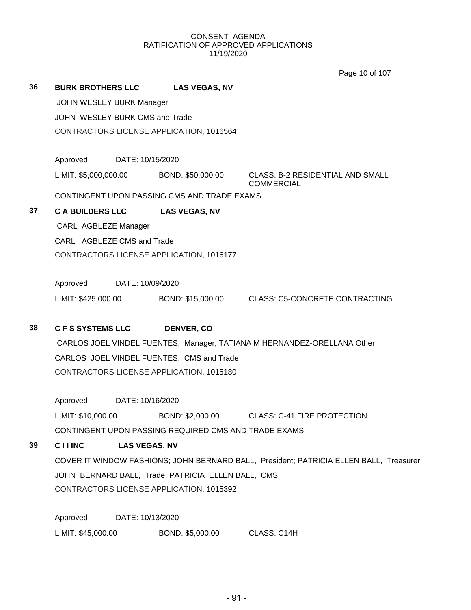Page 10 of 107

| 36 | <b>BURK BROTHERS LLC</b>                    | <b>LAS VEGAS, NV</b>                      |                                                                         |
|----|---------------------------------------------|-------------------------------------------|-------------------------------------------------------------------------|
|    | JOHN WESLEY BURK Manager                    |                                           |                                                                         |
|    | JOHN WESLEY BURK CMS and Trade              |                                           |                                                                         |
|    | CONTRACTORS LICENSE APPLICATION, 1016564    |                                           |                                                                         |
|    |                                             |                                           |                                                                         |
|    | Approved<br>DATE: 10/15/2020                |                                           |                                                                         |
|    | LIMIT: \$5,000,000.00                       | BOND: \$50,000.00                         | CLASS: B-2 RESIDENTIAL AND SMALL<br><b>COMMERCIAL</b>                   |
|    | CONTINGENT UPON PASSING CMS AND TRADE EXAMS |                                           |                                                                         |
| 37 | <b>C A BUILDERS LLC</b>                     | <b>LAS VEGAS, NV</b>                      |                                                                         |
|    | CARL AGBLEZE Manager                        |                                           |                                                                         |
|    | CARL AGBLEZE CMS and Trade                  |                                           |                                                                         |
|    | CONTRACTORS LICENSE APPLICATION, 1016177    |                                           |                                                                         |
|    |                                             |                                           |                                                                         |
|    | Approved                                    | DATE: 10/09/2020                          |                                                                         |
|    | LIMIT: \$425,000.00                         | BOND: \$15,000.00                         | <b>CLASS: C5-CONCRETE CONTRACTING</b>                                   |
|    |                                             |                                           |                                                                         |
| 38 | <b>C F S SYSTEMS LLC</b>                    | <b>DENVER, CO</b>                         |                                                                         |
|    |                                             |                                           | CARLOS JOEL VINDEL FUENTES, Manager; TATIANA M HERNANDEZ-ORELLANA Other |
|    |                                             | CARLOS JOEL VINDEL FUENTES, CMS and Trade |                                                                         |

CONTRACTORS LICENSE APPLICATION, 1015180

Approved DATE: 10/16/2020

LIMIT: \$10,000.00 BOND: \$2,000.00 CLASS: C-41 FIRE PROTECTION

CONTINGENT UPON PASSING REQUIRED CMS AND TRADE EXAMS

## **39 C I I INC LAS VEGAS, NV**

COVER IT WINDOW FASHIONS; JOHN BERNARD BALL, President; PATRICIA ELLEN BALL, Treasurer JOHN BERNARD BALL, Trade; PATRICIA ELLEN BALL, CMS CONTRACTORS LICENSE APPLICATION, 1015392

Approved DATE: 10/13/2020 LIMIT: \$45,000.00 BOND: \$5,000.00 CLASS: C14H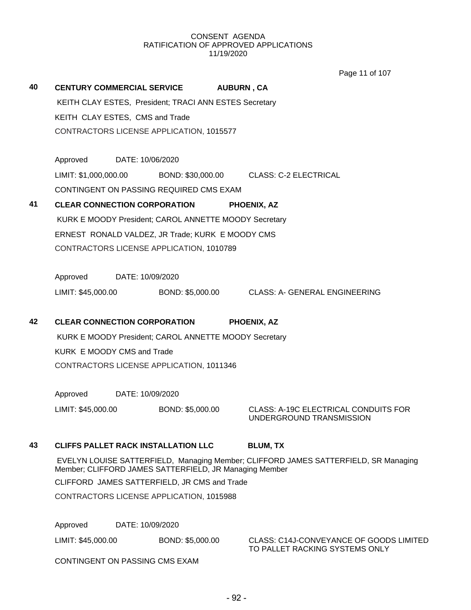Page 11 of 107

| 40 | <b>CENTURY COMMERCIAL SERVICE</b><br>KEITH CLAY ESTES, President; TRACI ANN ESTES Secretary |                  | <b>AUBURN, CA</b>                                                                   |
|----|---------------------------------------------------------------------------------------------|------------------|-------------------------------------------------------------------------------------|
|    | KEITH CLAY ESTES, CMS and Trade<br>CONTRACTORS LICENSE APPLICATION, 1015577                 |                  |                                                                                     |
|    | Approved                                                                                    | DATE: 10/06/2020 |                                                                                     |
|    | LIMIT: \$1,000,000.00                                                                       |                  | BOND: \$30,000.00 CLASS: C-2 ELECTRICAL                                             |
|    | CONTINGENT ON PASSING REQUIRED CMS EXAM                                                     |                  |                                                                                     |
| 41 | <b>CLEAR CONNECTION CORPORATION</b>                                                         |                  | <b>PHOENIX, AZ</b>                                                                  |
|    | KURK E MOODY President; CAROL ANNETTE MOODY Secretary                                       |                  |                                                                                     |
|    | ERNEST RONALD VALDEZ, JR Trade; KURK E MOODY CMS                                            |                  |                                                                                     |
|    | CONTRACTORS LICENSE APPLICATION, 1010789                                                    |                  |                                                                                     |
|    |                                                                                             |                  |                                                                                     |
|    | Approved<br>DATE: 10/09/2020                                                                |                  |                                                                                     |
|    | LIMIT: \$45,000.00                                                                          |                  | BOND: \$5,000.00 CLASS: A- GENERAL ENGINEERING                                      |
|    |                                                                                             |                  |                                                                                     |
| 42 | <b>CLEAR CONNECTION CORPORATION</b>                                                         |                  | PHOENIX, AZ                                                                         |
|    | KURK E MOODY President; CAROL ANNETTE MOODY Secretary                                       |                  |                                                                                     |
|    | KURK E MOODY CMS and Trade                                                                  |                  |                                                                                     |
|    | CONTRACTORS LICENSE APPLICATION, 1011346                                                    |                  |                                                                                     |
|    | Approved<br>DATE: 10/09/2020                                                                |                  |                                                                                     |
|    | LIMIT: \$45,000.00                                                                          | BOND: \$5,000.00 | <b>CLASS: A-19C ELECTRICAL CONDUITS FOR</b><br>UNDERGROUND TRANSMISSION             |
| 43 | <b>CLIFFS PALLET RACK INSTALLATION LLC</b>                                                  |                  | <b>BLUM, TX</b>                                                                     |
|    | Member; CLIFFORD JAMES SATTERFIELD, JR Managing Member                                      |                  | EVELYN LOUISE SATTERFIELD, Managing Member; CLIFFORD JAMES SATTERFIELD, SR Managing |
|    | CLIFFORD JAMES SATTERFIELD, JR CMS and Trade                                                |                  |                                                                                     |
|    | CONTRACTORS LICENSE APPLICATION, 1015988                                                    |                  |                                                                                     |
|    |                                                                                             |                  |                                                                                     |
|    | Approved                                                                                    | DATE: 10/09/2020 |                                                                                     |

LIMIT: \$45,000.00 BOND: \$5,000.00 CLASS: C14J-CONVEYANCE OF GOODS LIMITED TO PALLET RACKING SYSTEMS ONLY

CONTINGENT ON PASSING CMS EXAM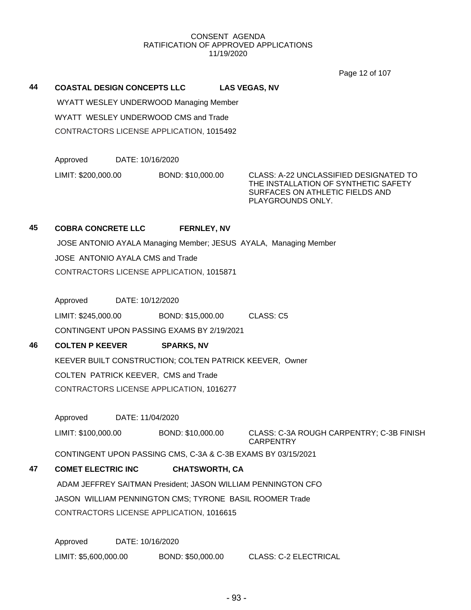Page 12 of 107

# **44 COASTAL DESIGN CONCEPTS LLC LAS VEGAS, NV**

 WYATT WESLEY UNDERWOOD Managing Member WYATT WESLEY UNDERWOOD CMS and Trade CONTRACTORS LICENSE APPLICATION, 1015492

Approved DATE: 10/16/2020

LIMIT: \$200,000.00 BOND: \$10,000.00 CLASS: A-22 UNCLASSIFIED DESIGNATED TO THE INSTALLATION OF SYNTHETIC SAFETY SURFACES ON ATHLETIC FIELDS AND PLAYGROUNDS ONLY.

## **45 COBRA CONCRETE LLC FERNLEY, NV**

 JOSE ANTONIO AYALA Managing Member; JESUS AYALA, Managing Member JOSE ANTONIO AYALA CMS and Trade CONTRACTORS LICENSE APPLICATION, 1015871

Approved DATE: 10/12/2020

LIMIT: \$245,000.00 BOND: \$15,000.00 CLASS: C5

CONTINGENT UPON PASSING EXAMS BY 2/19/2021

## **46 COLTEN P KEEVER SPARKS, NV**

KEEVER BUILT CONSTRUCTION; COLTEN PATRICK KEEVER, Owner COLTEN PATRICK KEEVER, CMS and Trade CONTRACTORS LICENSE APPLICATION, 1016277

Approved DATE: 11/04/2020

LIMIT: \$100,000.00 BOND: \$10,000.00 CLASS: C-3A ROUGH CARPENTRY; C-3B FINISH **CARPENTRY** 

CONTINGENT UPON PASSING CMS, C-3A & C-3B EXAMS BY 03/15/2021

## **47 COMET ELECTRIC INC CHATSWORTH, CA**

 ADAM JEFFREY SAITMAN President; JASON WILLIAM PENNINGTON CFO JASON WILLIAM PENNINGTON CMS; TYRONE BASIL ROOMER Trade CONTRACTORS LICENSE APPLICATION, 1016615

Approved DATE: 10/16/2020 LIMIT: \$5,600,000.00 BOND: \$50,000.00 CLASS: C-2 ELECTRICAL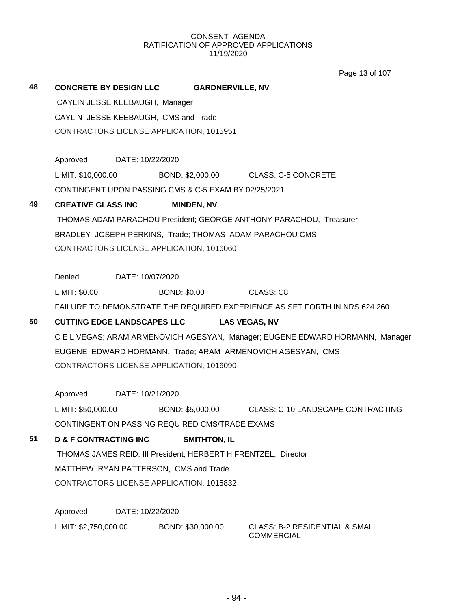Page 13 of 107

| 48 |                                      |                  | CONCRETE BY DESIGN LLC GARDNERVILLE, NV                        |                                                                               |  |
|----|--------------------------------------|------------------|----------------------------------------------------------------|-------------------------------------------------------------------------------|--|
|    | CAYLIN JESSE KEEBAUGH, Manager       |                  |                                                                |                                                                               |  |
|    | CAYLIN JESSE KEEBAUGH, CMS and Trade |                  |                                                                |                                                                               |  |
|    |                                      |                  | CONTRACTORS LICENSE APPLICATION, 1015951                       |                                                                               |  |
|    |                                      |                  |                                                                |                                                                               |  |
|    | Approved DATE: 10/22/2020            |                  |                                                                |                                                                               |  |
|    |                                      |                  |                                                                | LIMIT: \$10,000.00 BOND: \$2,000.00 CLASS: C-5 CONCRETE                       |  |
|    |                                      |                  | CONTINGENT UPON PASSING CMS & C-5 EXAM BY 02/25/2021           |                                                                               |  |
| 49 | <b>CREATIVE GLASS INC</b>            |                  | <b>MINDEN, NV</b>                                              |                                                                               |  |
|    |                                      |                  |                                                                | THOMAS ADAM PARACHOU President; GEORGE ANTHONY PARACHOU, Treasurer            |  |
|    |                                      |                  | BRADLEY JOSEPH PERKINS, Trade; THOMAS ADAM PARACHOU CMS        |                                                                               |  |
|    |                                      |                  | CONTRACTORS LICENSE APPLICATION, 1016060                       |                                                                               |  |
|    |                                      |                  |                                                                |                                                                               |  |
|    | Denied                               | DATE: 10/07/2020 |                                                                |                                                                               |  |
|    | LIMIT: \$0.00                        |                  | <b>BOND: \$0.00</b>                                            | <b>CLASS: C8</b>                                                              |  |
|    |                                      |                  |                                                                | FAILURE TO DEMONSTRATE THE REQUIRED EXPERIENCE AS SET FORTH IN NRS 624.260    |  |
| 50 |                                      |                  | CUTTING EDGE LANDSCAPES LLC LAS VEGAS, NV                      |                                                                               |  |
|    |                                      |                  |                                                                | C E L VEGAS; ARAM ARMENOVICH AGESYAN, Manager; EUGENE EDWARD HORMANN, Manager |  |
|    |                                      |                  |                                                                | EUGENE EDWARD HORMANN, Trade; ARAM ARMENOVICH AGESYAN, CMS                    |  |
|    |                                      |                  | CONTRACTORS LICENSE APPLICATION, 1016090                       |                                                                               |  |
|    |                                      |                  |                                                                |                                                                               |  |
|    | Approved DATE: 10/21/2020            |                  |                                                                |                                                                               |  |
|    | LIMIT: \$50,000.00                   |                  |                                                                | BOND: \$5,000.00 CLASS: C-10 LANDSCAPE CONTRACTING                            |  |
|    |                                      |                  | CONTINGENT ON PASSING REQUIRED CMS/TRADE EXAMS                 |                                                                               |  |
| 51 | <b>D &amp; F CONTRACTING INC</b>     |                  | <b>SMITHTON, IL</b>                                            |                                                                               |  |
|    |                                      |                  | THOMAS JAMES REID, III President; HERBERT H FRENTZEL, Director |                                                                               |  |
|    |                                      |                  | MATTHEW RYAN PATTERSON, CMS and Trade                          |                                                                               |  |
|    |                                      |                  | CONTRACTORS LICENSE APPLICATION, 1015832                       |                                                                               |  |
|    |                                      |                  |                                                                |                                                                               |  |
|    | Approved                             | DATE: 10/22/2020 |                                                                |                                                                               |  |
|    | LIMIT: \$2,750,000.00                |                  | BOND: \$30,000.00                                              | <b>CLASS: B-2 RESIDENTIAL &amp; SMALL</b>                                     |  |

COMMERCIAL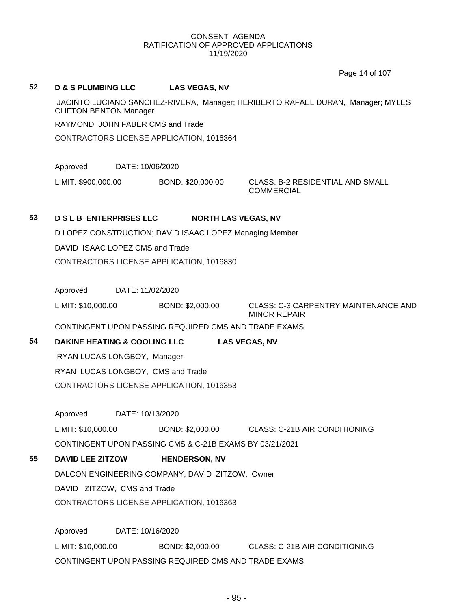Page 14 of 107

#### **52 D & S PLUMBING LLC LAS VEGAS, NV**

 JACINTO LUCIANO SANCHEZ-RIVERA, Manager; HERIBERTO RAFAEL DURAN, Manager; MYLES CLIFTON BENTON Manager

RAYMOND JOHN FABER CMS and Trade

CONTRACTORS LICENSE APPLICATION, 1016364

Approved DATE: 10/06/2020

LIMIT: \$900,000.00 BOND: \$20,000.00 CLASS: B-2 RESIDENTIAL AND SMALL

**COMMERCIAL** 

## **53 D S L B ENTERPRISES LLC NORTH LAS VEGAS, NV**

D LOPEZ CONSTRUCTION; DAVID ISAAC LOPEZ Managing Member DAVID ISAAC LOPEZ CMS and Trade CONTRACTORS LICENSE APPLICATION, 1016830

Approved DATE: 11/02/2020

LIMIT: \$10,000.00 BOND: \$2,000.00 CLASS: C-3 CARPENTRY MAINTENANCE AND

MINOR REPAIR

CONTINGENT UPON PASSING REQUIRED CMS AND TRADE EXAMS

**54 DAKINE HEATING & COOLING LLC LAS VEGAS, NV**

 RYAN LUCAS LONGBOY, Manager RYAN LUCAS LONGBOY, CMS and Trade CONTRACTORS LICENSE APPLICATION, 1016353

Approved DATE: 10/13/2020

LIMIT: \$10,000.00 BOND: \$2,000.00 CLASS: C-21B AIR CONDITIONING

CONTINGENT UPON PASSING CMS & C-21B EXAMS BY 03/21/2021

## **55 DAVID LEE ZITZOW HENDERSON, NV**

DALCON ENGINEERING COMPANY; DAVID ZITZOW, Owner

DAVID ZITZOW, CMS and Trade

CONTRACTORS LICENSE APPLICATION, 1016363

Approved DATE: 10/16/2020 LIMIT: \$10,000.00 BOND: \$2,000.00 CLASS: C-21B AIR CONDITIONING CONTINGENT UPON PASSING REQUIRED CMS AND TRADE EXAMS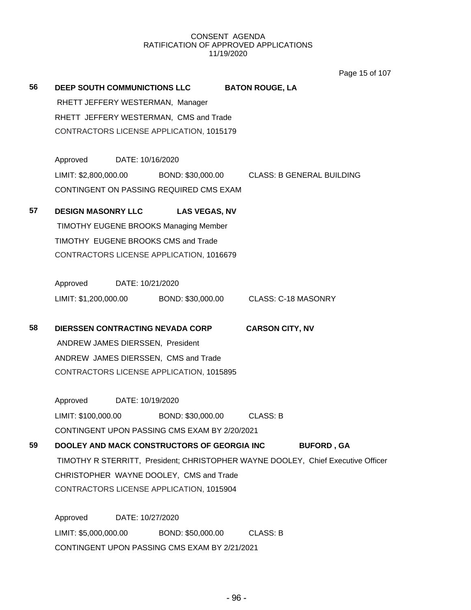Page 15 of 107

| 56 | DEEP SOUTH COMMUNICTIONS LLC     |                  |                                               | <b>BATON ROUGE, LA</b>                                                           |
|----|----------------------------------|------------------|-----------------------------------------------|----------------------------------------------------------------------------------|
|    |                                  |                  | RHETT JEFFERY WESTERMAN, Manager              |                                                                                  |
|    |                                  |                  | RHETT JEFFERY WESTERMAN, CMS and Trade        |                                                                                  |
|    |                                  |                  | CONTRACTORS LICENSE APPLICATION, 1015179      |                                                                                  |
|    | Approved DATE: 10/16/2020        |                  |                                               |                                                                                  |
|    | LIMIT: \$2,800,000.00            |                  | BOND: \$30,000.00                             | <b>CLASS: B GENERAL BUILDING</b>                                                 |
|    |                                  |                  | CONTINGENT ON PASSING REQUIRED CMS EXAM       |                                                                                  |
| 57 | <b>DESIGN MASONRY LLC</b>        |                  | <b>LAS VEGAS, NV</b>                          |                                                                                  |
|    |                                  |                  | <b>TIMOTHY EUGENE BROOKS Managing Member</b>  |                                                                                  |
|    |                                  |                  | TIMOTHY EUGENE BROOKS CMS and Trade           |                                                                                  |
|    |                                  |                  | CONTRACTORS LICENSE APPLICATION, 1016679      |                                                                                  |
|    | Approved                         | DATE: 10/21/2020 |                                               |                                                                                  |
|    | LIMIT: \$1,200,000.00            |                  | BOND: \$30,000.00                             | <b>CLASS: C-18 MASONRY</b>                                                       |
| 58 |                                  |                  | <b>DIERSSEN CONTRACTING NEVADA CORP</b>       | <b>CARSON CITY, NV</b>                                                           |
|    | ANDREW JAMES DIERSSEN, President |                  |                                               |                                                                                  |
|    |                                  |                  | ANDREW JAMES DIERSSEN, CMS and Trade          |                                                                                  |
|    |                                  |                  | CONTRACTORS LICENSE APPLICATION, 1015895      |                                                                                  |
|    | Approved                         | DATE: 10/19/2020 |                                               |                                                                                  |
|    | LIMIT: \$100,000.00              |                  | BOND: \$30,000.00                             | <b>CLASS: B</b>                                                                  |
|    |                                  |                  | CONTINGENT UPON PASSING CMS EXAM BY 2/20/2021 |                                                                                  |
| 59 |                                  |                  | DOOLEY AND MACK CONSTRUCTORS OF GEORGIA INC   | <b>BUFORD, GA</b>                                                                |
|    |                                  |                  |                                               | TIMOTHY R STERRITT, President; CHRISTOPHER WAYNE DOOLEY, Chief Executive Officer |
|    |                                  |                  | CHRISTOPHER WAYNE DOOLEY, CMS and Trade       |                                                                                  |
|    |                                  |                  | CONTRACTORS LICENSE APPLICATION, 1015904      |                                                                                  |
|    | Approved                         | DATE: 10/27/2020 |                                               |                                                                                  |
|    | LIMIT: \$5,000,000.00            |                  | BOND: \$50,000.00                             | CLASS: B                                                                         |
|    |                                  |                  | CONTINGENT UPON PASSING CMS EXAM BY 2/21/2021 |                                                                                  |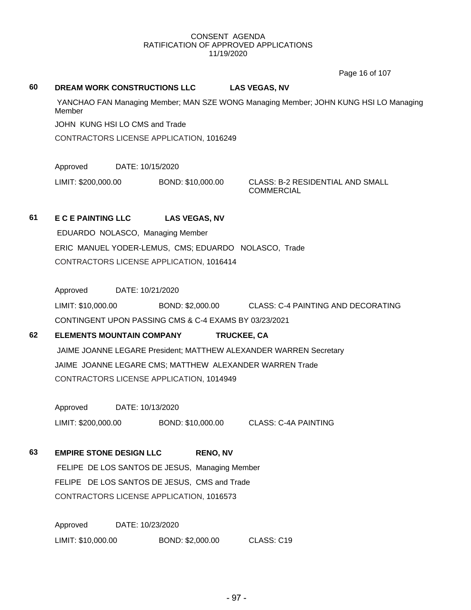# **60 DREAM WORK CONSTRUCTIONS LLC LAS VEGAS, NV** YANCHAO FAN Managing Member; MAN SZE WONG Managing Member; JOHN KUNG HSI LO Managing Member JOHN KUNG HSI LO CMS and Trade CONTRACTORS LICENSE APPLICATION, 1016249 Approved DATE: 10/15/2020 LIMIT: \$200,000.00 BOND: \$10,000.00 CLASS: B-2 RESIDENTIAL AND SMALL COMMERCIAL **61 E C E PAINTING LLC LAS VEGAS, NV** EDUARDO NOLASCO, Managing Member ERIC MANUEL YODER-LEMUS, CMS; EDUARDO NOLASCO, Trade CONTRACTORS LICENSE APPLICATION, 1016414 Approved DATE: 10/21/2020 LIMIT: \$10,000.00 BOND: \$2,000.00 CLASS: C-4 PAINTING AND DECORATING CONTINGENT UPON PASSING CMS & C-4 EXAMS BY 03/23/2021 **62 ELEMENTS MOUNTAIN COMPANY TRUCKEE, CA** JAIME JOANNE LEGARE President; MATTHEW ALEXANDER WARREN Secretary JAIME JOANNE LEGARE CMS; MATTHEW ALEXANDER WARREN Trade CONTRACTORS LICENSE APPLICATION, 1014949 Approved DATE: 10/13/2020 LIMIT: \$200,000.00 BOND: \$10,000.00 CLASS: C-4A PAINTING **63 EMPIRE STONE DESIGN LLC RENO, NV** FELIPE DE LOS SANTOS DE JESUS, Managing Member FELIPE DE LOS SANTOS DE JESUS, CMS and Trade CONTRACTORS LICENSE APPLICATION, 1016573 Approved DATE: 10/23/2020 LIMIT: \$10,000.00 BOND: \$2,000.00 CLASS: C19 Page 16 of 107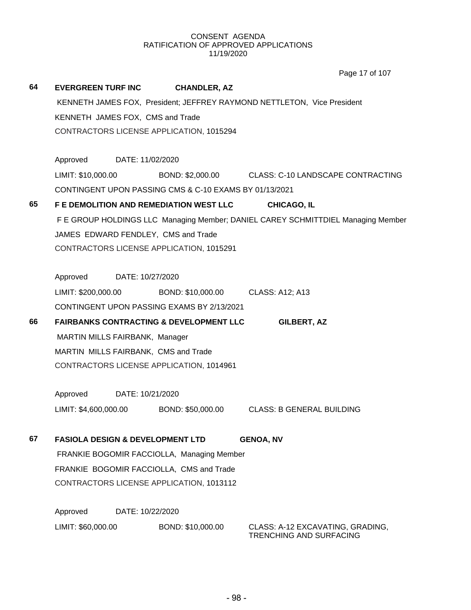|    |                                             |                                                        | Page 17 of 107                                                                   |
|----|---------------------------------------------|--------------------------------------------------------|----------------------------------------------------------------------------------|
| 64 | <b>EVERGREEN TURF INC</b>                   | <b>CHANDLER, AZ</b>                                    |                                                                                  |
|    |                                             |                                                        | KENNETH JAMES FOX, President; JEFFREY RAYMOND NETTLETON, Vice President          |
|    | KENNETH JAMES FOX, CMS and Trade            |                                                        |                                                                                  |
|    |                                             | CONTRACTORS LICENSE APPLICATION, 1015294               |                                                                                  |
|    | Approved DATE: 11/02/2020                   |                                                        |                                                                                  |
|    |                                             |                                                        | LIMIT: \$10,000.00 BOND: \$2,000.00 CLASS: C-10 LANDSCAPE CONTRACTING            |
|    |                                             | CONTINGENT UPON PASSING CMS & C-10 EXAMS BY 01/13/2021 |                                                                                  |
| 65 |                                             | F E DEMOLITION AND REMEDIATION WEST LLC                | <b>CHICAGO, IL</b>                                                               |
|    |                                             |                                                        | F E GROUP HOLDINGS LLC Managing Member; DANIEL CAREY SCHMITTDIEL Managing Member |
|    | JAMES EDWARD FENDLEY, CMS and Trade         |                                                        |                                                                                  |
|    | CONTRACTORS LICENSE APPLICATION, 1015291    |                                                        |                                                                                  |
|    | Approved DATE: 10/27/2020                   |                                                        |                                                                                  |
|    |                                             |                                                        |                                                                                  |
|    | LIMIT: \$200,000.00                         |                                                        |                                                                                  |
|    |                                             | CONTINGENT UPON PASSING EXAMS BY 2/13/2021             |                                                                                  |
| 66 |                                             | <b>FAIRBANKS CONTRACTING &amp; DEVELOPMENT LLC</b>     | GILBERT, AZ                                                                      |
|    | MARTIN MILLS FAIRBANK, Manager              |                                                        |                                                                                  |
|    | MARTIN MILLS FAIRBANK, CMS and Trade        |                                                        |                                                                                  |
|    | CONTRACTORS LICENSE APPLICATION, 1014961    |                                                        |                                                                                  |
|    | DATE: 10/21/2020<br>Approved                |                                                        |                                                                                  |
|    | LIMIT: \$4,600,000.00                       | BOND: \$50,000.00                                      | <b>CLASS: B GENERAL BUILDING</b>                                                 |
| 67 | <b>FASIOLA DESIGN &amp; DEVELOPMENT LTD</b> |                                                        | <b>GENOA, NV</b>                                                                 |
|    |                                             | FRANKIE BOGOMIR FACCIOLLA, Managing Member             |                                                                                  |
|    | FRANKIE BOGOMIR FACCIOLLA, CMS and Trade    |                                                        |                                                                                  |
|    |                                             | CONTRACTORS LICENSE APPLICATION, 1013112               |                                                                                  |
|    | Approved                                    | DATE: 10/22/2020                                       |                                                                                  |
|    | LIMIT: \$60,000.00                          | BOND: \$10,000.00                                      | CLASS: A-12 EXCAVATING, GRADING,<br>TRENCHING AND SURFACING                      |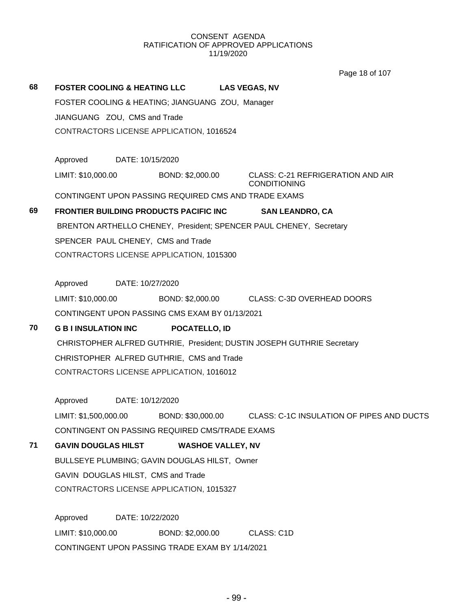Page 18 of 107

| 68                                               | <b>FOSTER COOLING &amp; HEATING LLC</b><br><b>LAS VEGAS, NV</b>                                           |  |  |  |  |  |
|--------------------------------------------------|-----------------------------------------------------------------------------------------------------------|--|--|--|--|--|
| FOSTER COOLING & HEATING; JIANGUANG ZOU, Manager |                                                                                                           |  |  |  |  |  |
|                                                  | JIANGUANG ZOU, CMS and Trade                                                                              |  |  |  |  |  |
|                                                  | CONTRACTORS LICENSE APPLICATION, 1016524                                                                  |  |  |  |  |  |
|                                                  | Approved<br>DATE: 10/15/2020                                                                              |  |  |  |  |  |
|                                                  | LIMIT: \$10,000.00<br>BOND: \$2,000.00<br><b>CLASS: C-21 REFRIGERATION AND AIR</b><br><b>CONDITIONING</b> |  |  |  |  |  |
|                                                  | CONTINGENT UPON PASSING REQUIRED CMS AND TRADE EXAMS                                                      |  |  |  |  |  |
| 69                                               | FRONTIER BUILDING PRODUCTS PACIFIC INC<br><b>SAN LEANDRO, CA</b>                                          |  |  |  |  |  |
|                                                  | BRENTON ARTHELLO CHENEY, President; SPENCER PAUL CHENEY, Secretary                                        |  |  |  |  |  |
|                                                  | SPENCER PAUL CHENEY, CMS and Trade                                                                        |  |  |  |  |  |
|                                                  | CONTRACTORS LICENSE APPLICATION, 1015300                                                                  |  |  |  |  |  |
|                                                  | Approved<br>DATE: 10/27/2020                                                                              |  |  |  |  |  |
|                                                  | LIMIT: \$10,000.00<br>BOND: \$2,000.00 CLASS: C-3D OVERHEAD DOORS                                         |  |  |  |  |  |
|                                                  | CONTINGENT UPON PASSING CMS EXAM BY 01/13/2021                                                            |  |  |  |  |  |
| 70                                               | <b>G B I INSULATION INC</b><br><b>POCATELLO, ID</b>                                                       |  |  |  |  |  |
|                                                  | CHRISTOPHER ALFRED GUTHRIE, President; DUSTIN JOSEPH GUTHRIE Secretary                                    |  |  |  |  |  |
|                                                  | CHRISTOPHER ALFRED GUTHRIE, CMS and Trade                                                                 |  |  |  |  |  |
|                                                  | CONTRACTORS LICENSE APPLICATION, 1016012                                                                  |  |  |  |  |  |
|                                                  | Approved<br>DATE: 10/12/2020                                                                              |  |  |  |  |  |
|                                                  | CLASS: C-1C INSULATION OF PIPES AND DUCTS<br>LIMIT: \$1,500,000.00<br>BOND: \$30,000.00                   |  |  |  |  |  |
|                                                  | CONTINGENT ON PASSING REQUIRED CMS/TRADE EXAMS                                                            |  |  |  |  |  |
| 71                                               | <b>GAVIN DOUGLAS HILST</b><br><b>WASHOE VALLEY, NV</b>                                                    |  |  |  |  |  |
|                                                  | BULLSEYE PLUMBING; GAVIN DOUGLAS HILST, Owner                                                             |  |  |  |  |  |
|                                                  | GAVIN DOUGLAS HILST, CMS and Trade                                                                        |  |  |  |  |  |
|                                                  | CONTRACTORS LICENSE APPLICATION, 1015327                                                                  |  |  |  |  |  |
|                                                  | Approved<br>DATE: 10/22/2020                                                                              |  |  |  |  |  |
|                                                  | LIMIT: \$10,000.00<br>BOND: \$2,000.00<br>CLASS: C1D                                                      |  |  |  |  |  |
|                                                  | CONTINGENT UPON PASSING TRADE EXAM BY 1/14/2021                                                           |  |  |  |  |  |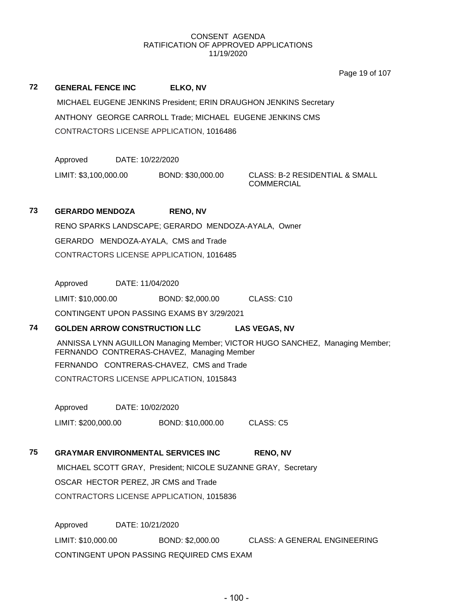Page 19 of 107

| 72 | <b>GENERAL FENCE INC</b>                                          |                  | ELKO, NV                                                      |                                                                              |  |
|----|-------------------------------------------------------------------|------------------|---------------------------------------------------------------|------------------------------------------------------------------------------|--|
|    | MICHAEL EUGENE JENKINS President; ERIN DRAUGHON JENKINS Secretary |                  |                                                               |                                                                              |  |
|    |                                                                   |                  | ANTHONY GEORGE CARROLL Trade; MICHAEL EUGENE JENKINS CMS      |                                                                              |  |
|    |                                                                   |                  | CONTRACTORS LICENSE APPLICATION, 1016486                      |                                                                              |  |
|    |                                                                   |                  |                                                               |                                                                              |  |
|    | Approved                                                          | DATE: 10/22/2020 |                                                               |                                                                              |  |
|    | LIMIT: \$3,100,000.00                                             |                  | BOND: \$30,000.00                                             | <b>CLASS: B-2 RESIDENTIAL &amp; SMALL</b><br><b>COMMERCIAL</b>               |  |
| 73 | <b>GERARDO MENDOZA</b>                                            |                  | <b>RENO, NV</b>                                               |                                                                              |  |
|    |                                                                   |                  | RENO SPARKS LANDSCAPE; GERARDO MENDOZA-AYALA, Owner           |                                                                              |  |
|    |                                                                   |                  | GERARDO MENDOZA-AYALA, CMS and Trade                          |                                                                              |  |
|    |                                                                   |                  | CONTRACTORS LICENSE APPLICATION, 1016485                      |                                                                              |  |
|    |                                                                   |                  |                                                               |                                                                              |  |
|    | Approved                                                          | DATE: 11/04/2020 |                                                               |                                                                              |  |
|    | LIMIT: \$10,000.00                                                |                  | BOND: \$2,000.00                                              | CLASS: C10                                                                   |  |
|    |                                                                   |                  | CONTINGENT UPON PASSING EXAMS BY 3/29/2021                    |                                                                              |  |
| 74 |                                                                   |                  | <b>GOLDEN ARROW CONSTRUCTION LLC</b>                          | <b>LAS VEGAS, NV</b>                                                         |  |
|    |                                                                   |                  | FERNANDO CONTRERAS-CHAVEZ, Managing Member                    | ANNISSA LYNN AGUILLON Managing Member; VICTOR HUGO SANCHEZ, Managing Member; |  |
|    |                                                                   |                  | FERNANDO CONTRERAS-CHAVEZ, CMS and Trade                      |                                                                              |  |
|    |                                                                   |                  | CONTRACTORS LICENSE APPLICATION, 1015843                      |                                                                              |  |
|    |                                                                   |                  |                                                               |                                                                              |  |
|    | Approved                                                          | DATE: 10/02/2020 |                                                               |                                                                              |  |
|    | LIMIT: \$200,000.00                                               |                  | BOND: \$10,000.00                                             | CLASS: C5                                                                    |  |
| 75 |                                                                   |                  | <b>GRAYMAR ENVIRONMENTAL SERVICES INC</b>                     | <b>RENO, NV</b>                                                              |  |
|    |                                                                   |                  | MICHAEL SCOTT GRAY, President; NICOLE SUZANNE GRAY, Secretary |                                                                              |  |
|    | OSCAR HECTOR PEREZ, JR CMS and Trade                              |                  |                                                               |                                                                              |  |
|    |                                                                   |                  | CONTRACTORS LICENSE APPLICATION, 1015836                      |                                                                              |  |
|    |                                                                   |                  |                                                               |                                                                              |  |
|    | Approved                                                          | DATE: 10/21/2020 |                                                               |                                                                              |  |
|    | LIMIT: \$10,000.00                                                |                  |                                                               | BOND: \$2,000.00 CLASS: A GENERAL ENGINEERING                                |  |
|    |                                                                   |                  | CONTINGENT UPON PASSING REQUIRED CMS EXAM                     |                                                                              |  |
|    |                                                                   |                  |                                                               |                                                                              |  |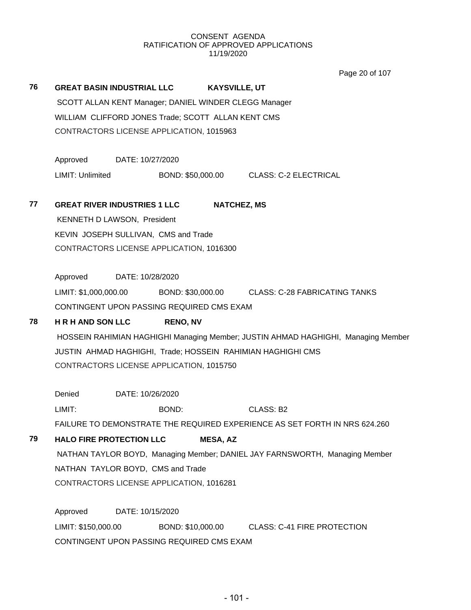Page 20 of 107

#### **76 GREAT BASIN INDUSTRIAL LLC KAYSVILLE, UT**

 SCOTT ALLAN KENT Manager; DANIEL WINDER CLEGG Manager WILLIAM CLIFFORD JONES Trade; SCOTT ALLAN KENT CMS CONTRACTORS LICENSE APPLICATION, 1015963

Approved DATE: 10/27/2020 LIMIT: Unlimited BOND: \$50,000.00 CLASS: C-2 ELECTRICAL

# **77 GREAT RIVER INDUSTRIES 1 LLC NATCHEZ, MS**

 KENNETH D LAWSON, President KEVIN JOSEPH SULLIVAN, CMS and Trade CONTRACTORS LICENSE APPLICATION, 1016300

Approved DATE: 10/28/2020

LIMIT: \$1,000,000.00 BOND: \$30,000.00 CLASS: C-28 FABRICATING TANKS CONTINGENT UPON PASSING REQUIRED CMS EXAM

## **78 H R H AND SON LLC RENO, NV**

 HOSSEIN RAHIMIAN HAGHIGHI Managing Member; JUSTIN AHMAD HAGHIGHI, Managing Member JUSTIN AHMAD HAGHIGHI, Trade; HOSSEIN RAHIMIAN HAGHIGHI CMS CONTRACTORS LICENSE APPLICATION, 1015750

Denied DATE: 10/26/2020

LIMIT: BOND: CLASS: B2

FAILURE TO DEMONSTRATE THE REQUIRED EXPERIENCE AS SET FORTH IN NRS 624.260

## **79 HALO FIRE PROTECTION LLC MESA, AZ**

 NATHAN TAYLOR BOYD, Managing Member; DANIEL JAY FARNSWORTH, Managing Member NATHAN TAYLOR BOYD, CMS and Trade CONTRACTORS LICENSE APPLICATION, 1016281

Approved DATE: 10/15/2020 LIMIT: \$150,000.00 BOND: \$10,000.00 CLASS: C-41 FIRE PROTECTION CONTINGENT UPON PASSING REQUIRED CMS EXAM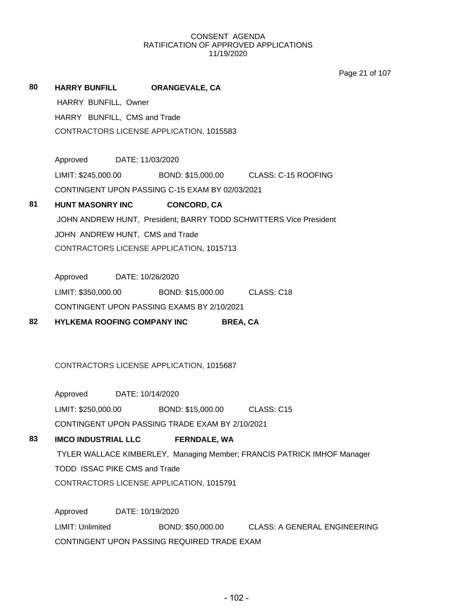Page 21 of 107

| 80 | <b>HARRY BUNFILL</b>               | <b>ORANGEVALE, CA</b>                            |                                                                         |  |
|----|------------------------------------|--------------------------------------------------|-------------------------------------------------------------------------|--|
|    | HARRY BUNFILL, Owner               |                                                  |                                                                         |  |
|    | HARRY BUNFILL, CMS and Trade       |                                                  |                                                                         |  |
|    |                                    | CONTRACTORS LICENSE APPLICATION, 1015583         |                                                                         |  |
|    |                                    |                                                  |                                                                         |  |
|    | Approved DATE: 11/03/2020          |                                                  |                                                                         |  |
|    |                                    |                                                  | LIMIT: \$245,000.00 BOND: \$15,000.00 CLASS: C-15 ROOFING               |  |
|    |                                    | CONTINGENT UPON PASSING C-15 EXAM BY 02/03/2021  |                                                                         |  |
| 81 | HUNT MASONRY INC                   | <b>CONCORD, CA</b>                               |                                                                         |  |
|    |                                    |                                                  | JOHN ANDREW HUNT, President; BARRY TODD SCHWITTERS Vice President       |  |
|    | JOHN ANDREW HUNT, CMS and Trade    |                                                  |                                                                         |  |
|    |                                    | CONTRACTORS LICENSE APPLICATION, 1015713         |                                                                         |  |
|    |                                    |                                                  |                                                                         |  |
|    | Approved DATE: 10/26/2020          |                                                  |                                                                         |  |
|    |                                    | LIMIT: \$350,000.00 BOND: \$15,000.00 CLASS: C18 |                                                                         |  |
|    |                                    | CONTINGENT UPON PASSING EXAMS BY 2/10/2021       |                                                                         |  |
| 82 | <b>HYLKEMA ROOFING COMPANY INC</b> |                                                  | <b>BREA, CA</b>                                                         |  |
|    |                                    |                                                  |                                                                         |  |
|    |                                    |                                                  |                                                                         |  |
|    |                                    | CONTRACTORS LICENSE APPLICATION, 1015687         |                                                                         |  |
|    |                                    |                                                  |                                                                         |  |
|    | Approved<br>DATE: 10/14/2020       |                                                  |                                                                         |  |
|    | LIMIT: \$250,000.00                | BOND: \$15,000.00 CLASS: C15                     |                                                                         |  |
|    |                                    | CONTINGENT UPON PASSING TRADE EXAM BY 2/10/2021  |                                                                         |  |
| 83 | <b>IMCO INDUSTRIAL LLC</b>         | FERNDALE, WA                                     |                                                                         |  |
|    |                                    |                                                  | TYLER WALLACE KIMBERLEY, Managing Member; FRANCIS PATRICK IMHOF Manager |  |
|    | TODD ISSAC PIKE CMS and Trade      |                                                  |                                                                         |  |
|    |                                    | CONTRACTORS LICENSE APPLICATION, 1015791         |                                                                         |  |
|    |                                    |                                                  |                                                                         |  |

Approved DATE: 10/19/2020 LIMIT: Unlimited BOND: \$50,000.00 CLASS: A GENERAL ENGINEERING CONTINGENT UPON PASSING REQUIRED TRADE EXAM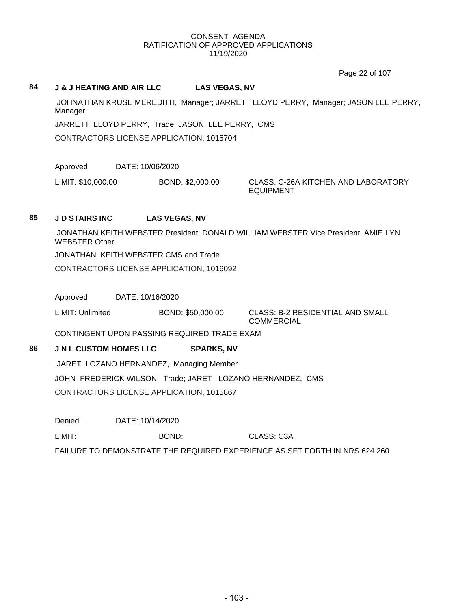Page 22 of 107

#### **84 J & J HEATING AND AIR LLC LAS VEGAS, NV**

 JOHNATHAN KRUSE MEREDITH, Manager; JARRETT LLOYD PERRY, Manager; JASON LEE PERRY, Manager

JARRETT LLOYD PERRY, Trade; JASON LEE PERRY, CMS

CONTRACTORS LICENSE APPLICATION, 1015704

Approved DATE: 10/06/2020

LIMIT: \$10,000.00 BOND: \$2,000.00 CLASS: C-26A KITCHEN AND LABORATORY EQUIPMENT

## **85 J D STAIRS INC LAS VEGAS, NV**

 JONATHAN KEITH WEBSTER President; DONALD WILLIAM WEBSTER Vice President; AMIE LYN WEBSTER Other

JONATHAN KEITH WEBSTER CMS and Trade

CONTRACTORS LICENSE APPLICATION, 1016092

Approved DATE: 10/16/2020

LIMIT: Unlimited BOND: \$50,000.00 CLASS: B-2 RESIDENTIAL AND SMALL

COMMERCIAL

CONTINGENT UPON PASSING REQUIRED TRADE EXAM

#### **86 J N L CUSTOM HOMES LLC SPARKS, NV**

 JARET LOZANO HERNANDEZ, Managing Member JOHN FREDERICK WILSON, Trade; JARET LOZANO HERNANDEZ, CMS CONTRACTORS LICENSE APPLICATION, 1015867

Denied DATE: 10/14/2020

LIMIT: BOND: CLASS: C3A

FAILURE TO DEMONSTRATE THE REQUIRED EXPERIENCE AS SET FORTH IN NRS 624.260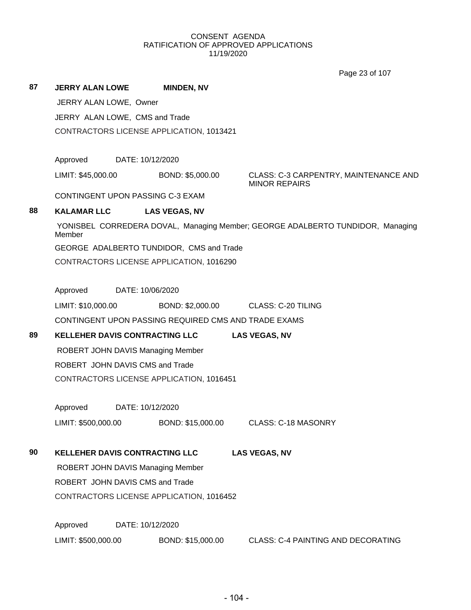Page 23 of 107

|    |                                          |                  |                                                      | Page 23 of 107                                                                 |
|----|------------------------------------------|------------------|------------------------------------------------------|--------------------------------------------------------------------------------|
| 87 | <b>JERRY ALAN LOWE</b>                   |                  | <b>MINDEN, NV</b>                                    |                                                                                |
|    | JERRY ALAN LOWE, Owner                   |                  |                                                      |                                                                                |
|    | JERRY ALAN LOWE, CMS and Trade           |                  |                                                      |                                                                                |
|    |                                          |                  | CONTRACTORS LICENSE APPLICATION, 1013421             |                                                                                |
|    |                                          |                  |                                                      |                                                                                |
|    | Approved                                 | DATE: 10/12/2020 |                                                      |                                                                                |
|    | LIMIT: \$45,000.00                       |                  | BOND: \$5,000.00                                     | CLASS: C-3 CARPENTRY, MAINTENANCE AND<br><b>MINOR REPAIRS</b>                  |
|    | CONTINGENT UPON PASSING C-3 EXAM         |                  |                                                      |                                                                                |
| 88 | <b>KALAMAR LLC</b>                       |                  | <b>LAS VEGAS, NV</b>                                 |                                                                                |
|    | Member                                   |                  |                                                      | YONISBEL CORREDERA DOVAL, Managing Member; GEORGE ADALBERTO TUNDIDOR, Managing |
|    |                                          |                  | GEORGE ADALBERTO TUNDIDOR, CMS and Trade             |                                                                                |
|    |                                          |                  | CONTRACTORS LICENSE APPLICATION, 1016290             |                                                                                |
|    |                                          |                  |                                                      |                                                                                |
|    | Approved                                 | DATE: 10/06/2020 |                                                      |                                                                                |
|    | LIMIT: \$10,000.00                       |                  | BOND: \$2,000.00                                     | <b>CLASS: C-20 TILING</b>                                                      |
|    |                                          |                  | CONTINGENT UPON PASSING REQUIRED CMS AND TRADE EXAMS |                                                                                |
| 89 |                                          |                  | KELLEHER DAVIS CONTRACTING LLC                       | <b>LAS VEGAS, NV</b>                                                           |
|    | ROBERT JOHN DAVIS Managing Member        |                  |                                                      |                                                                                |
|    | ROBERT JOHN DAVIS CMS and Trade          |                  |                                                      |                                                                                |
|    | CONTRACTORS LICENSE APPLICATION, 1016451 |                  |                                                      |                                                                                |
|    |                                          |                  |                                                      |                                                                                |
|    | Approved                                 | DATE: 10/12/2020 |                                                      |                                                                                |
|    | LIMIT: \$500,000.00                      |                  | BOND: \$15,000.00                                    | <b>CLASS: C-18 MASONRY</b>                                                     |
|    |                                          |                  |                                                      |                                                                                |
| 90 | <b>KELLEHER DAVIS CONTRACTING LLC</b>    |                  |                                                      | <b>LAS VEGAS, NV</b>                                                           |
|    | ROBERT JOHN DAVIS Managing Member        |                  |                                                      |                                                                                |
|    | ROBERT JOHN DAVIS CMS and Trade          |                  |                                                      |                                                                                |
|    |                                          |                  | CONTRACTORS LICENSE APPLICATION, 1016452             |                                                                                |
|    |                                          |                  |                                                      |                                                                                |
|    | Approved                                 | DATE: 10/12/2020 |                                                      |                                                                                |
|    | LIMIT: \$500,000.00                      |                  | BOND: \$15,000.00                                    | CLASS: C-4 PAINTING AND DECORATING                                             |
|    |                                          |                  |                                                      |                                                                                |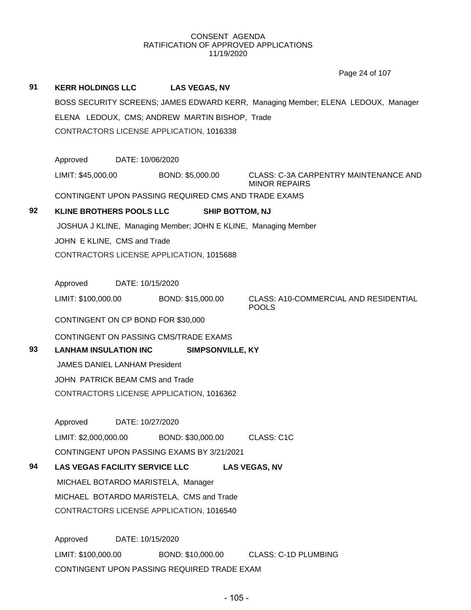Page 24 of 107

| 91 | <b>KERR HOLDINGS LLC</b><br><b>LAS VEGAS, NV</b>               |                                                                                  |  |  |  |
|----|----------------------------------------------------------------|----------------------------------------------------------------------------------|--|--|--|
|    |                                                                | BOSS SECURITY SCREENS; JAMES EDWARD KERR, Managing Member; ELENA LEDOUX, Manager |  |  |  |
|    | ELENA LEDOUX, CMS; ANDREW MARTIN BISHOP, Trade                 |                                                                                  |  |  |  |
|    | CONTRACTORS LICENSE APPLICATION, 1016338                       |                                                                                  |  |  |  |
|    |                                                                |                                                                                  |  |  |  |
|    | Approved<br>DATE: 10/06/2020                                   |                                                                                  |  |  |  |
|    | LIMIT: \$45,000.00<br>BOND: \$5,000.00                         | CLASS: C-3A CARPENTRY MAINTENANCE AND<br><b>MINOR REPAIRS</b>                    |  |  |  |
|    | CONTINGENT UPON PASSING REQUIRED CMS AND TRADE EXAMS           |                                                                                  |  |  |  |
| 92 | <b>KLINE BROTHERS POOLS LLC</b>                                | <b>SHIP BOTTOM, NJ</b>                                                           |  |  |  |
|    | JOSHUA J KLINE, Managing Member; JOHN E KLINE, Managing Member |                                                                                  |  |  |  |
|    | JOHN E KLINE, CMS and Trade                                    |                                                                                  |  |  |  |
|    | CONTRACTORS LICENSE APPLICATION, 1015688                       |                                                                                  |  |  |  |
|    | DATE: 10/15/2020<br>Approved                                   |                                                                                  |  |  |  |
|    | LIMIT: \$100,000.00<br>BOND: \$15,000.00                       | CLASS: A10-COMMERCIAL AND RESIDENTIAL<br><b>POOLS</b>                            |  |  |  |
|    | CONTINGENT ON CP BOND FOR \$30,000                             |                                                                                  |  |  |  |
|    | CONTINGENT ON PASSING CMS/TRADE EXAMS                          |                                                                                  |  |  |  |
| 93 | <b>LANHAM INSULATION INC</b>                                   | SIMPSONVILLE, KY                                                                 |  |  |  |
|    | <b>JAMES DANIEL LANHAM President</b>                           |                                                                                  |  |  |  |
|    | JOHN PATRICK BEAM CMS and Trade                                |                                                                                  |  |  |  |
|    | CONTRACTORS LICENSE APPLICATION, 1016362                       |                                                                                  |  |  |  |
|    | Approved DATE: 10/27/2020                                      |                                                                                  |  |  |  |
|    | LIMIT: \$2,000,000.00 BOND: \$30,000.00                        | CLASS: C1C                                                                       |  |  |  |
|    | CONTINGENT UPON PASSING EXAMS BY 3/21/2021                     |                                                                                  |  |  |  |
| 94 | LAS VEGAS FACILITY SERVICE LLC LAS VEGAS, NV                   |                                                                                  |  |  |  |
|    | MICHAEL BOTARDO MARISTELA, Manager                             |                                                                                  |  |  |  |
|    | MICHAEL BOTARDO MARISTELA, CMS and Trade                       |                                                                                  |  |  |  |
|    | CONTRACTORS LICENSE APPLICATION, 1016540                       |                                                                                  |  |  |  |
|    | Approved<br>DATE: 10/15/2020                                   |                                                                                  |  |  |  |
|    | LIMIT: \$100,000.00<br>BOND: \$10,000.00                       | <b>CLASS: C-1D PLUMBING</b>                                                      |  |  |  |
|    | CONTINGENT UPON PASSING REQUIRED TRADE EXAM                    |                                                                                  |  |  |  |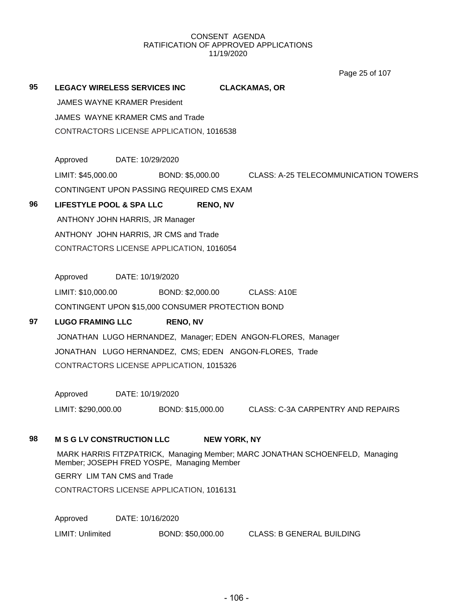Page 25 of 107

**95 LEGACY WIRELESS SERVICES INC CLACKAMAS, OR** JAMES WAYNE KRAMER President JAMES WAYNE KRAMER CMS and Trade CONTRACTORS LICENSE APPLICATION, 1016538 Approved DATE: 10/29/2020 LIMIT: \$45,000.00 BOND: \$5,000.00 CLASS: A-25 TELECOMMUNICATION TOWERS CONTINGENT UPON PASSING REQUIRED CMS EXAM **96 LIFESTYLE POOL & SPA LLC RENO, NV** ANTHONY JOHN HARRIS, JR Manager ANTHONY JOHN HARRIS, JR CMS and Trade CONTRACTORS LICENSE APPLICATION, 1016054 Approved DATE: 10/19/2020 LIMIT: \$10,000.00 BOND: \$2,000.00 CLASS: A10E CONTINGENT UPON \$15,000 CONSUMER PROTECTION BOND **97 LUGO FRAMING LLC RENO, NV** JONATHAN LUGO HERNANDEZ, Manager; EDEN ANGON-FLORES, Manager JONATHAN LUGO HERNANDEZ, CMS; EDEN ANGON-FLORES, Trade CONTRACTORS LICENSE APPLICATION, 1015326 Approved DATE: 10/19/2020 LIMIT: \$290,000.00 BOND: \$15,000.00 CLASS: C-3A CARPENTRY AND REPAIRS **98 M S G LV CONSTRUCTION LLC NEW YORK, NY**

 MARK HARRIS FITZPATRICK, Managing Member; MARC JONATHAN SCHOENFELD, Managing Member; JOSEPH FRED YOSPE, Managing Member

GERRY LIM TAN CMS and Trade

CONTRACTORS LICENSE APPLICATION, 1016131

Approved DATE: 10/16/2020

LIMIT: Unlimited BOND: \$50,000.00 CLASS: B GENERAL BUILDING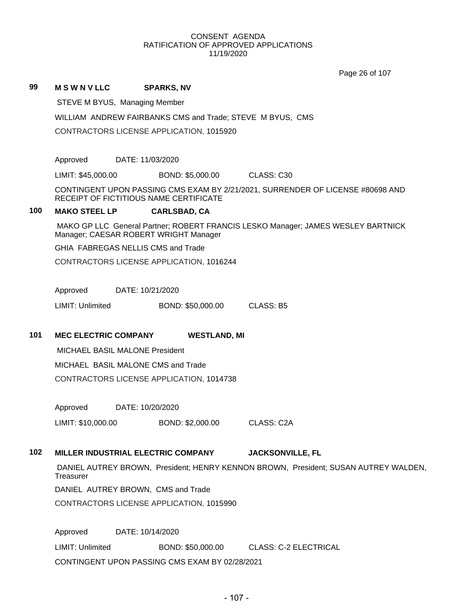Page 26 of 107

#### **99 M S W N V LLC SPARKS, NV**

STEVE M BYUS, Managing Member

WILLIAM ANDREW FAIRBANKS CMS and Trade; STEVE M BYUS, CMS

CONTRACTORS LICENSE APPLICATION, 1015920

Approved DATE: 11/03/2020

LIMIT: \$45,000.00 BOND: \$5,000.00 CLASS: C30

CONTINGENT UPON PASSING CMS EXAM BY 2/21/2021, SURRENDER OF LICENSE #80698 AND RECEIPT OF FICTITIOUS NAME CERTIFICATE

## **100 MAKO STEEL LP CARLSBAD, CA**

 MAKO GP LLC General Partner; ROBERT FRANCIS LESKO Manager; JAMES WESLEY BARTNICK Manager; CAESAR ROBERT WRIGHT Manager

GHIA FABREGAS NELLIS CMS and Trade

CONTRACTORS LICENSE APPLICATION, 1016244

Approved DATE: 10/21/2020

LIMIT: Unlimited BOND: \$50,000.00 CLASS: B5

## **101 MEC ELECTRIC COMPANY WESTLAND, MI**

MICHAEL BASIL MALONE President

MICHAEL BASIL MALONE CMS and Trade

CONTRACTORS LICENSE APPLICATION, 1014738

Approved DATE: 10/20/2020

LIMIT: \$10,000.00 BOND: \$2,000.00 CLASS: C2A

#### **102 MILLER INDUSTRIAL ELECTRIC COMPANY JACKSONVILLE, FL**

 DANIEL AUTREY BROWN, President; HENRY KENNON BROWN, President; SUSAN AUTREY WALDEN, **Treasurer** 

DANIEL AUTREY BROWN, CMS and Trade

CONTRACTORS LICENSE APPLICATION, 1015990

Approved DATE: 10/14/2020 LIMIT: Unlimited BOND: \$50,000.00 CLASS: C-2 ELECTRICAL CONTINGENT UPON PASSING CMS EXAM BY 02/28/2021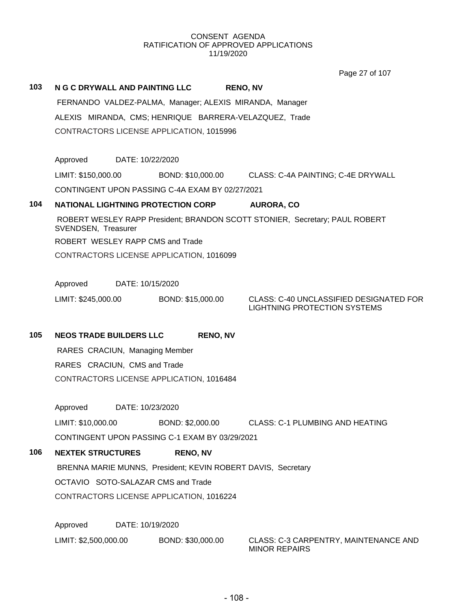**103 N G C DRYWALL AND PAINTING LLC RENO, NV** FERNANDO VALDEZ-PALMA, Manager; ALEXIS MIRANDA, Manager ALEXIS MIRANDA, CMS; HENRIQUE BARRERA-VELAZQUEZ, Trade CONTRACTORS LICENSE APPLICATION, 1015996 Approved DATE: 10/22/2020 LIMIT: \$150,000.00 BOND: \$10,000.00 CLASS: C-4A PAINTING; C-4E DRYWALL CONTINGENT UPON PASSING C-4A EXAM BY 02/27/2021 **104 NATIONAL LIGHTNING PROTECTION CORP AURORA, CO** ROBERT WESLEY RAPP President; BRANDON SCOTT STONIER, Secretary; PAUL ROBERT SVENDSEN, Treasurer ROBERT WESLEY RAPP CMS and Trade CONTRACTORS LICENSE APPLICATION, 1016099 Approved DATE: 10/15/2020 LIMIT: \$245,000.00 BOND: \$15,000.00 CLASS: C-40 UNCLASSIFIED DESIGNATED FOR LIGHTNING PROTECTION SYSTEMS **105 NEOS TRADE BUILDERS LLC RENO, NV** RARES CRACIUN, Managing Member RARES CRACIUN, CMS and Trade CONTRACTORS LICENSE APPLICATION, 1016484 Approved DATE: 10/23/2020 LIMIT: \$10,000.00 BOND: \$2,000.00 CLASS: C-1 PLUMBING AND HEATING CONTINGENT UPON PASSING C-1 EXAM BY 03/29/2021 **106 NEXTEK STRUCTURES RENO, NV** BRENNA MARIE MUNNS, President; KEVIN ROBERT DAVIS, Secretary OCTAVIO SOTO-SALAZAR CMS and Trade CONTRACTORS LICENSE APPLICATION, 1016224 Approved DATE: 10/19/2020 LIMIT: \$2,500,000.00 BOND: \$30,000.00 CLASS: C-3 CARPENTRY, MAINTENANCE AND Page 27 of 107

MINOR REPAIRS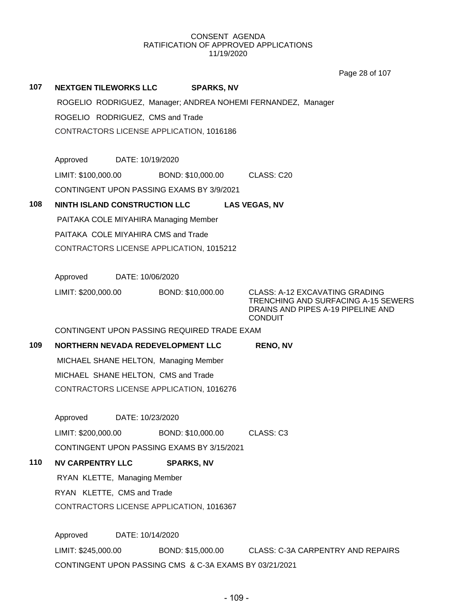Page 28 of 107

|     |                                     |                  |                                                              |                      | <b>I ayu zu ul Tur</b>                                                                                             |
|-----|-------------------------------------|------------------|--------------------------------------------------------------|----------------------|--------------------------------------------------------------------------------------------------------------------|
| 107 | <b>NEXTGEN TILEWORKS LLC</b>        |                  | <b>SPARKS, NV</b>                                            |                      |                                                                                                                    |
|     |                                     |                  | ROGELIO RODRIGUEZ, Manager; ANDREA NOHEMI FERNANDEZ, Manager |                      |                                                                                                                    |
|     | ROGELIO RODRIGUEZ, CMS and Trade    |                  |                                                              |                      |                                                                                                                    |
|     |                                     |                  | CONTRACTORS LICENSE APPLICATION, 1016186                     |                      |                                                                                                                    |
|     |                                     |                  |                                                              |                      |                                                                                                                    |
|     | Approved                            | DATE: 10/19/2020 |                                                              |                      |                                                                                                                    |
|     | LIMIT: \$100,000.00                 |                  | BOND: \$10,000.00                                            | CLASS: C20           |                                                                                                                    |
|     |                                     |                  | CONTINGENT UPON PASSING EXAMS BY 3/9/2021                    |                      |                                                                                                                    |
| 108 | NINTH ISLAND CONSTRUCTION LLC       |                  |                                                              | <b>LAS VEGAS, NV</b> |                                                                                                                    |
|     |                                     |                  | PAITAKA COLE MIYAHIRA Managing Member                        |                      |                                                                                                                    |
|     | PAITAKA COLE MIYAHIRA CMS and Trade |                  |                                                              |                      |                                                                                                                    |
|     |                                     |                  | CONTRACTORS LICENSE APPLICATION, 1015212                     |                      |                                                                                                                    |
|     | Approved                            | DATE: 10/06/2020 |                                                              |                      |                                                                                                                    |
|     | LIMIT: \$200,000.00                 |                  | BOND: \$10,000.00                                            | <b>CONDUIT</b>       | <b>CLASS: A-12 EXCAVATING GRADING</b><br>TRENCHING AND SURFACING A-15 SEWERS<br>DRAINS AND PIPES A-19 PIPELINE AND |
|     |                                     |                  | CONTINGENT UPON PASSING REQUIRED TRADE EXAM                  |                      |                                                                                                                    |
| 109 |                                     |                  | <b>NORTHERN NEVADA REDEVELOPMENT LLC</b>                     | <b>RENO, NV</b>      |                                                                                                                    |
|     |                                     |                  | MICHAEL SHANE HELTON, Managing Member                        |                      |                                                                                                                    |
|     |                                     |                  | MICHAEL SHANE HELTON, CMS and Trade                          |                      |                                                                                                                    |
|     |                                     |                  | CONTRACTORS LICENSE APPLICATION, 1016276                     |                      |                                                                                                                    |
|     | Approved                            | DATE: 10/23/2020 |                                                              |                      |                                                                                                                    |
|     | LIMIT: \$200,000.00                 |                  | BOND: \$10,000.00                                            | CLASS: C3            |                                                                                                                    |
|     |                                     |                  | CONTINGENT UPON PASSING EXAMS BY 3/15/2021                   |                      |                                                                                                                    |
| 110 | <b>NV CARPENTRY LLC</b>             |                  | <b>SPARKS, NV</b>                                            |                      |                                                                                                                    |
|     | RYAN KLETTE, Managing Member        |                  |                                                              |                      |                                                                                                                    |
|     | RYAN KLETTE, CMS and Trade          |                  |                                                              |                      |                                                                                                                    |
|     |                                     |                  | CONTRACTORS LICENSE APPLICATION, 1016367                     |                      |                                                                                                                    |
|     | Approved                            | DATE: 10/14/2020 |                                                              |                      |                                                                                                                    |
|     | LIMIT: \$245,000.00                 |                  | BOND: \$15,000.00                                            |                      | CLASS: C-3A CARPENTRY AND REPAIRS                                                                                  |
|     |                                     |                  |                                                              |                      |                                                                                                                    |

CONTINGENT UPON PASSING CMS & C-3A EXAMS BY 03/21/2021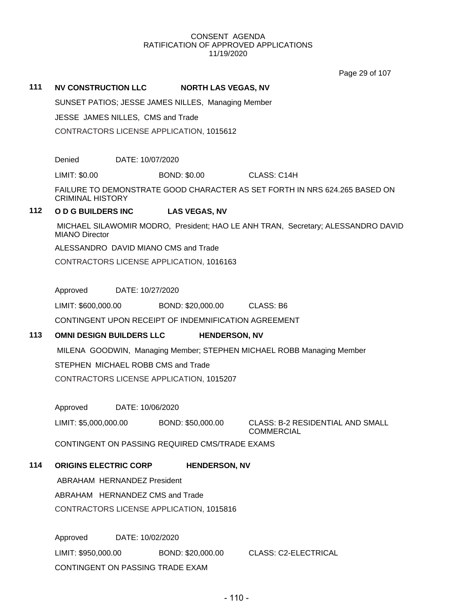Page 29 of 107

#### **111 NV CONSTRUCTION LLC NORTH LAS VEGAS, NV**

SUNSET PATIOS; JESSE JAMES NILLES, Managing Member

JESSE JAMES NILLES, CMS and Trade

CONTRACTORS LICENSE APPLICATION, 1015612

Denied DATE: 10/07/2020

LIMIT: \$0.00 BOND: \$0.00 CLASS: C14H

FAILURE TO DEMONSTRATE GOOD CHARACTER AS SET FORTH IN NRS 624.265 BASED ON CRIMINAL HISTORY

#### **112 O D G BUILDERS INC LAS VEGAS, NV**

 MICHAEL SILAWOMIR MODRO, President; HAO LE ANH TRAN, Secretary; ALESSANDRO DAVID MIANO Director

ALESSANDRO DAVID MIANO CMS and Trade

CONTRACTORS LICENSE APPLICATION, 1016163

Approved DATE: 10/27/2020

LIMIT: \$600,000.00 BOND: \$20,000.00 CLASS: B6

CONTINGENT UPON RECEIPT OF INDEMNIFICATION AGREEMENT

## **113 OMNI DESIGN BUILDERS LLC HENDERSON, NV**

MILENA GOODWIN, Managing Member; STEPHEN MICHAEL ROBB Managing Member

STEPHEN MICHAEL ROBB CMS and Trade

CONTRACTORS LICENSE APPLICATION, 1015207

Approved DATE: 10/06/2020

LIMIT: \$5,000,000.00 BOND: \$50,000.00 CLASS: B-2 RESIDENTIAL AND SMALL

COMMERCIAL

CONTINGENT ON PASSING REQUIRED CMS/TRADE EXAMS

## **114 ORIGINS ELECTRIC CORP HENDERSON, NV**

 ABRAHAM HERNANDEZ President ABRAHAM HERNANDEZ CMS and Trade

CONTRACTORS LICENSE APPLICATION, 1015816

Approved DATE: 10/02/2020 LIMIT: \$950,000.00 BOND: \$20,000.00 CLASS: C2-ELECTRICAL CONTINGENT ON PASSING TRADE EXAM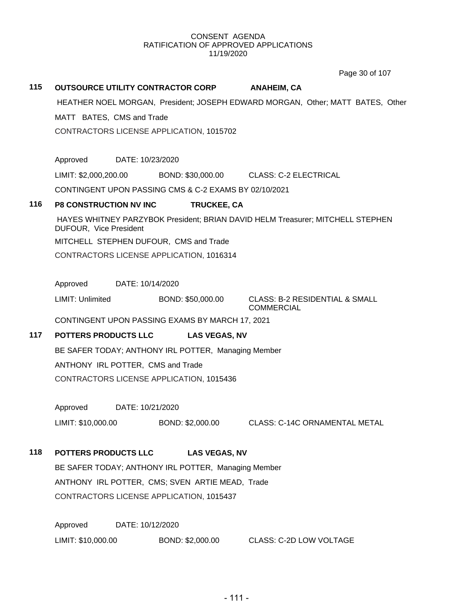Page 30 of 107

#### **115 OUTSOURCE UTILITY CONTRACTOR CORP ANAHEIM, CA**

HEATHER NOEL MORGAN, President; JOSEPH EDWARD MORGAN, Other; MATT BATES, Other

MATT BATES, CMS and Trade

CONTRACTORS LICENSE APPLICATION, 1015702

Approved DATE: 10/23/2020

LIMIT: \$2,000,200.00 BOND: \$30,000.00 CLASS: C-2 ELECTRICAL

CONTINGENT UPON PASSING CMS & C-2 EXAMS BY 02/10/2021

#### **116 P8 CONSTRUCTION NV INC TRUCKEE, CA**

 HAYES WHITNEY PARZYBOK President; BRIAN DAVID HELM Treasurer; MITCHELL STEPHEN DUFOUR, Vice President MITCHELL STEPHEN DUFOUR, CMS and Trade

CONTRACTORS LICENSE APPLICATION, 1016314

Approved DATE: 10/14/2020

LIMIT: Unlimited BOND: \$50,000.00 CLASS: B-2 RESIDENTIAL & SMALL COMMERCIAL

CONTINGENT UPON PASSING EXAMS BY MARCH 17, 2021

## **117 POTTERS PRODUCTS LLC LAS VEGAS, NV**

BE SAFER TODAY; ANTHONY IRL POTTER, Managing Member ANTHONY IRL POTTER, CMS and Trade CONTRACTORS LICENSE APPLICATION, 1015436

Approved DATE: 10/21/2020

LIMIT: \$10,000.00 BOND: \$2,000.00 CLASS: C-14C ORNAMENTAL METAL

#### **118 POTTERS PRODUCTS LLC LAS VEGAS, NV**

BE SAFER TODAY; ANTHONY IRL POTTER, Managing Member ANTHONY IRL POTTER, CMS; SVEN ARTIE MEAD, Trade CONTRACTORS LICENSE APPLICATION, 1015437

Approved DATE: 10/12/2020 LIMIT: \$10,000.00 BOND: \$2,000.00 CLASS: C-2D LOW VOLTAGE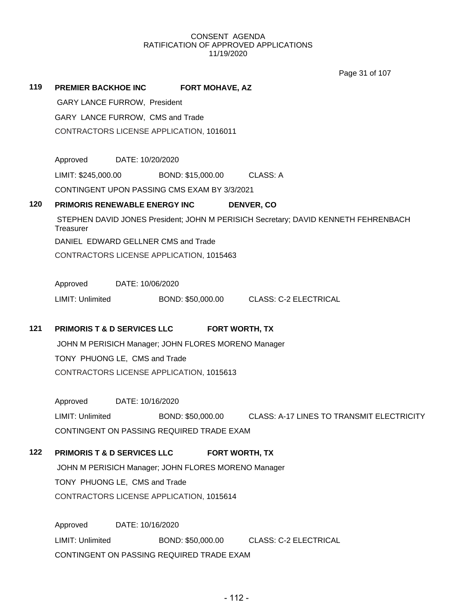Page 31 of 107

| 119 | <b>PREMIER BACKHOE INC</b>                                                                      |                  |                   | <b>FORT MOHAVE, AZ</b> |                                                  |
|-----|-------------------------------------------------------------------------------------------------|------------------|-------------------|------------------------|--------------------------------------------------|
|     | <b>GARY LANCE FURROW, President</b>                                                             |                  |                   |                        |                                                  |
|     | GARY LANCE FURROW, CMS and Trade                                                                |                  |                   |                        |                                                  |
|     | CONTRACTORS LICENSE APPLICATION, 1016011                                                        |                  |                   |                        |                                                  |
|     |                                                                                                 |                  |                   |                        |                                                  |
|     | Approved                                                                                        | DATE: 10/20/2020 |                   |                        |                                                  |
|     | LIMIT: \$245,000.00                                                                             |                  | BOND: \$15,000.00 |                        | CLASS: A                                         |
|     | CONTINGENT UPON PASSING CMS EXAM BY 3/3/2021                                                    |                  |                   |                        |                                                  |
| 120 | PRIMORIS RENEWABLE ENERGY INC                                                                   |                  |                   |                        | <b>DENVER, CO</b>                                |
|     | STEPHEN DAVID JONES President; JOHN M PERISICH Secretary; DAVID KENNETH FEHRENBACH<br>Treasurer |                  |                   |                        |                                                  |
|     | DANIEL EDWARD GELLNER CMS and Trade                                                             |                  |                   |                        |                                                  |
|     | CONTRACTORS LICENSE APPLICATION, 1015463                                                        |                  |                   |                        |                                                  |
|     |                                                                                                 |                  |                   |                        |                                                  |
|     | Approved                                                                                        | DATE: 10/06/2020 |                   |                        |                                                  |
|     | LIMIT: Unlimited                                                                                |                  | BOND: \$50,000.00 |                        | <b>CLASS: C-2 ELECTRICAL</b>                     |
|     |                                                                                                 |                  |                   |                        |                                                  |
| 121 | <b>PRIMORIS T &amp; D SERVICES LLC</b>                                                          |                  |                   | <b>FORT WORTH, TX</b>  |                                                  |
|     | JOHN M PERISICH Manager; JOHN FLORES MORENO Manager                                             |                  |                   |                        |                                                  |
|     | TONY PHUONG LE, CMS and Trade                                                                   |                  |                   |                        |                                                  |
|     | CONTRACTORS LICENSE APPLICATION, 1015613                                                        |                  |                   |                        |                                                  |
|     | Approved                                                                                        | DATE: 10/16/2020 |                   |                        |                                                  |
|     | <b>LIMIT: Unlimited</b>                                                                         |                  | BOND: \$50,000.00 |                        | <b>CLASS: A-17 LINES TO TRANSMIT ELECTRICITY</b> |
|     | CONTINGENT ON PASSING REQUIRED TRADE EXAM                                                       |                  |                   |                        |                                                  |
| 122 | PRIMORIS T & D SERVICES LLC                                                                     |                  |                   | <b>FORT WORTH, TX</b>  |                                                  |
|     | JOHN M PERISICH Manager; JOHN FLORES MORENO Manager                                             |                  |                   |                        |                                                  |
|     | TONY PHUONG LE, CMS and Trade                                                                   |                  |                   |                        |                                                  |
|     | CONTRACTORS LICENSE APPLICATION, 1015614                                                        |                  |                   |                        |                                                  |
|     |                                                                                                 |                  |                   |                        |                                                  |

Approved DATE: 10/16/2020 LIMIT: Unlimited BOND: \$50,000.00 CLASS: C-2 ELECTRICAL CONTINGENT ON PASSING REQUIRED TRADE EXAM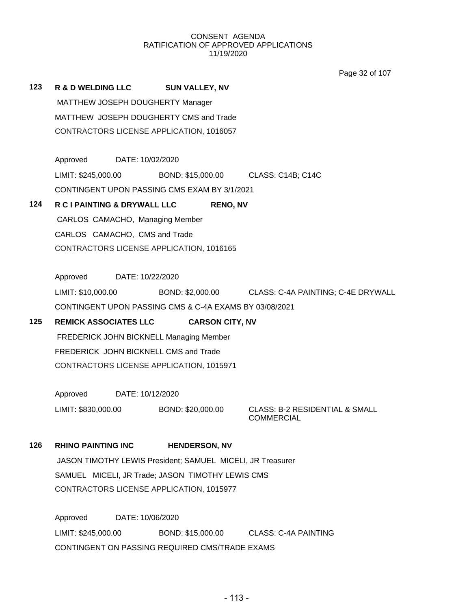Page 32 of 107

**123 R & D WELDING LLC SUN VALLEY, NV** MATTHEW JOSEPH DOUGHERTY Manager MATTHEW JOSEPH DOUGHERTY CMS and Trade CONTRACTORS LICENSE APPLICATION, 1016057

> Approved DATE: 10/02/2020 LIMIT: \$245,000.00 BOND: \$15,000.00 CLASS: C14B; C14C CONTINGENT UPON PASSING CMS EXAM BY 3/1/2021

#### **124 R C I PAINTING & DRYWALL LLC RENO, NV**

 CARLOS CAMACHO, Managing Member CARLOS CAMACHO, CMS and Trade CONTRACTORS LICENSE APPLICATION, 1016165

Approved DATE: 10/22/2020

LIMIT: \$10,000.00 BOND: \$2,000.00 CLASS: C-4A PAINTING; C-4E DRYWALL

CONTINGENT UPON PASSING CMS & C-4A EXAMS BY 03/08/2021

## **125 REMICK ASSOCIATES LLC CARSON CITY, NV**

 FREDERICK JOHN BICKNELL Managing Member FREDERICK JOHN BICKNELL CMS and Trade CONTRACTORS LICENSE APPLICATION, 1015971

Approved DATE: 10/12/2020

LIMIT: \$830,000.00 BOND: \$20,000.00 CLASS: B-2 RESIDENTIAL & SMALL COMMERCIAL

## **126 RHINO PAINTING INC HENDERSON, NV**

 JASON TIMOTHY LEWIS President; SAMUEL MICELI, JR Treasurer SAMUEL MICELI, JR Trade; JASON TIMOTHY LEWIS CMS CONTRACTORS LICENSE APPLICATION, 1015977

Approved DATE: 10/06/2020 LIMIT: \$245,000.00 BOND: \$15,000.00 CLASS: C-4A PAINTING CONTINGENT ON PASSING REQUIRED CMS/TRADE EXAMS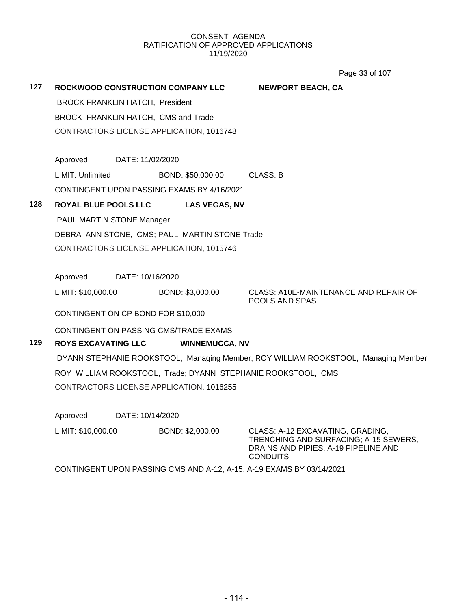Page 33 of 107

# **127 ROCKWOOD CONSTRUCTION COMPANY LLC NEWPORT BEACH, CA**

 BROCK FRANKLIN HATCH, President BROCK FRANKLIN HATCH, CMS and Trade CONTRACTORS LICENSE APPLICATION, 1016748

Approved DATE: 11/02/2020

LIMIT: Unlimited BOND: \$50,000.00 CLASS: B

CONTINGENT UPON PASSING EXAMS BY 4/16/2021

# **128 ROYAL BLUE POOLS LLC LAS VEGAS, NV**

 PAUL MARTIN STONE Manager DEBRA ANN STONE, CMS; PAUL MARTIN STONE Trade CONTRACTORS LICENSE APPLICATION, 1015746

Approved DATE: 10/16/2020

LIMIT: \$10,000.00 BOND: \$3,000.00 CLASS: A10E-MAINTENANCE AND REPAIR OF

POOLS AND SPAS

CONTINGENT ON CP BOND FOR \$10,000

CONTINGENT ON PASSING CMS/TRADE EXAMS

# **129 ROYS EXCAVATING LLC WINNEMUCCA, NV**

 DYANN STEPHANIE ROOKSTOOL, Managing Member; ROY WILLIAM ROOKSTOOL, Managing Member ROY WILLIAM ROOKSTOOL, Trade; DYANN STEPHANIE ROOKSTOOL, CMS CONTRACTORS LICENSE APPLICATION, 1016255

Approved DATE: 10/14/2020

LIMIT: \$10,000.00 BOND: \$2,000.00 CLASS: A-12 EXCAVATING, GRADING,

TRENCHING AND SURFACING; A-15 SEWERS, DRAINS AND PIPIES; A-19 PIPELINE AND **CONDUITS** 

CONTINGENT UPON PASSING CMS AND A-12, A-15, A-19 EXAMS BY 03/14/2021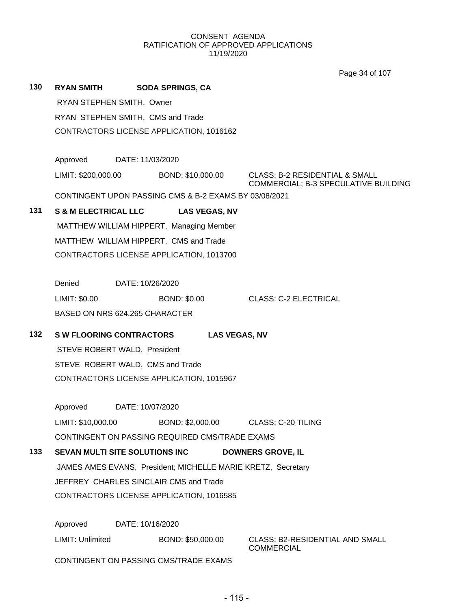Page 34 of 107

| 130                                            | <b>RYAN SMITH</b>                                                             | <b>SODA SPRINGS, CA</b>                               |                                                                        |  |
|------------------------------------------------|-------------------------------------------------------------------------------|-------------------------------------------------------|------------------------------------------------------------------------|--|
|                                                | RYAN STEPHEN SMITH, Owner                                                     |                                                       |                                                                        |  |
|                                                | RYAN STEPHEN SMITH, CMS and Trade<br>CONTRACTORS LICENSE APPLICATION, 1016162 |                                                       |                                                                        |  |
|                                                |                                                                               |                                                       |                                                                        |  |
|                                                | Approved<br>DATE: 11/03/2020                                                  |                                                       |                                                                        |  |
|                                                | LIMIT: \$200,000.00                                                           | BOND: \$10,000.00                                     | CLASS: B-2 RESIDENTIAL & SMALL<br>COMMERCIAL; B-3 SPECULATIVE BUILDING |  |
|                                                |                                                                               | CONTINGENT UPON PASSING CMS & B-2 EXAMS BY 03/08/2021 |                                                                        |  |
| 131                                            | <b>S &amp; M ELECTRICAL LLC</b>                                               | <b>LAS VEGAS, NV</b>                                  |                                                                        |  |
|                                                |                                                                               | MATTHEW WILLIAM HIPPERT, Managing Member              |                                                                        |  |
|                                                |                                                                               | MATTHEW WILLIAM HIPPERT, CMS and Trade                |                                                                        |  |
| CONTRACTORS LICENSE APPLICATION, 1013700       |                                                                               |                                                       |                                                                        |  |
|                                                |                                                                               |                                                       |                                                                        |  |
|                                                | Denied                                                                        | DATE: 10/26/2020                                      |                                                                        |  |
|                                                | LIMIT: \$0.00                                                                 | <b>BOND: \$0.00</b>                                   | <b>CLASS: C-2 ELECTRICAL</b>                                           |  |
|                                                | BASED ON NRS 624.265 CHARACTER                                                |                                                       |                                                                        |  |
| 132                                            | <b>SW FLOORING CONTRACTORS</b><br><b>LAS VEGAS, NV</b>                        |                                                       |                                                                        |  |
|                                                | STEVE ROBERT WALD, President                                                  |                                                       |                                                                        |  |
|                                                | STEVE ROBERT WALD, CMS and Trade                                              |                                                       |                                                                        |  |
|                                                | CONTRACTORS LICENSE APPLICATION, 1015967                                      |                                                       |                                                                        |  |
|                                                | Approved                                                                      | DATE: 10/07/2020                                      |                                                                        |  |
|                                                | LIMIT: \$10,000.00                                                            | BOND: \$2,000.00 CLASS: C-20 TILING                   |                                                                        |  |
| CONTINGENT ON PASSING REQUIRED CMS/TRADE EXAMS |                                                                               |                                                       |                                                                        |  |
| 133                                            |                                                                               | SEVAN MULTI SITE SOLUTIONS INC                        | <b>DOWNERS GROVE, IL</b>                                               |  |
|                                                | JAMES AMES EVANS, President; MICHELLE MARIE KRETZ, Secretary                  |                                                       |                                                                        |  |
|                                                | JEFFREY CHARLES SINCLAIR CMS and Trade                                        |                                                       |                                                                        |  |
|                                                | CONTRACTORS LICENSE APPLICATION, 1016585                                      |                                                       |                                                                        |  |
|                                                | Approved                                                                      | DATE: 10/16/2020                                      |                                                                        |  |
|                                                | LIMIT: Unlimited                                                              | BOND: \$50,000.00                                     | <b>CLASS: B2-RESIDENTIAL AND SMALL</b><br><b>COMMERCIAL</b>            |  |
|                                                |                                                                               | CONTINGENT ON PASSING CMS/TRADE EXAMS                 |                                                                        |  |
|                                                |                                                                               |                                                       |                                                                        |  |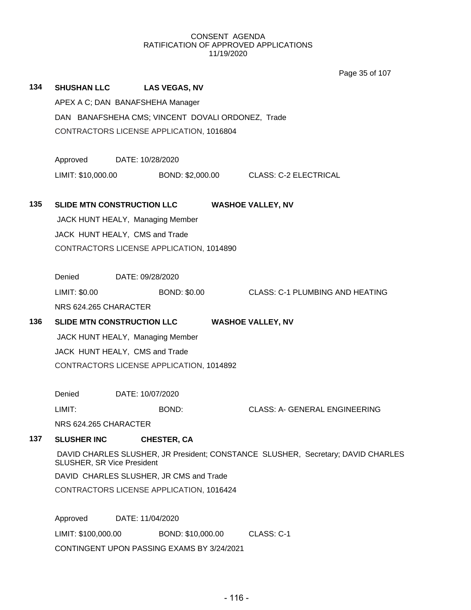Page 35 of 107

| 134 | <b>SHUSHAN LLC</b>                                                                                                    |                                                   | <b>LAS VEGAS, NV</b>                     |  |                                        |
|-----|-----------------------------------------------------------------------------------------------------------------------|---------------------------------------------------|------------------------------------------|--|----------------------------------------|
|     |                                                                                                                       | APEX A C; DAN BANAFSHEHA Manager                  |                                          |  |                                        |
|     |                                                                                                                       | DAN BANAFSHEHA CMS; VINCENT DOVALI ORDONEZ, Trade |                                          |  |                                        |
|     |                                                                                                                       |                                                   | CONTRACTORS LICENSE APPLICATION, 1016804 |  |                                        |
|     |                                                                                                                       |                                                   |                                          |  |                                        |
|     | Approved DATE: 10/28/2020                                                                                             |                                                   |                                          |  |                                        |
|     | LIMIT: \$10,000.00                                                                                                    |                                                   |                                          |  | BOND: \$2,000.00 CLASS: C-2 ELECTRICAL |
| 135 | SLIDE MTN CONSTRUCTION LLC                                                                                            |                                                   |                                          |  | <b>WASHOE VALLEY, NV</b>               |
|     |                                                                                                                       |                                                   |                                          |  |                                        |
|     | JACK HUNT HEALY, Managing Member                                                                                      |                                                   |                                          |  |                                        |
|     | JACK HUNT HEALY, CMS and Trade                                                                                        |                                                   |                                          |  |                                        |
|     |                                                                                                                       | CONTRACTORS LICENSE APPLICATION, 1014890          |                                          |  |                                        |
|     | Denied                                                                                                                | DATE: 09/28/2020                                  |                                          |  |                                        |
|     | LIMIT: \$0.00                                                                                                         |                                                   | <b>BOND: \$0.00</b>                      |  | <b>CLASS: C-1 PLUMBING AND HEATING</b> |
|     | NRS 624.265 CHARACTER                                                                                                 |                                                   |                                          |  |                                        |
| 136 | SLIDE MTN CONSTRUCTION LLC                                                                                            |                                                   |                                          |  | <b>WASHOE VALLEY, NV</b>               |
|     | JACK HUNT HEALY, Managing Member                                                                                      |                                                   |                                          |  |                                        |
|     |                                                                                                                       | JACK HUNT HEALY, CMS and Trade                    |                                          |  |                                        |
|     | CONTRACTORS LICENSE APPLICATION, 1014892                                                                              |                                                   |                                          |  |                                        |
|     |                                                                                                                       |                                                   |                                          |  |                                        |
|     | Denied                                                                                                                | DATE: 10/07/2020                                  |                                          |  |                                        |
|     | LIMIT:                                                                                                                |                                                   | BOND:                                    |  | CLASS: A- GENERAL ENGINEERING          |
|     | NRS 624.265 CHARACTER                                                                                                 |                                                   |                                          |  |                                        |
| 137 | <b>SLUSHER INC</b>                                                                                                    |                                                   | <b>CHESTER, CA</b>                       |  |                                        |
|     | DAVID CHARLES SLUSHER, JR President; CONSTANCE SLUSHER, Secretary; DAVID CHARLES<br><b>SLUSHER, SR Vice President</b> |                                                   |                                          |  |                                        |
|     | DAVID CHARLES SLUSHER, JR CMS and Trade                                                                               |                                                   |                                          |  |                                        |
|     | CONTRACTORS LICENSE APPLICATION, 1016424                                                                              |                                                   |                                          |  |                                        |
|     |                                                                                                                       |                                                   |                                          |  |                                        |
|     | Approved                                                                                                              | DATE: 11/04/2020                                  |                                          |  |                                        |
|     | LIMIT: \$100,000.00                                                                                                   |                                                   | BOND: \$10,000.00                        |  | CLASS: C-1                             |
|     | CONTINGENT UPON PASSING EXAMS BY 3/24/2021                                                                            |                                                   |                                          |  |                                        |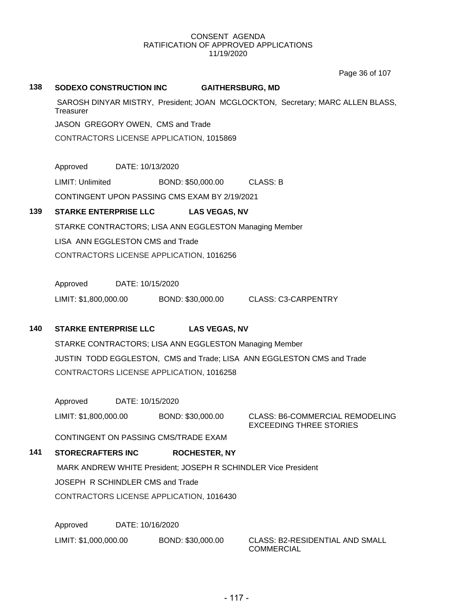Page 36 of 107

### **138 SODEXO CONSTRUCTION INC GAITHERSBURG, MD**

 SAROSH DINYAR MISTRY, President; JOAN MCGLOCKTON, Secretary; MARC ALLEN BLASS, **Treasurer** 

JASON GREGORY OWEN, CMS and Trade

CONTRACTORS LICENSE APPLICATION, 1015869

Approved DATE: 10/13/2020

LIMIT: Unlimited BOND: \$50,000.00 CLASS: B

CONTINGENT UPON PASSING CMS EXAM BY 2/19/2021

# **139 STARKE ENTERPRISE LLC LAS VEGAS, NV**

STARKE CONTRACTORS; LISA ANN EGGLESTON Managing Member LISA ANN EGGLESTON CMS and Trade CONTRACTORS LICENSE APPLICATION, 1016256

Approved DATE: 10/15/2020

LIMIT: \$1,800,000.00 BOND: \$30,000.00 CLASS: C3-CARPENTRY

# **140 STARKE ENTERPRISE LLC LAS VEGAS, NV**

STARKE CONTRACTORS; LISA ANN EGGLESTON Managing Member JUSTIN TODD EGGLESTON, CMS and Trade; LISA ANN EGGLESTON CMS and Trade CONTRACTORS LICENSE APPLICATION, 1016258

Approved DATE: 10/15/2020

LIMIT: \$1,800,000.00 BOND: \$30,000.00 CLASS: B6-COMMERCIAL REMODELING

EXCEEDING THREE STORIES

CONTINGENT ON PASSING CMS/TRADE EXAM

**141 STORECRAFTERS INC ROCHESTER, NY**

MARK ANDREW WHITE President; JOSEPH R SCHINDLER Vice President

JOSEPH R SCHINDLER CMS and Trade

CONTRACTORS LICENSE APPLICATION, 1016430

Approved DATE: 10/16/2020

LIMIT: \$1,000,000.00 BOND: \$30,000.00 CLASS: B2-RESIDENTIAL AND SMALL

**COMMERCIAL**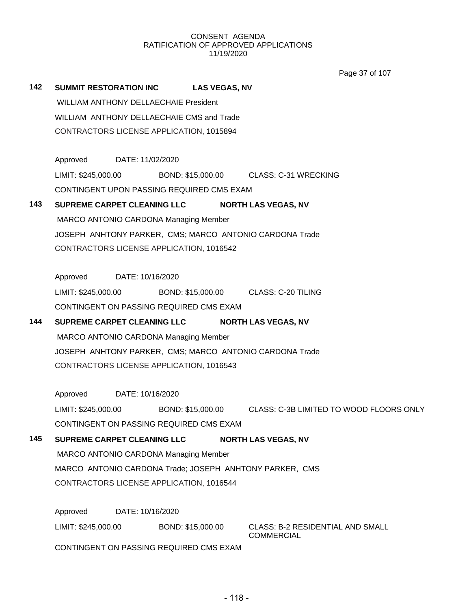Page 37 of 107

**142 SUMMIT RESTORATION INC LAS VEGAS, NV** WILLIAM ANTHONY DELLAECHAIE President WILLIAM ANTHONY DELLAECHAIE CMS and Trade CONTRACTORS LICENSE APPLICATION, 1015894 Approved DATE: 11/02/2020 LIMIT: \$245,000.00 BOND: \$15,000.00 CLASS: C-31 WRECKING CONTINGENT UPON PASSING REQUIRED CMS EXAM **143 SUPREME CARPET CLEANING LLC NORTH LAS VEGAS, NV** MARCO ANTONIO CARDONA Managing Member JOSEPH ANHTONY PARKER, CMS; MARCO ANTONIO CARDONA Trade CONTRACTORS LICENSE APPLICATION, 1016542 Approved DATE: 10/16/2020 LIMIT: \$245,000.00 BOND: \$15,000.00 CLASS: C-20 TILING CONTINGENT ON PASSING REQUIRED CMS EXAM **144 SUPREME CARPET CLEANING LLC NORTH LAS VEGAS, NV** MARCO ANTONIO CARDONA Managing Member JOSEPH ANHTONY PARKER, CMS; MARCO ANTONIO CARDONA Trade CONTRACTORS LICENSE APPLICATION, 1016543 Approved DATE: 10/16/2020 LIMIT: \$245,000.00 BOND: \$15,000.00 CLASS: C-3B LIMITED TO WOOD FLOORS ONLY CONTINGENT ON PASSING REQUIRED CMS EXAM **145 SUPREME CARPET CLEANING LLC NORTH LAS VEGAS, NV** MARCO ANTONIO CARDONA Managing Member MARCO ANTONIO CARDONA Trade; JOSEPH ANHTONY PARKER, CMS CONTRACTORS LICENSE APPLICATION, 1016544 Approved DATE: 10/16/2020 LIMIT: \$245,000.00 BOND: \$15,000.00 CLASS: B-2 RESIDENTIAL AND SMALL **COMMERCIAL** CONTINGENT ON PASSING REQUIRED CMS EXAM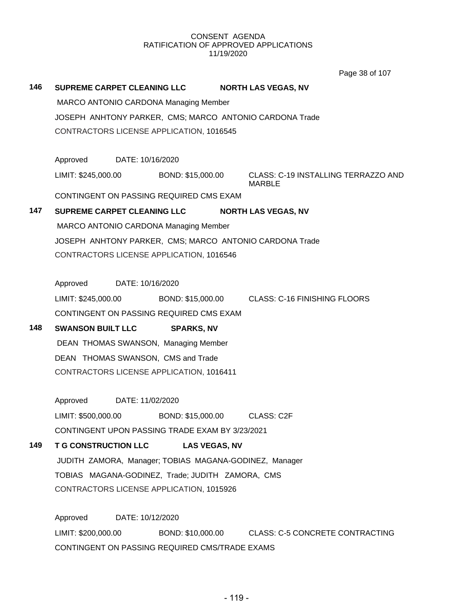Page 38 of 107

| 146                                                                                                     | SUPREME CARPET CLEANING LLC                             | <b>NORTH LAS VEGAS, NV</b>                           |                                          |  |  |
|---------------------------------------------------------------------------------------------------------|---------------------------------------------------------|------------------------------------------------------|------------------------------------------|--|--|
| <b>MARCO ANTONIO CARDONA Managing Member</b><br>JOSEPH ANHTONY PARKER, CMS; MARCO ANTONIO CARDONA Trade |                                                         |                                                      |                                          |  |  |
|                                                                                                         |                                                         |                                                      | CONTRACTORS LICENSE APPLICATION, 1016545 |  |  |
|                                                                                                         | Approved DATE: 10/16/2020                               |                                                      |                                          |  |  |
|                                                                                                         | LIMIT: \$245,000.00<br>BOND: \$15,000.00                | CLASS: C-19 INSTALLING TERRAZZO AND<br><b>MARBLE</b> |                                          |  |  |
|                                                                                                         | CONTINGENT ON PASSING REQUIRED CMS EXAM                 |                                                      |                                          |  |  |
| 147                                                                                                     | SUPREME CARPET CLEANING LLC                             | <b>NORTH LAS VEGAS, NV</b>                           |                                          |  |  |
|                                                                                                         | MARCO ANTONIO CARDONA Managing Member                   |                                                      |                                          |  |  |
|                                                                                                         | JOSEPH ANHTONY PARKER, CMS; MARCO ANTONIO CARDONA Trade |                                                      |                                          |  |  |
|                                                                                                         | CONTRACTORS LICENSE APPLICATION, 1016546                |                                                      |                                          |  |  |
|                                                                                                         |                                                         |                                                      |                                          |  |  |
|                                                                                                         | Approved DATE: 10/16/2020                               |                                                      |                                          |  |  |
|                                                                                                         | LIMIT: \$245,000.00                                     | BOND: \$15,000.00 CLASS: C-16 FINISHING FLOORS       |                                          |  |  |
|                                                                                                         | CONTINGENT ON PASSING REQUIRED CMS EXAM                 |                                                      |                                          |  |  |
| 148                                                                                                     | <b>SWANSON BUILT LLC</b><br><b>SPARKS, NV</b>           |                                                      |                                          |  |  |
| DEAN THOMAS SWANSON, Managing Member                                                                    |                                                         |                                                      |                                          |  |  |
|                                                                                                         | DEAN THOMAS SWANSON, CMS and Trade                      |                                                      |                                          |  |  |
| CONTRACTORS LICENSE APPLICATION, 1016411                                                                |                                                         |                                                      |                                          |  |  |
|                                                                                                         | Approved DATE: 11/02/2020                               |                                                      |                                          |  |  |
|                                                                                                         | LIMIT: \$500,000.00<br>BOND: \$15,000.00                | CLASS: C2F                                           |                                          |  |  |
|                                                                                                         | CONTINGENT UPON PASSING TRADE EXAM BY 3/23/2021         |                                                      |                                          |  |  |
| 149                                                                                                     | <b>T G CONSTRUCTION LLC</b><br><b>LAS VEGAS, NV</b>     |                                                      |                                          |  |  |
|                                                                                                         | JUDITH ZAMORA, Manager; TOBIAS MAGANA-GODINEZ, Manager  |                                                      |                                          |  |  |
|                                                                                                         | TOBIAS MAGANA-GODINEZ, Trade; JUDITH ZAMORA, CMS        |                                                      |                                          |  |  |
|                                                                                                         | CONTRACTORS LICENSE APPLICATION, 1015926                |                                                      |                                          |  |  |
|                                                                                                         |                                                         |                                                      |                                          |  |  |
|                                                                                                         | Approved<br>DATE: 10/12/2020                            |                                                      |                                          |  |  |
|                                                                                                         | LIMIT: \$200,000.00<br>BOND: \$10,000.00                | <b>CLASS: C-5 CONCRETE CONTRACTING</b>               |                                          |  |  |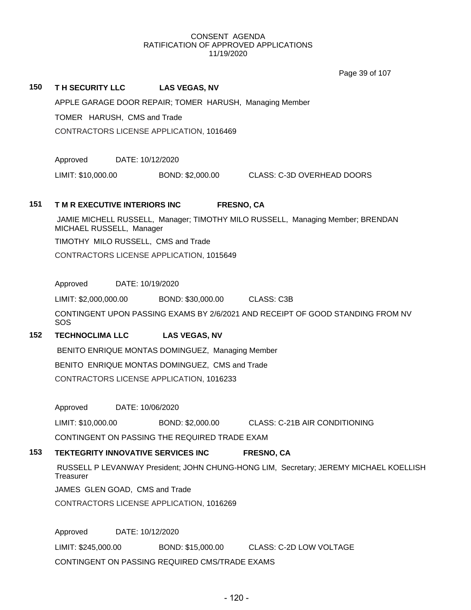Page 39 of 107

# **150 T H SECURITY LLC LAS VEGAS, NV**

APPLE GARAGE DOOR REPAIR; TOMER HARUSH, Managing Member

TOMER HARUSH, CMS and Trade

CONTRACTORS LICENSE APPLICATION, 1016469

Approved DATE: 10/12/2020

LIMIT: \$10,000.00 BOND: \$2,000.00 CLASS: C-3D OVERHEAD DOORS

### **151 T M R EXECUTIVE INTERIORS INC FRESNO, CA**

 JAMIE MICHELL RUSSELL, Manager; TIMOTHY MILO RUSSELL, Managing Member; BRENDAN MICHAEL RUSSELL, Manager

TIMOTHY MILO RUSSELL, CMS and Trade

CONTRACTORS LICENSE APPLICATION, 1015649

Approved DATE: 10/19/2020

LIMIT: \$2,000,000.00 BOND: \$30,000.00 CLASS: C3B

CONTINGENT UPON PASSING EXAMS BY 2/6/2021 AND RECEIPT OF GOOD STANDING FROM NV SOS

# **152 TECHNOCLIMA LLC LAS VEGAS, NV**

 BENITO ENRIQUE MONTAS DOMINGUEZ, Managing Member BENITO ENRIQUE MONTAS DOMINGUEZ, CMS and Trade CONTRACTORS LICENSE APPLICATION, 1016233

Approved DATE: 10/06/2020

LIMIT: \$10,000.00 BOND: \$2,000.00 CLASS: C-21B AIR CONDITIONING

CONTINGENT ON PASSING THE REQUIRED TRADE EXAM

# **153 TEKTEGRITY INNOVATIVE SERVICES INC FRESNO, CA**

 RUSSELL P LEVANWAY President; JOHN CHUNG-HONG LIM, Secretary; JEREMY MICHAEL KOELLISH **Treasurer** 

JAMES GLEN GOAD, CMS and Trade

CONTRACTORS LICENSE APPLICATION, 1016269

Approved DATE: 10/12/2020

LIMIT: \$245,000.00 BOND: \$15,000.00 CLASS: C-2D LOW VOLTAGE

CONTINGENT ON PASSING REQUIRED CMS/TRADE EXAMS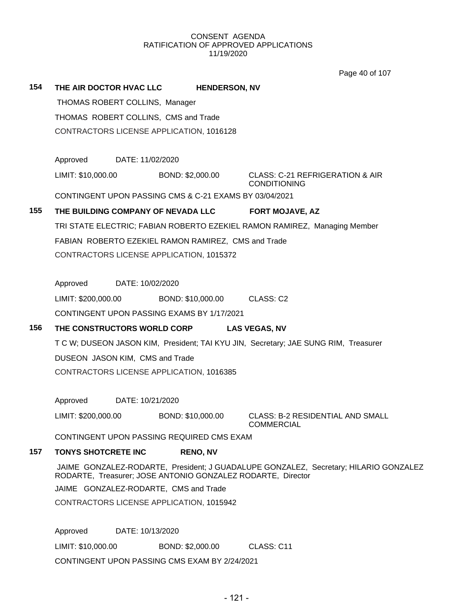Page 40 of 107

| 154 | THE AIR DOCTOR HVAC LLC                                                                                                                                            | <b>HENDERSON, NV</b> |                                                                           |  |
|-----|--------------------------------------------------------------------------------------------------------------------------------------------------------------------|----------------------|---------------------------------------------------------------------------|--|
|     | THOMAS ROBERT COLLINS, Manager                                                                                                                                     |                      |                                                                           |  |
|     | THOMAS ROBERT COLLINS, CMS and Trade                                                                                                                               |                      |                                                                           |  |
|     | CONTRACTORS LICENSE APPLICATION, 1016128                                                                                                                           |                      |                                                                           |  |
|     | Approved<br>DATE: 11/02/2020                                                                                                                                       |                      |                                                                           |  |
|     | LIMIT: \$10,000.00                                                                                                                                                 | BOND: \$2,000.00     | CLASS: C-21 REFRIGERATION & AIR<br><b>CONDITIONING</b>                    |  |
|     | CONTINGENT UPON PASSING CMS & C-21 EXAMS BY 03/04/2021                                                                                                             |                      |                                                                           |  |
| 155 | THE BUILDING COMPANY OF NEVADA LLC                                                                                                                                 |                      | <b>FORT MOJAVE, AZ</b>                                                    |  |
|     |                                                                                                                                                                    |                      | TRI STATE ELECTRIC; FABIAN ROBERTO EZEKIEL RAMON RAMIREZ, Managing Member |  |
|     | FABIAN ROBERTO EZEKIEL RAMON RAMIREZ, CMS and Trade                                                                                                                |                      |                                                                           |  |
|     | CONTRACTORS LICENSE APPLICATION, 1015372                                                                                                                           |                      |                                                                           |  |
|     | Approved<br>DATE: 10/02/2020                                                                                                                                       |                      |                                                                           |  |
|     | LIMIT: \$200,000.00                                                                                                                                                | BOND: \$10,000.00    | CLASS: C2                                                                 |  |
|     | CONTINGENT UPON PASSING EXAMS BY 1/17/2021                                                                                                                         |                      |                                                                           |  |
| 156 | THE CONSTRUCTORS WORLD CORP                                                                                                                                        |                      | <b>LAS VEGAS, NV</b>                                                      |  |
|     | T C W; DUSEON JASON KIM, President; TAI KYU JIN, Secretary; JAE SUNG RIM, Treasurer<br>DUSEON JASON KIM, CMS and Trade<br>CONTRACTORS LICENSE APPLICATION, 1016385 |                      |                                                                           |  |
|     |                                                                                                                                                                    |                      |                                                                           |  |
|     |                                                                                                                                                                    |                      |                                                                           |  |
|     | Approved<br>DATE: 10/21/2020                                                                                                                                       |                      |                                                                           |  |
|     | LIMIT: \$200,000.00                                                                                                                                                | BOND: \$10,000.00    | <b>CLASS: B-2 RESIDENTIAL AND SMALL</b><br>COMMERCIAL                     |  |
|     | CONTINGENT UPON PASSING REQUIRED CMS EXAM                                                                                                                          |                      |                                                                           |  |
| 157 | <b>TONYS SHOTCRETE INC</b>                                                                                                                                         | <b>RENO, NV</b>      |                                                                           |  |
|     | JAIME GONZALEZ-RODARTE, President; J GUADALUPE GONZALEZ, Secretary; HILARIO GONZALEZ<br>RODARTE, Treasurer; JOSE ANTONIO GONZALEZ RODARTE, Director                |                      |                                                                           |  |
|     | JAIME GONZALEZ-RODARTE, CMS and Trade                                                                                                                              |                      |                                                                           |  |
|     | CONTRACTORS LICENSE APPLICATION, 1015942                                                                                                                           |                      |                                                                           |  |
|     | Approved<br>DATE: 10/13/2020                                                                                                                                       |                      |                                                                           |  |
|     | LIMIT: \$10,000.00                                                                                                                                                 | BOND: \$2,000.00     | CLASS: C11                                                                |  |
|     | CONTINGENT UPON PASSING CMS EXAM BY 2/24/2021                                                                                                                      |                      |                                                                           |  |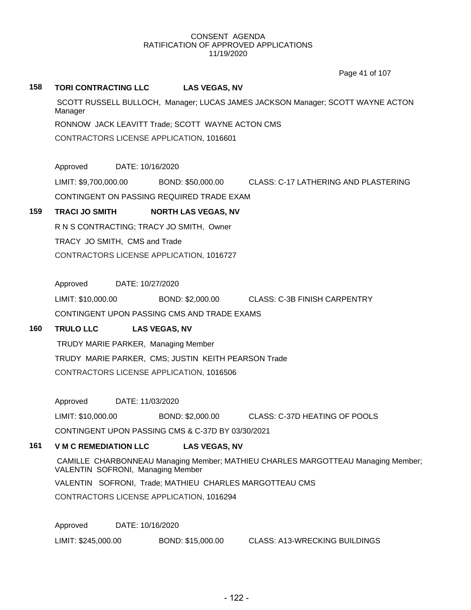Page 41 of 107

# **158 TORI CONTRACTING LLC LAS VEGAS, NV**

 SCOTT RUSSELL BULLOCH, Manager; LUCAS JAMES JACKSON Manager; SCOTT WAYNE ACTON Manager RONNOW JACK LEAVITT Trade; SCOTT WAYNE ACTON CMS CONTRACTORS LICENSE APPLICATION, 1016601

Approved DATE: 10/16/2020

LIMIT: \$9,700,000.00 BOND: \$50,000.00 CLASS: C-17 LATHERING AND PLASTERING CONTINGENT ON PASSING REQUIRED TRADE EXAM

# **159 TRACI JO SMITH NORTH LAS VEGAS, NV**

R N S CONTRACTING; TRACY JO SMITH, Owner

TRACY JO SMITH, CMS and Trade

CONTRACTORS LICENSE APPLICATION, 1016727

Approved DATE: 10/27/2020

LIMIT: \$10,000.00 BOND: \$2,000.00 CLASS: C-3B FINISH CARPENTRY CONTINGENT UPON PASSING CMS AND TRADE EXAMS

# **160 TRULO LLC LAS VEGAS, NV**

 TRUDY MARIE PARKER, Managing Member TRUDY MARIE PARKER, CMS; JUSTIN KEITH PEARSON Trade CONTRACTORS LICENSE APPLICATION, 1016506

Approved DATE: 11/03/2020

LIMIT: \$10,000.00 BOND: \$2,000.00 CLASS: C-37D HEATING OF POOLS

CONTINGENT UPON PASSING CMS & C-37D BY 03/30/2021

**161 V M C REMEDIATION LLC LAS VEGAS, NV**

 CAMILLE CHARBONNEAU Managing Member; MATHIEU CHARLES MARGOTTEAU Managing Member; VALENTIN SOFRONI, Managing Member VALENTIN SOFRONI, Trade; MATHIEU CHARLES MARGOTTEAU CMS

CONTRACTORS LICENSE APPLICATION, 1016294

Approved DATE: 10/16/2020

LIMIT: \$245,000.00 BOND: \$15,000.00 CLASS: A13-WRECKING BUILDINGS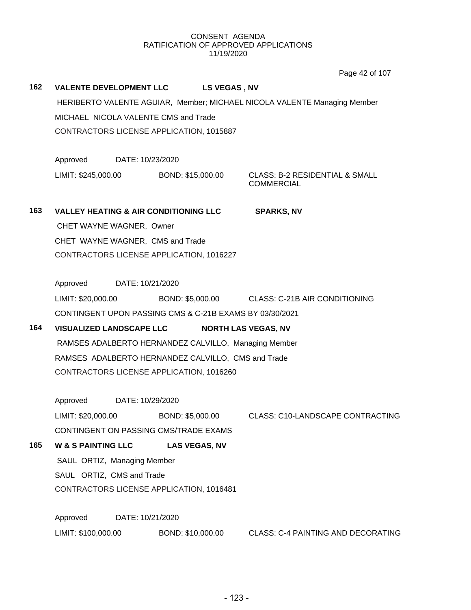Page 42 of 107

### **162 VALENTE DEVELOPMENT LLC LS VEGAS , NV**

 HERIBERTO VALENTE AGUIAR, Member; MICHAEL NICOLA VALENTE Managing Member MICHAEL NICOLA VALENTE CMS and Trade CONTRACTORS LICENSE APPLICATION, 1015887

Approved DATE: 10/23/2020 LIMIT: \$245,000.00 BOND: \$15,000.00 CLASS: B-2 RESIDENTIAL & SMALL

**COMMERCIAL** 

# **163 VALLEY HEATING & AIR CONDITIONING LLC SPARKS, NV** CHET WAYNE WAGNER, Owner CHET WAYNE WAGNER, CMS and Trade CONTRACTORS LICENSE APPLICATION, 1016227

Approved DATE: 10/21/2020

LIMIT: \$20,000.00 BOND: \$5,000.00 CLASS: C-21B AIR CONDITIONING CONTINGENT UPON PASSING CMS & C-21B EXAMS BY 03/30/2021

# **164 VISUALIZED LANDSCAPE LLC NORTH LAS VEGAS, NV** RAMSES ADALBERTO HERNANDEZ CALVILLO, Managing Member RAMSES ADALBERTO HERNANDEZ CALVILLO, CMS and Trade CONTRACTORS LICENSE APPLICATION, 1016260

Approved DATE: 10/29/2020 LIMIT: \$20,000.00 BOND: \$5,000.00 CLASS: C10-LANDSCAPE CONTRACTING CONTINGENT ON PASSING CMS/TRADE EXAMS

**165 W & S PAINTING LLC LAS VEGAS, NV** SAUL ORTIZ, Managing Member SAUL ORTIZ, CMS and Trade CONTRACTORS LICENSE APPLICATION, 1016481

Approved DATE: 10/21/2020 LIMIT: \$100,000.00 BOND: \$10,000.00 CLASS: C-4 PAINTING AND DECORATING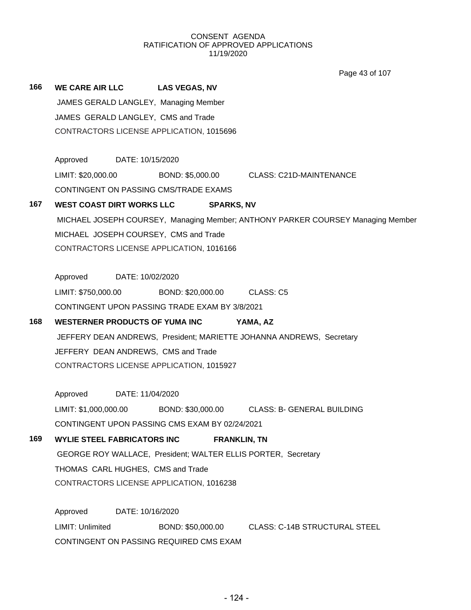Page 43 of 107

| 166 | <b>WE CARE AIR LLC</b>                                               | <b>LAS VEGAS, NV</b>                                          |                                                                                 |  |  |
|-----|----------------------------------------------------------------------|---------------------------------------------------------------|---------------------------------------------------------------------------------|--|--|
|     | JAMES GERALD LANGLEY, Managing Member                                |                                                               |                                                                                 |  |  |
|     | JAMES GERALD LANGLEY, CMS and Trade                                  |                                                               |                                                                                 |  |  |
|     |                                                                      | CONTRACTORS LICENSE APPLICATION, 1015696                      |                                                                                 |  |  |
|     | Approved<br>DATE: 10/15/2020                                         |                                                               |                                                                                 |  |  |
|     | LIMIT: \$20,000.00                                                   |                                                               | BOND: \$5,000.00 CLASS: C21D-MAINTENANCE                                        |  |  |
|     | CONTINGENT ON PASSING CMS/TRADE EXAMS                                |                                                               |                                                                                 |  |  |
| 167 | <b>WEST COAST DIRT WORKS LLC</b>                                     | <b>SPARKS, NV</b>                                             |                                                                                 |  |  |
|     |                                                                      |                                                               | MICHAEL JOSEPH COURSEY, Managing Member; ANTHONY PARKER COURSEY Managing Member |  |  |
|     | MICHAEL JOSEPH COURSEY, CMS and Trade                                |                                                               |                                                                                 |  |  |
|     |                                                                      | CONTRACTORS LICENSE APPLICATION, 1016166                      |                                                                                 |  |  |
|     |                                                                      |                                                               |                                                                                 |  |  |
|     | Approved DATE: 10/02/2020                                            |                                                               |                                                                                 |  |  |
|     | LIMIT: \$750,000.00                                                  | BOND: \$20,000.00 CLASS: C5                                   |                                                                                 |  |  |
|     |                                                                      | CONTINGENT UPON PASSING TRADE EXAM BY 3/8/2021                |                                                                                 |  |  |
| 168 | WESTERNER PRODUCTS OF YUMA INC                                       |                                                               | YAMA, AZ                                                                        |  |  |
|     | JEFFERY DEAN ANDREWS, President; MARIETTE JOHANNA ANDREWS, Secretary |                                                               |                                                                                 |  |  |
|     | JEFFERY DEAN ANDREWS, CMS and Trade                                  |                                                               |                                                                                 |  |  |
|     |                                                                      | CONTRACTORS LICENSE APPLICATION, 1015927                      |                                                                                 |  |  |
|     | Approved DATE: 11/04/2020                                            |                                                               |                                                                                 |  |  |
|     | LIMIT: \$1,000,000.00                                                |                                                               | BOND: \$30,000.00 CLASS: B- GENERAL BUILDING                                    |  |  |
|     |                                                                      | CONTINGENT UPON PASSING CMS EXAM BY 02/24/2021                |                                                                                 |  |  |
| 169 | <b>WYLIE STEEL FABRICATORS INC</b>                                   |                                                               | <b>FRANKLIN, TN</b>                                                             |  |  |
|     |                                                                      | GEORGE ROY WALLACE, President; WALTER ELLIS PORTER, Secretary |                                                                                 |  |  |
|     | THOMAS CARL HUGHES, CMS and Trade                                    |                                                               |                                                                                 |  |  |
|     |                                                                      | CONTRACTORS LICENSE APPLICATION, 1016238                      |                                                                                 |  |  |
|     | Approved                                                             | DATE: 10/16/2020                                              |                                                                                 |  |  |
|     | LIMIT: Unlimited                                                     | BOND: \$50,000.00                                             | <b>CLASS: C-14B STRUCTURAL STEEL</b>                                            |  |  |
|     |                                                                      | CONTINGENT ON PASSING REQUIRED CMS EXAM                       |                                                                                 |  |  |
|     |                                                                      |                                                               |                                                                                 |  |  |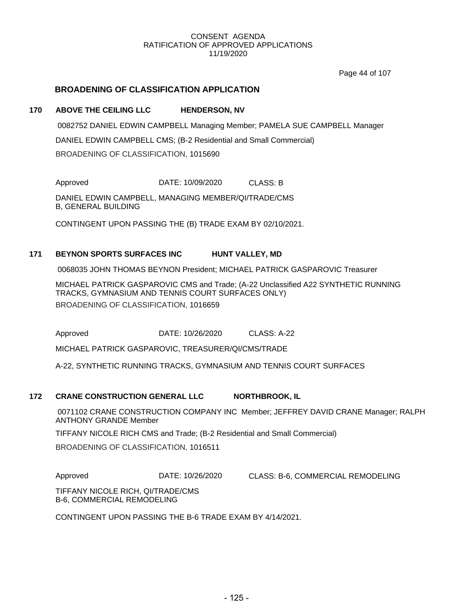Page 44 of 107

# **BROADENING OF CLASSIFICATION APPLICATION**

### **170 ABOVE THE CEILING LLC HENDERSON, NV**

 0082752 DANIEL EDWIN CAMPBELL Managing Member; PAMELA SUE CAMPBELL Manager DANIEL EDWIN CAMPBELL CMS; (B-2 Residential and Small Commercial) BROADENING OF CLASSIFICATION, 1015690

Approved DATE: 10/09/2020 CLASS: B

DANIEL EDWIN CAMPBELL, MANAGING MEMBER/QI/TRADE/CMS B, GENERAL BUILDING

CONTINGENT UPON PASSING THE (B) TRADE EXAM BY 02/10/2021.

### **171 BEYNON SPORTS SURFACES INC HUNT VALLEY, MD**

0068035 JOHN THOMAS BEYNON President; MICHAEL PATRICK GASPAROVIC Treasurer

MICHAEL PATRICK GASPAROVIC CMS and Trade; (A-22 Unclassified A22 SYNTHETIC RUNNING TRACKS, GYMNASIUM AND TENNIS COURT SURFACES ONLY) BROADENING OF CLASSIFICATION, 1016659

Approved DATE: 10/26/2020 CLASS: A-22

MICHAEL PATRICK GASPAROVIC, TREASURER/QI/CMS/TRADE

A-22, SYNTHETIC RUNNING TRACKS, GYMNASIUM AND TENNIS COURT SURFACES

### **172 CRANE CONSTRUCTION GENERAL LLC NORTHBROOK, IL**

 0071102 CRANE CONSTRUCTION COMPANY INC Member; JEFFREY DAVID CRANE Manager; RALPH ANTHONY GRANDE Member

TIFFANY NICOLE RICH CMS and Trade; (B-2 Residential and Small Commercial)

BROADENING OF CLASSIFICATION, 1016511

Approved DATE: 10/26/2020 CLASS: B-6, COMMERCIAL REMODELING

TIFFANY NICOLE RICH, QI/TRADE/CMS B-6, COMMERCIAL REMODELING

CONTINGENT UPON PASSING THE B-6 TRADE EXAM BY 4/14/2021.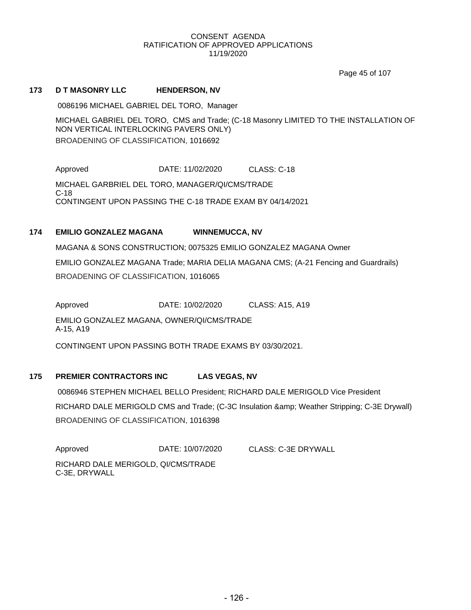Page 45 of 107

### **173 D T MASONRY LLC HENDERSON, NV**

0086196 MICHAEL GABRIEL DEL TORO, Manager

MICHAEL GABRIEL DEL TORO, CMS and Trade; (C-18 Masonry LIMITED TO THE INSTALLATION OF NON VERTICAL INTERLOCKING PAVERS ONLY) BROADENING OF CLASSIFICATION, 1016692

Approved DATE: 11/02/2020 CLASS: C-18 MICHAEL GARBRIEL DEL TORO, MANAGER/QI/CMS/TRADE C-18 CONTINGENT UPON PASSING THE C-18 TRADE EXAM BY 04/14/2021

# **174 EMILIO GONZALEZ MAGANA WINNEMUCCA, NV**

MAGANA & SONS CONSTRUCTION; 0075325 EMILIO GONZALEZ MAGANA Owner EMILIO GONZALEZ MAGANA Trade; MARIA DELIA MAGANA CMS; (A-21 Fencing and Guardrails) BROADENING OF CLASSIFICATION, 1016065

Approved DATE: 10/02/2020 CLASS: A15, A19 EMILIO GONZALEZ MAGANA, OWNER/QI/CMS/TRADE A-15, A19

CONTINGENT UPON PASSING BOTH TRADE EXAMS BY 03/30/2021.

# **175 PREMIER CONTRACTORS INC LAS VEGAS, NV**

 0086946 STEPHEN MICHAEL BELLO President; RICHARD DALE MERIGOLD Vice President RICHARD DALE MERIGOLD CMS and Trade; (C-3C Insulation & amp; Weather Stripping; C-3E Drywall) BROADENING OF CLASSIFICATION, 1016398

Approved DATE: 10/07/2020 CLASS: C-3E DRYWALL RICHARD DALE MERIGOLD, QI/CMS/TRADE C-3E, DRYWALL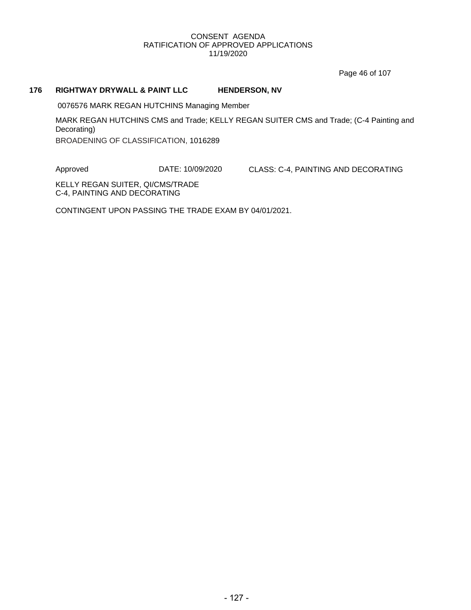Page 46 of 107

### **176 RIGHTWAY DRYWALL & PAINT LLC HENDERSON, NV**

0076576 MARK REGAN HUTCHINS Managing Member

MARK REGAN HUTCHINS CMS and Trade; KELLY REGAN SUITER CMS and Trade; (C-4 Painting and Decorating) BROADENING OF CLASSIFICATION, 1016289

Approved DATE: 10/09/2020 CLASS: C-4, PAINTING AND DECORATING

KELLY REGAN SUITER, QI/CMS/TRADE C-4, PAINTING AND DECORATING

CONTINGENT UPON PASSING THE TRADE EXAM BY 04/01/2021.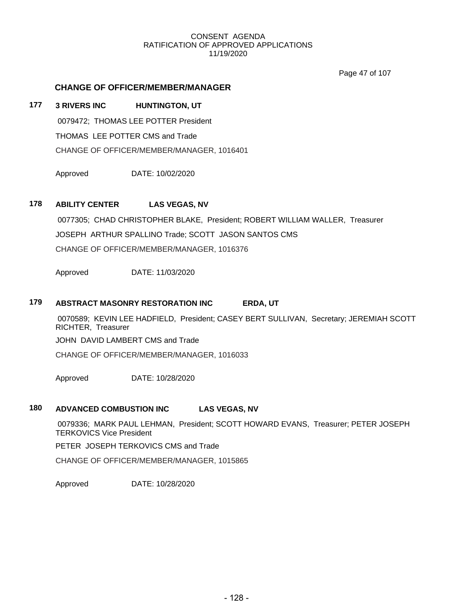Page 47 of 107

# **CHANGE OF OFFICER/MEMBER/MANAGER**

# **177 3 RIVERS INC HUNTINGTON, UT**

 0079472; THOMAS LEE POTTER President THOMAS LEE POTTER CMS and Trade CHANGE OF OFFICER/MEMBER/MANAGER, 1016401

Approved DATE: 10/02/2020

# **178 ABILITY CENTER LAS VEGAS, NV**

 0077305; CHAD CHRISTOPHER BLAKE, President; ROBERT WILLIAM WALLER, Treasurer JOSEPH ARTHUR SPALLINO Trade; SCOTT JASON SANTOS CMS CHANGE OF OFFICER/MEMBER/MANAGER, 1016376

Approved DATE: 11/03/2020

# **179 ABSTRACT MASONRY RESTORATION INC ERDA, UT**

 0070589; KEVIN LEE HADFIELD, President; CASEY BERT SULLIVAN, Secretary; JEREMIAH SCOTT RICHTER, Treasurer

JOHN DAVID LAMBERT CMS and Trade

CHANGE OF OFFICER/MEMBER/MANAGER, 1016033

Approved DATE: 10/28/2020

# **180 ADVANCED COMBUSTION INC LAS VEGAS, NV**

 0079336; MARK PAUL LEHMAN, President; SCOTT HOWARD EVANS, Treasurer; PETER JOSEPH TERKOVICS Vice President

PETER JOSEPH TERKOVICS CMS and Trade

CHANGE OF OFFICER/MEMBER/MANAGER, 1015865

Approved DATE: 10/28/2020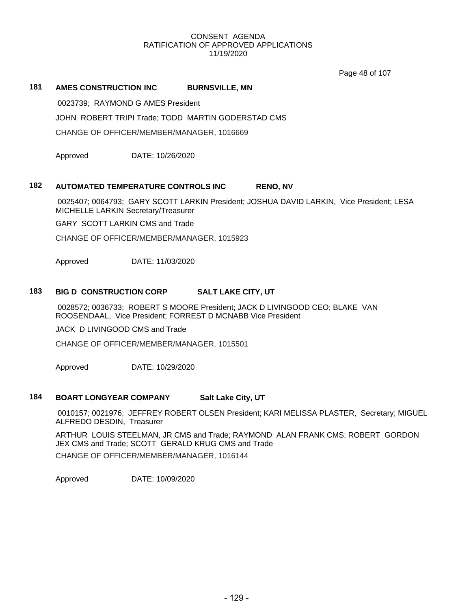Page 48 of 107

# **181 AMES CONSTRUCTION INC BURNSVILLE, MN**

0023739; RAYMOND G AMES President

JOHN ROBERT TRIPI Trade; TODD MARTIN GODERSTAD CMS

CHANGE OF OFFICER/MEMBER/MANAGER, 1016669

Approved DATE: 10/26/2020

### **182 AUTOMATED TEMPERATURE CONTROLS INC RENO, NV**

 0025407; 0064793; GARY SCOTT LARKIN President; JOSHUA DAVID LARKIN, Vice President; LESA MICHELLE LARKIN Secretary/Treasurer

GARY SCOTT LARKIN CMS and Trade

CHANGE OF OFFICER/MEMBER/MANAGER, 1015923

Approved DATE: 11/03/2020

### **183 BIG D CONSTRUCTION CORP SALT LAKE CITY, UT**

 0028572; 0036733; ROBERT S MOORE President; JACK D LIVINGOOD CEO; BLAKE VAN ROOSENDAAL, Vice President; FORREST D MCNABB Vice President

JACK D LIVINGOOD CMS and Trade

CHANGE OF OFFICER/MEMBER/MANAGER, 1015501

Approved DATE: 10/29/2020

### **184 BOART LONGYEAR COMPANY Salt Lake City, UT**

 0010157; 0021976; JEFFREY ROBERT OLSEN President; KARI MELISSA PLASTER, Secretary; MIGUEL ALFREDO DESDIN, Treasurer

ARTHUR LOUIS STEELMAN, JR CMS and Trade; RAYMOND ALAN FRANK CMS; ROBERT GORDON JEX CMS and Trade; SCOTT GERALD KRUG CMS and Trade CHANGE OF OFFICER/MEMBER/MANAGER, 1016144

Approved DATE: 10/09/2020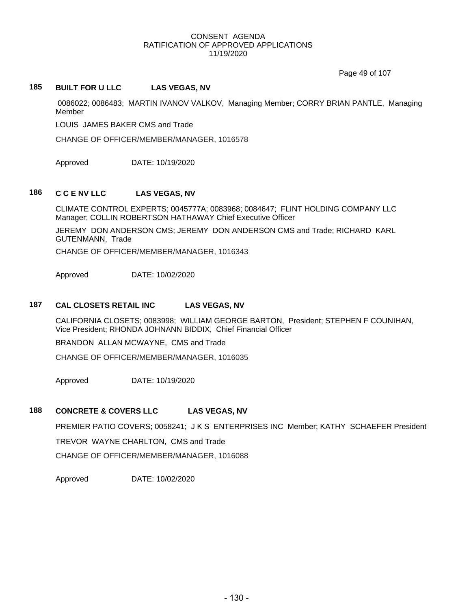Page 49 of 107

### **185 BUILT FOR U LLC LAS VEGAS, NV**

 0086022; 0086483; MARTIN IVANOV VALKOV, Managing Member; CORRY BRIAN PANTLE, Managing Member

LOUIS JAMES BAKER CMS and Trade

CHANGE OF OFFICER/MEMBER/MANAGER, 1016578

Approved DATE: 10/19/2020

### **186 C C E NV LLC LAS VEGAS, NV**

CLIMATE CONTROL EXPERTS; 0045777A; 0083968; 0084647; FLINT HOLDING COMPANY LLC Manager; COLLIN ROBERTSON HATHAWAY Chief Executive Officer

JEREMY DON ANDERSON CMS; JEREMY DON ANDERSON CMS and Trade; RICHARD KARL GUTENMANN, Trade

CHANGE OF OFFICER/MEMBER/MANAGER, 1016343

Approved DATE: 10/02/2020

# **187 CAL CLOSETS RETAIL INC LAS VEGAS, NV**

CALIFORNIA CLOSETS; 0083998; WILLIAM GEORGE BARTON, President; STEPHEN F COUNIHAN, Vice President; RHONDA JOHNANN BIDDIX, Chief Financial Officer

BRANDON ALLAN MCWAYNE, CMS and Trade

CHANGE OF OFFICER/MEMBER/MANAGER, 1016035

Approved DATE: 10/19/2020

### **188 CONCRETE & COVERS LLC LAS VEGAS, NV**

PREMIER PATIO COVERS; 0058241; J K S ENTERPRISES INC Member; KATHY SCHAEFER President

TREVOR WAYNE CHARLTON, CMS and Trade

CHANGE OF OFFICER/MEMBER/MANAGER, 1016088

Approved DATE: 10/02/2020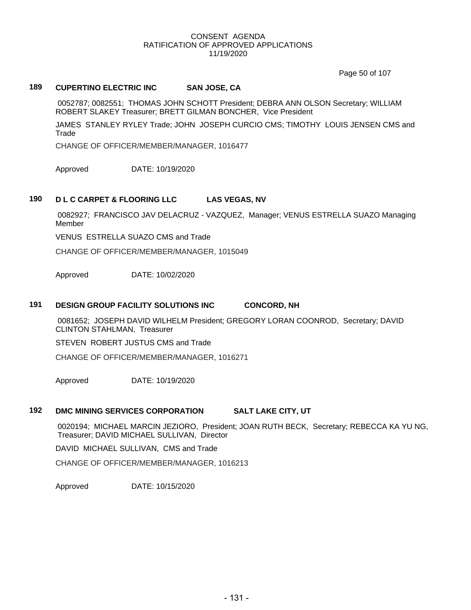Page 50 of 107

# **189 CUPERTINO ELECTRIC INC SAN JOSE, CA**

 0052787; 0082551; THOMAS JOHN SCHOTT President; DEBRA ANN OLSON Secretary; WILLIAM ROBERT SLAKEY Treasurer; BRETT GILMAN BONCHER, Vice President

JAMES STANLEY RYLEY Trade; JOHN JOSEPH CURCIO CMS; TIMOTHY LOUIS JENSEN CMS and **Trade** 

CHANGE OF OFFICER/MEMBER/MANAGER, 1016477

Approved DATE: 10/19/2020

# **190 D L C CARPET & FLOORING LLC LAS VEGAS, NV**

 0082927; FRANCISCO JAV DELACRUZ - VAZQUEZ, Manager; VENUS ESTRELLA SUAZO Managing Member

VENUS ESTRELLA SUAZO CMS and Trade

CHANGE OF OFFICER/MEMBER/MANAGER, 1015049

Approved DATE: 10/02/2020

### **191 DESIGN GROUP FACILITY SOLUTIONS INC CONCORD, NH**

 0081652; JOSEPH DAVID WILHELM President; GREGORY LORAN COONROD, Secretary; DAVID CLINTON STAHLMAN, Treasurer

STEVEN ROBERT JUSTUS CMS and Trade

CHANGE OF OFFICER/MEMBER/MANAGER, 1016271

Approved DATE: 10/19/2020

# **192 DMC MINING SERVICES CORPORATION SALT LAKE CITY, UT**

 0020194; MICHAEL MARCIN JEZIORO, President; JOAN RUTH BECK, Secretary; REBECCA KA YU NG, Treasurer; DAVID MICHAEL SULLIVAN, Director

DAVID MICHAEL SULLIVAN, CMS and Trade

CHANGE OF OFFICER/MEMBER/MANAGER, 1016213

Approved DATE: 10/15/2020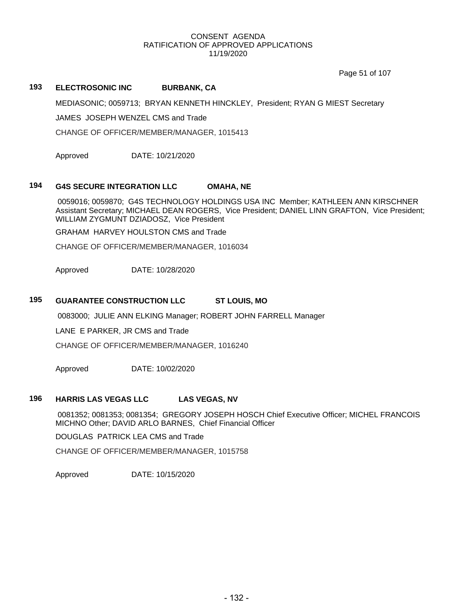Page 51 of 107

### **193 ELECTROSONIC INC BURBANK, CA**

MEDIASONIC; 0059713; BRYAN KENNETH HINCKLEY, President; RYAN G MIEST Secretary

JAMES JOSEPH WENZEL CMS and Trade

CHANGE OF OFFICER/MEMBER/MANAGER, 1015413

Approved DATE: 10/21/2020

### **194 G4S SECURE INTEGRATION LLC OMAHA, NE**

 0059016; 0059870; G4S TECHNOLOGY HOLDINGS USA INC Member; KATHLEEN ANN KIRSCHNER Assistant Secretary; MICHAEL DEAN ROGERS, Vice President; DANIEL LINN GRAFTON, Vice President; WILLIAM ZYGMUNT DZIADOSZ, Vice President

GRAHAM HARVEY HOULSTON CMS and Trade

CHANGE OF OFFICER/MEMBER/MANAGER, 1016034

Approved DATE: 10/28/2020

### **195 GUARANTEE CONSTRUCTION LLC ST LOUIS, MO**

0083000; JULIE ANN ELKING Manager; ROBERT JOHN FARRELL Manager

LANE E PARKER, JR CMS and Trade

CHANGE OF OFFICER/MEMBER/MANAGER, 1016240

Approved DATE: 10/02/2020

### **196 HARRIS LAS VEGAS LLC LAS VEGAS, NV**

 0081352; 0081353; 0081354; GREGORY JOSEPH HOSCH Chief Executive Officer; MICHEL FRANCOIS MICHNO Other; DAVID ARLO BARNES, Chief Financial Officer

DOUGLAS PATRICK LEA CMS and Trade

CHANGE OF OFFICER/MEMBER/MANAGER, 1015758

Approved DATE: 10/15/2020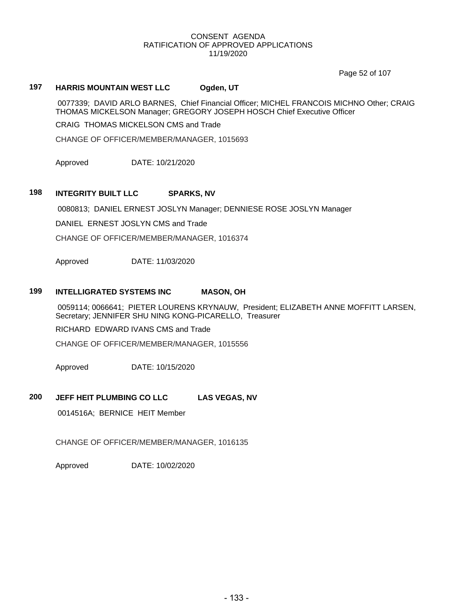Page 52 of 107

# **197 HARRIS MOUNTAIN WEST LLC Ogden, UT**

 0077339; DAVID ARLO BARNES, Chief Financial Officer; MICHEL FRANCOIS MICHNO Other; CRAIG THOMAS MICKELSON Manager; GREGORY JOSEPH HOSCH Chief Executive Officer

CRAIG THOMAS MICKELSON CMS and Trade

CHANGE OF OFFICER/MEMBER/MANAGER, 1015693

Approved DATE: 10/21/2020

# **198 INTEGRITY BUILT LLC SPARKS, NV**

0080813; DANIEL ERNEST JOSLYN Manager; DENNIESE ROSE JOSLYN Manager

DANIEL ERNEST JOSLYN CMS and Trade

CHANGE OF OFFICER/MEMBER/MANAGER, 1016374

Approved DATE: 11/03/2020

### **199 INTELLIGRATED SYSTEMS INC MASON, OH**

 0059114; 0066641; PIETER LOURENS KRYNAUW, President; ELIZABETH ANNE MOFFITT LARSEN, Secretary; JENNIFER SHU NING KONG-PICARELLO, Treasurer

RICHARD EDWARD IVANS CMS and Trade

CHANGE OF OFFICER/MEMBER/MANAGER, 1015556

Approved DATE: 10/15/2020

### **200 JEFF HEIT PLUMBING CO LLC LAS VEGAS, NV**

0014516A; BERNICE HEIT Member

CHANGE OF OFFICER/MEMBER/MANAGER, 1016135

Approved DATE: 10/02/2020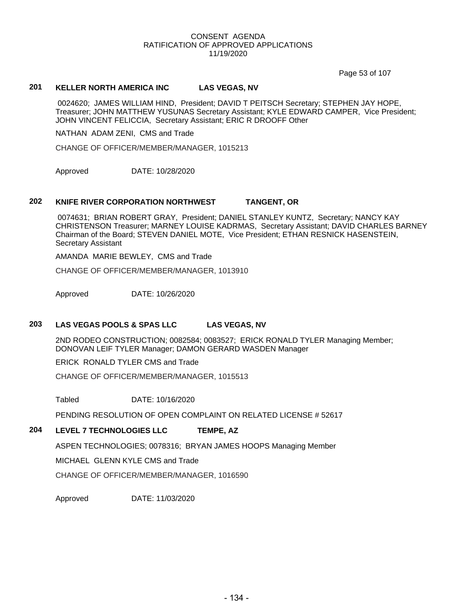Page 53 of 107

### **201 KELLER NORTH AMERICA INC LAS VEGAS, NV**

 0024620; JAMES WILLIAM HIND, President; DAVID T PEITSCH Secretary; STEPHEN JAY HOPE, Treasurer; JOHN MATTHEW YUSUNAS Secretary Assistant; KYLE EDWARD CAMPER, Vice President; JOHN VINCENT FELICCIA, Secretary Assistant; ERIC R DROOFF Other

NATHAN ADAM ZENI, CMS and Trade

CHANGE OF OFFICER/MEMBER/MANAGER, 1015213

Approved DATE: 10/28/2020

#### **202 KNIFE RIVER CORPORATION NORTHWEST TANGENT, OR**

 0074631; BRIAN ROBERT GRAY, President; DANIEL STANLEY KUNTZ, Secretary; NANCY KAY CHRISTENSON Treasurer; MARNEY LOUISE KADRMAS, Secretary Assistant; DAVID CHARLES BARNEY Chairman of the Board; STEVEN DANIEL MOTE, Vice President; ETHAN RESNICK HASENSTEIN, Secretary Assistant

AMANDA MARIE BEWLEY, CMS and Trade

CHANGE OF OFFICER/MEMBER/MANAGER, 1013910

Approved DATE: 10/26/2020

# **203 LAS VEGAS POOLS & SPAS LLC LAS VEGAS, NV**

2ND RODEO CONSTRUCTION; 0082584; 0083527; ERICK RONALD TYLER Managing Member; DONOVAN LEIF TYLER Manager; DAMON GERARD WASDEN Manager

ERICK RONALD TYLER CMS and Trade

CHANGE OF OFFICER/MEMBER/MANAGER, 1015513

Tabled DATE: 10/16/2020

PENDING RESOLUTION OF OPEN COMPLAINT ON RELATED LICENSE # 52617

# **204 LEVEL 7 TECHNOLOGIES LLC TEMPE, AZ**

ASPEN TECHNOLOGIES; 0078316; BRYAN JAMES HOOPS Managing Member

MICHAEL GLENN KYLE CMS and Trade

CHANGE OF OFFICER/MEMBER/MANAGER, 1016590

Approved DATE: 11/03/2020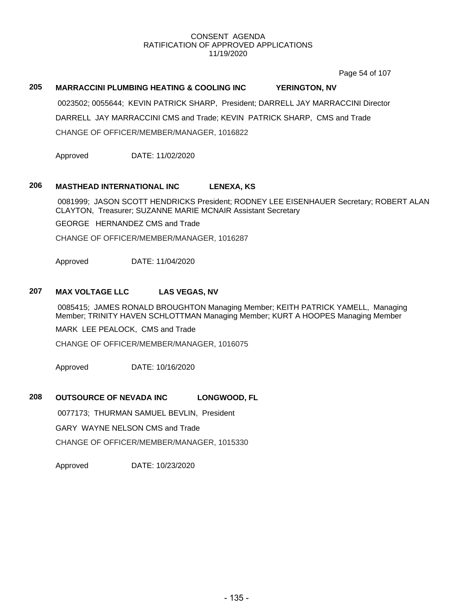Page 54 of 107

# **205 MARRACCINI PLUMBING HEATING & COOLING INC YERINGTON, NV**

 0023502; 0055644; KEVIN PATRICK SHARP, President; DARRELL JAY MARRACCINI Director DARRELL JAY MARRACCINI CMS and Trade; KEVIN PATRICK SHARP, CMS and Trade CHANGE OF OFFICER/MEMBER/MANAGER, 1016822

Approved DATE: 11/02/2020

### **206 MASTHEAD INTERNATIONAL INC LENEXA, KS**

 0081999; JASON SCOTT HENDRICKS President; RODNEY LEE EISENHAUER Secretary; ROBERT ALAN CLAYTON, Treasurer; SUZANNE MARIE MCNAIR Assistant Secretary

GEORGE HERNANDEZ CMS and Trade

CHANGE OF OFFICER/MEMBER/MANAGER, 1016287

Approved DATE: 11/04/2020

### **207 MAX VOLTAGE LLC LAS VEGAS, NV**

 0085415; JAMES RONALD BROUGHTON Managing Member; KEITH PATRICK YAMELL, Managing Member; TRINITY HAVEN SCHLOTTMAN Managing Member; KURT A HOOPES Managing Member

MARK LEE PEALOCK, CMS and Trade

CHANGE OF OFFICER/MEMBER/MANAGER, 1016075

Approved DATE: 10/16/2020

### **208 OUTSOURCE OF NEVADA INC LONGWOOD, FL**

0077173; THURMAN SAMUEL BEVLIN, President

GARY WAYNE NELSON CMS and Trade

CHANGE OF OFFICER/MEMBER/MANAGER, 1015330

Approved DATE: 10/23/2020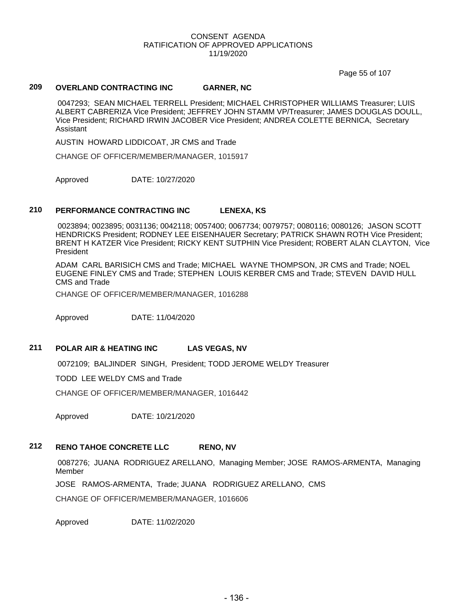Page 55 of 107

### **209 OVERLAND CONTRACTING INC GARNER, NC**

 0047293; SEAN MICHAEL TERRELL President; MICHAEL CHRISTOPHER WILLIAMS Treasurer; LUIS ALBERT CABRERIZA Vice President; JEFFREY JOHN STAMM VP/Treasurer; JAMES DOUGLAS DOULL, Vice President; RICHARD IRWIN JACOBER Vice President; ANDREA COLETTE BERNICA, Secretary Assistant

AUSTIN HOWARD LIDDICOAT, JR CMS and Trade

CHANGE OF OFFICER/MEMBER/MANAGER, 1015917

Approved DATE: 10/27/2020

### **210 PERFORMANCE CONTRACTING INC LENEXA, KS**

 0023894; 0023895; 0031136; 0042118; 0057400; 0067734; 0079757; 0080116; 0080126; JASON SCOTT HENDRICKS President; RODNEY LEE EISENHAUER Secretary; PATRICK SHAWN ROTH Vice President; BRENT H KATZER Vice President; RICKY KENT SUTPHIN Vice President; ROBERT ALAN CLAYTON, Vice President

ADAM CARL BARISICH CMS and Trade; MICHAEL WAYNE THOMPSON, JR CMS and Trade; NOEL EUGENE FINLEY CMS and Trade; STEPHEN LOUIS KERBER CMS and Trade; STEVEN DAVID HULL CMS and Trade

CHANGE OF OFFICER/MEMBER/MANAGER, 1016288

Approved DATE: 11/04/2020

### **211 POLAR AIR & HEATING INC LAS VEGAS, NV**

0072109; BALJINDER SINGH, President; TODD JEROME WELDY Treasurer

TODD LEE WELDY CMS and Trade

CHANGE OF OFFICER/MEMBER/MANAGER, 1016442

Approved DATE: 10/21/2020

# **212 RENO TAHOE CONCRETE LLC RENO, NV**

 0087276; JUANA RODRIGUEZ ARELLANO, Managing Member; JOSE RAMOS-ARMENTA, Managing Member

JOSE RAMOS-ARMENTA, Trade; JUANA RODRIGUEZ ARELLANO, CMS

CHANGE OF OFFICER/MEMBER/MANAGER, 1016606

Approved DATE: 11/02/2020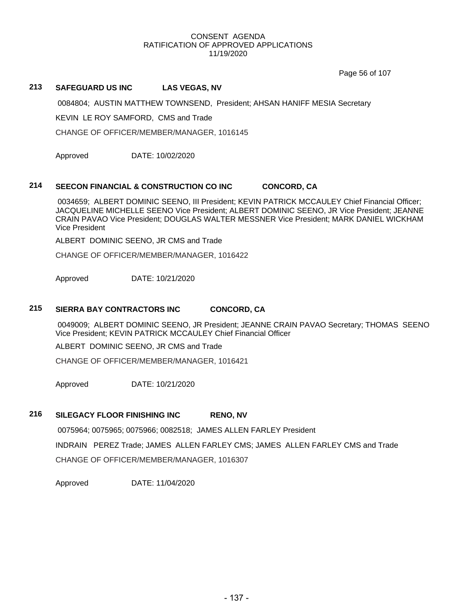Page 56 of 107

### **213 SAFEGUARD US INC LAS VEGAS, NV**

0084804; AUSTIN MATTHEW TOWNSEND, President; AHSAN HANIFF MESIA Secretary

KEVIN LE ROY SAMFORD, CMS and Trade

CHANGE OF OFFICER/MEMBER/MANAGER, 1016145

Approved DATE: 10/02/2020

### **214 SEECON FINANCIAL & CONSTRUCTION CO INC CONCORD, CA**

 0034659; ALBERT DOMINIC SEENO, III President; KEVIN PATRICK MCCAULEY Chief Financial Officer; JACQUELINE MICHELLE SEENO Vice President; ALBERT DOMINIC SEENO, JR Vice President; JEANNE CRAIN PAVAO Vice President; DOUGLAS WALTER MESSNER Vice President; MARK DANIEL WICKHAM Vice President

ALBERT DOMINIC SEENO, JR CMS and Trade

CHANGE OF OFFICER/MEMBER/MANAGER, 1016422

Approved DATE: 10/21/2020

### **215 SIERRA BAY CONTRACTORS INC CONCORD, CA**

 0049009; ALBERT DOMINIC SEENO, JR President; JEANNE CRAIN PAVAO Secretary; THOMAS SEENO Vice President; KEVIN PATRICK MCCAULEY Chief Financial Officer

ALBERT DOMINIC SEENO, JR CMS and Trade

CHANGE OF OFFICER/MEMBER/MANAGER, 1016421

Approved DATE: 10/21/2020

# **216 SILEGACY FLOOR FINISHING INC RENO, NV**

 0075964; 0075965; 0075966; 0082518; JAMES ALLEN FARLEY President INDRAIN PEREZ Trade; JAMES ALLEN FARLEY CMS; JAMES ALLEN FARLEY CMS and Trade CHANGE OF OFFICER/MEMBER/MANAGER, 1016307

Approved DATE: 11/04/2020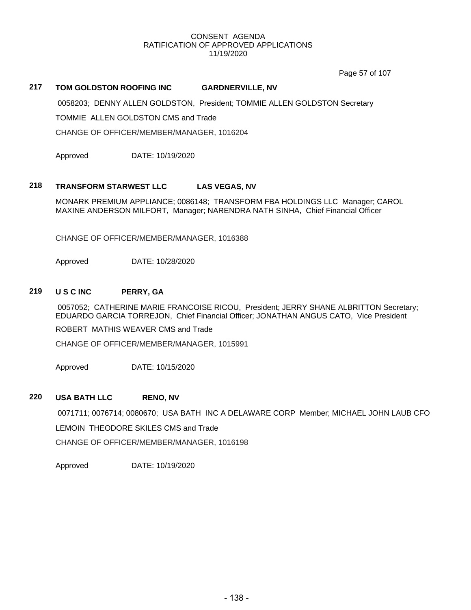Page 57 of 107

# **217 TOM GOLDSTON ROOFING INC GARDNERVILLE, NV**

0058203; DENNY ALLEN GOLDSTON, President; TOMMIE ALLEN GOLDSTON Secretary

TOMMIE ALLEN GOLDSTON CMS and Trade

CHANGE OF OFFICER/MEMBER/MANAGER, 1016204

Approved DATE: 10/19/2020

### **218 TRANSFORM STARWEST LLC LAS VEGAS, NV**

MONARK PREMIUM APPLIANCE; 0086148; TRANSFORM FBA HOLDINGS LLC Manager; CAROL MAXINE ANDERSON MILFORT, Manager; NARENDRA NATH SINHA, Chief Financial Officer

CHANGE OF OFFICER/MEMBER/MANAGER, 1016388

Approved DATE: 10/28/2020

### **219 U S C INC PERRY, GA**

 0057052; CATHERINE MARIE FRANCOISE RICOU, President; JERRY SHANE ALBRITTON Secretary; EDUARDO GARCIA TORREJON, Chief Financial Officer; JONATHAN ANGUS CATO, Vice President

ROBERT MATHIS WEAVER CMS and Trade

CHANGE OF OFFICER/MEMBER/MANAGER, 1015991

Approved DATE: 10/15/2020

# **220 USA BATH LLC RENO, NV**

 0071711; 0076714; 0080670; USA BATH INC A DELAWARE CORP Member; MICHAEL JOHN LAUB CFO LEMOIN THEODORE SKILES CMS and Trade

CHANGE OF OFFICER/MEMBER/MANAGER, 1016198

Approved DATE: 10/19/2020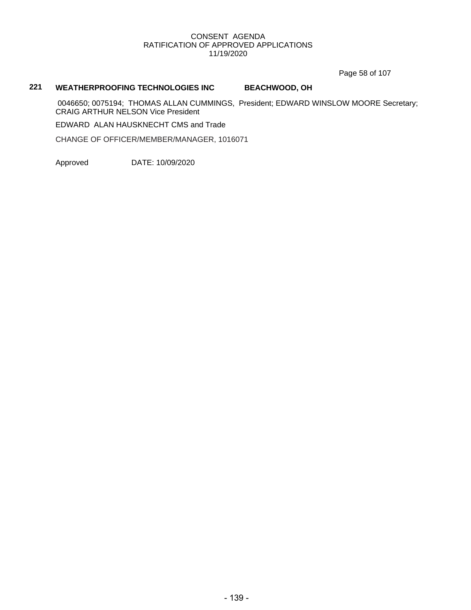Page 58 of 107

# **221 WEATHERPROOFING TECHNOLOGIES INC BEACHWOOD, OH**

 0046650; 0075194; THOMAS ALLAN CUMMINGS, President; EDWARD WINSLOW MOORE Secretary; CRAIG ARTHUR NELSON Vice President

EDWARD ALAN HAUSKNECHT CMS and Trade

CHANGE OF OFFICER/MEMBER/MANAGER, 1016071

Approved DATE: 10/09/2020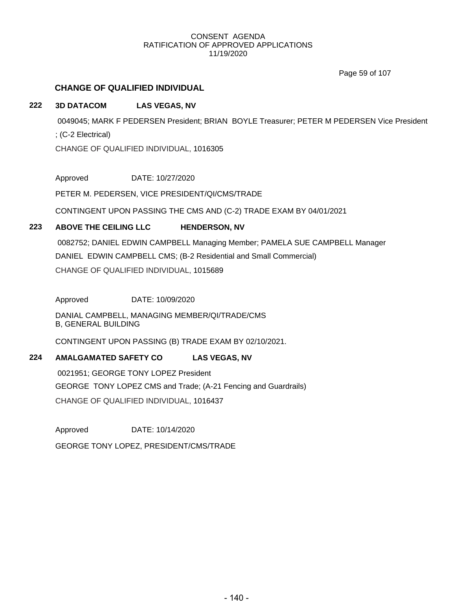Page 59 of 107

# **CHANGE OF QUALIFIED INDIVIDUAL**

# **222 3D DATACOM LAS VEGAS, NV**

 0049045; MARK F PEDERSEN President; BRIAN BOYLE Treasurer; PETER M PEDERSEN Vice President ; (C-2 Electrical)

CHANGE OF QUALIFIED INDIVIDUAL, 1016305

Approved DATE: 10/27/2020

PETER M. PEDERSEN, VICE PRESIDENT/QI/CMS/TRADE

CONTINGENT UPON PASSING THE CMS AND (C-2) TRADE EXAM BY 04/01/2021

# **223 ABOVE THE CEILING LLC HENDERSON, NV**

 0082752; DANIEL EDWIN CAMPBELL Managing Member; PAMELA SUE CAMPBELL Manager DANIEL EDWIN CAMPBELL CMS; (B-2 Residential and Small Commercial) CHANGE OF QUALIFIED INDIVIDUAL, 1015689

Approved DATE: 10/09/2020

DANIAL CAMPBELL, MANAGING MEMBER/QI/TRADE/CMS B, GENERAL BUILDING

CONTINGENT UPON PASSING (B) TRADE EXAM BY 02/10/2021.

# **224 AMALGAMATED SAFETY CO LAS VEGAS, NV**

 0021951; GEORGE TONY LOPEZ President GEORGE TONY LOPEZ CMS and Trade; (A-21 Fencing and Guardrails) CHANGE OF QUALIFIED INDIVIDUAL, 1016437

Approved DATE: 10/14/2020

GEORGE TONY LOPEZ, PRESIDENT/CMS/TRADE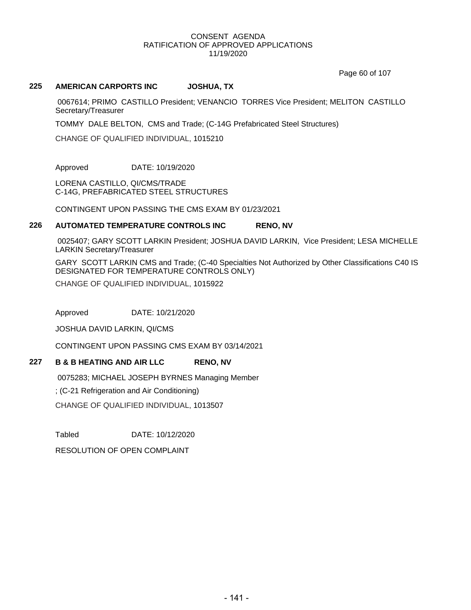Page 60 of 107

# **225 AMERICAN CARPORTS INC JOSHUA, TX**

 0067614; PRIMO CASTILLO President; VENANCIO TORRES Vice President; MELITON CASTILLO Secretary/Treasurer

TOMMY DALE BELTON, CMS and Trade; (C-14G Prefabricated Steel Structures)

CHANGE OF QUALIFIED INDIVIDUAL, 1015210

Approved DATE: 10/19/2020

LORENA CASTILLO, QI/CMS/TRADE C-14G, PREFABRICATED STEEL STRUCTURES

CONTINGENT UPON PASSING THE CMS EXAM BY 01/23/2021

### **226 AUTOMATED TEMPERATURE CONTROLS INC RENO, NV**

 0025407; GARY SCOTT LARKIN President; JOSHUA DAVID LARKIN, Vice President; LESA MICHELLE LARKIN Secretary/Treasurer

GARY SCOTT LARKIN CMS and Trade; (C-40 Specialties Not Authorized by Other Classifications C40 IS DESIGNATED FOR TEMPERATURE CONTROLS ONLY)

CHANGE OF QUALIFIED INDIVIDUAL, 1015922

Approved DATE: 10/21/2020

JOSHUA DAVID LARKIN, QI/CMS

CONTINGENT UPON PASSING CMS EXAM BY 03/14/2021

# **227 B & B HEATING AND AIR LLC RENO, NV**

0075283; MICHAEL JOSEPH BYRNES Managing Member

; (C-21 Refrigeration and Air Conditioning)

CHANGE OF QUALIFIED INDIVIDUAL, 1013507

Tabled DATE: 10/12/2020

RESOLUTION OF OPEN COMPLAINT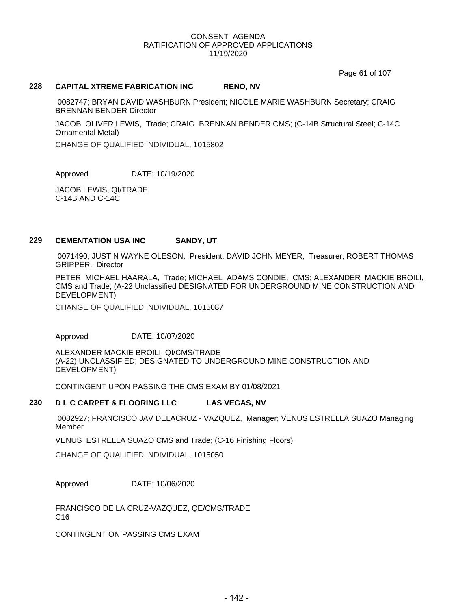Page 61 of 107

#### **228 CAPITAL XTREME FABRICATION INC RENO, NV**

 0082747; BRYAN DAVID WASHBURN President; NICOLE MARIE WASHBURN Secretary; CRAIG BRENNAN BENDER Director

JACOB OLIVER LEWIS, Trade; CRAIG BRENNAN BENDER CMS; (C-14B Structural Steel; C-14C Ornamental Metal)

CHANGE OF QUALIFIED INDIVIDUAL, 1015802

Approved DATE: 10/19/2020

JACOB LEWIS, QI/TRADE C-14B AND C-14C

#### **229 CEMENTATION USA INC SANDY, UT**

 0071490; JUSTIN WAYNE OLESON, President; DAVID JOHN MEYER, Treasurer; ROBERT THOMAS GRIPPER, Director

PETER MICHAEL HAARALA, Trade; MICHAEL ADAMS CONDIE, CMS; ALEXANDER MACKIE BROILI, CMS and Trade; (A-22 Unclassified DESIGNATED FOR UNDERGROUND MINE CONSTRUCTION AND DEVELOPMENT)

CHANGE OF QUALIFIED INDIVIDUAL, 1015087

Approved DATE: 10/07/2020

ALEXANDER MACKIE BROILI, QI/CMS/TRADE (A-22) UNCLASSIFIED; DESIGNATED TO UNDERGROUND MINE CONSTRUCTION AND DEVELOPMENT)

CONTINGENT UPON PASSING THE CMS EXAM BY 01/08/2021

#### **230 D L C CARPET & FLOORING LLC LAS VEGAS, NV**

 0082927; FRANCISCO JAV DELACRUZ - VAZQUEZ, Manager; VENUS ESTRELLA SUAZO Managing Member

VENUS ESTRELLA SUAZO CMS and Trade; (C-16 Finishing Floors)

CHANGE OF QUALIFIED INDIVIDUAL, 1015050

Approved DATE: 10/06/2020

FRANCISCO DE LA CRUZ-VAZQUEZ, QE/CMS/TRADE C16

CONTINGENT ON PASSING CMS EXAM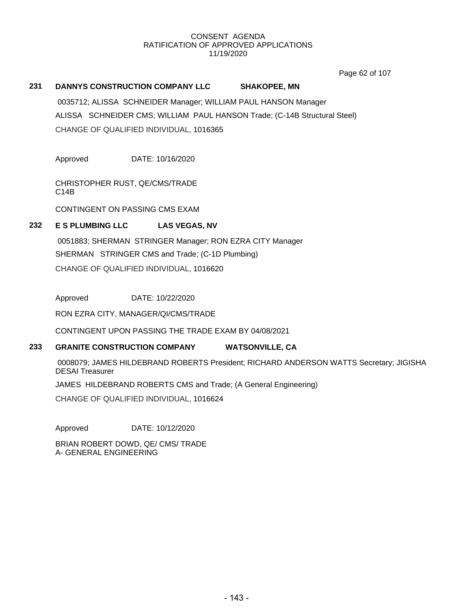Page 62 of 107

### **231 DANNYS CONSTRUCTION COMPANY LLC SHAKOPEE, MN**

 0035712; ALISSA SCHNEIDER Manager; WILLIAM PAUL HANSON Manager ALISSA SCHNEIDER CMS; WILLIAM PAUL HANSON Trade; (C-14B Structural Steel) CHANGE OF QUALIFIED INDIVIDUAL, 1016365

Approved DATE: 10/16/2020

CHRISTOPHER RUST, QE/CMS/TRADE C14B

CONTINGENT ON PASSING CMS EXAM

# **232 E S PLUMBING LLC LAS VEGAS, NV**

 0051883; SHERMAN STRINGER Manager; RON EZRA CITY Manager SHERMAN STRINGER CMS and Trade; (C-1D Plumbing) CHANGE OF QUALIFIED INDIVIDUAL, 1016620

Approved DATE: 10/22/2020

RON EZRA CITY, MANAGER/QI/CMS/TRADE

CONTINGENT UPON PASSING THE TRADE EXAM BY 04/08/2021

# **233 GRANITE CONSTRUCTION COMPANY WATSONVILLE, CA**

 0008079; JAMES HILDEBRAND ROBERTS President; RICHARD ANDERSON WATTS Secretary; JIGISHA DESAI Treasurer

JAMES HILDEBRAND ROBERTS CMS and Trade; (A General Engineering)

CHANGE OF QUALIFIED INDIVIDUAL, 1016624

Approved DATE: 10/12/2020

BRIAN ROBERT DOWD, QE/ CMS/ TRADE A- GENERAL ENGINEERING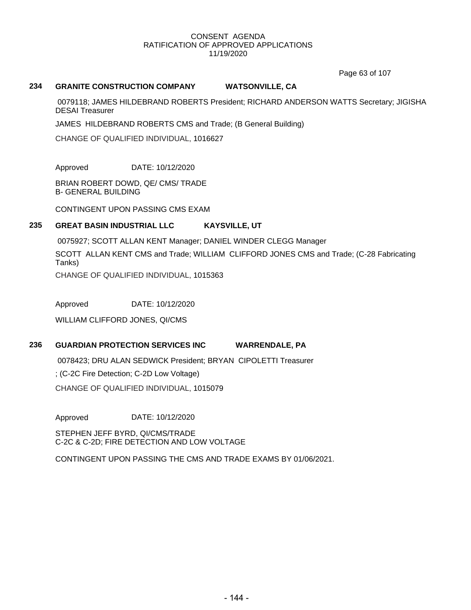Page 63 of 107

### **234 GRANITE CONSTRUCTION COMPANY WATSONVILLE, CA**

 0079118; JAMES HILDEBRAND ROBERTS President; RICHARD ANDERSON WATTS Secretary; JIGISHA DESAI Treasurer

JAMES HILDEBRAND ROBERTS CMS and Trade; (B General Building)

CHANGE OF QUALIFIED INDIVIDUAL, 1016627

Approved DATE: 10/12/2020

BRIAN ROBERT DOWD, QE/ CMS/ TRADE B- GENERAL BUILDING

CONTINGENT UPON PASSING CMS EXAM

### **235 GREAT BASIN INDUSTRIAL LLC KAYSVILLE, UT**

 0075927; SCOTT ALLAN KENT Manager; DANIEL WINDER CLEGG Manager SCOTT ALLAN KENT CMS and Trade; WILLIAM CLIFFORD JONES CMS and Trade; (C-28 Fabricating Tanks) CHANGE OF QUALIFIED INDIVIDUAL, 1015363

Approved DATE: 10/12/2020

WILLIAM CLIFFORD JONES, QI/CMS

# **236 GUARDIAN PROTECTION SERVICES INC WARRENDALE, PA**

0078423; DRU ALAN SEDWICK President; BRYAN CIPOLETTI Treasurer

; (C-2C Fire Detection; C-2D Low Voltage)

CHANGE OF QUALIFIED INDIVIDUAL, 1015079

Approved DATE: 10/12/2020

STEPHEN JEFF BYRD, QI/CMS/TRADE C-2C & C-2D; FIRE DETECTION AND LOW VOLTAGE

CONTINGENT UPON PASSING THE CMS AND TRADE EXAMS BY 01/06/2021.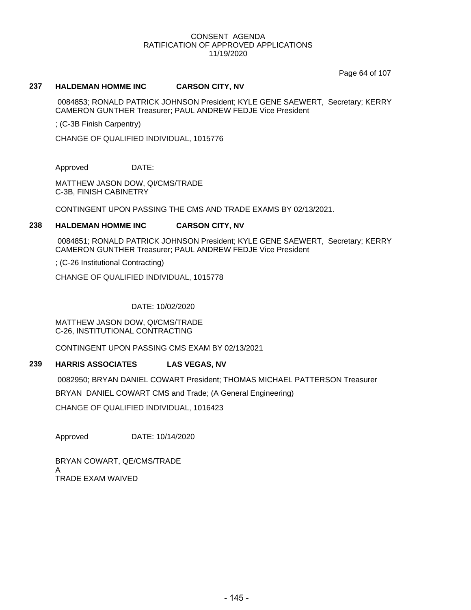Page 64 of 107

### **237 HALDEMAN HOMME INC CARSON CITY, NV**

 0084853; RONALD PATRICK JOHNSON President; KYLE GENE SAEWERT, Secretary; KERRY CAMERON GUNTHER Treasurer; PAUL ANDREW FEDJE Vice President

; (C-3B Finish Carpentry)

CHANGE OF QUALIFIED INDIVIDUAL, 1015776

Approved DATE:

MATTHEW JASON DOW, QI/CMS/TRADE C-3B, FINISH CABINETRY

CONTINGENT UPON PASSING THE CMS AND TRADE EXAMS BY 02/13/2021.

### **238 HALDEMAN HOMME INC CARSON CITY, NV**

 0084851; RONALD PATRICK JOHNSON President; KYLE GENE SAEWERT, Secretary; KERRY CAMERON GUNTHER Treasurer; PAUL ANDREW FEDJE Vice President

; (C-26 Institutional Contracting)

CHANGE OF QUALIFIED INDIVIDUAL, 1015778

DATE: 10/02/2020

MATTHEW JASON DOW, QI/CMS/TRADE C-26, INSTITUTIONAL CONTRACTING

CONTINGENT UPON PASSING CMS EXAM BY 02/13/2021

### **239 HARRIS ASSOCIATES LAS VEGAS, NV**

 0082950; BRYAN DANIEL COWART President; THOMAS MICHAEL PATTERSON Treasurer BRYAN DANIEL COWART CMS and Trade; (A General Engineering)

CHANGE OF QUALIFIED INDIVIDUAL, 1016423

Approved DATE: 10/14/2020

BRYAN COWART, QE/CMS/TRADE A TRADE EXAM WAIVED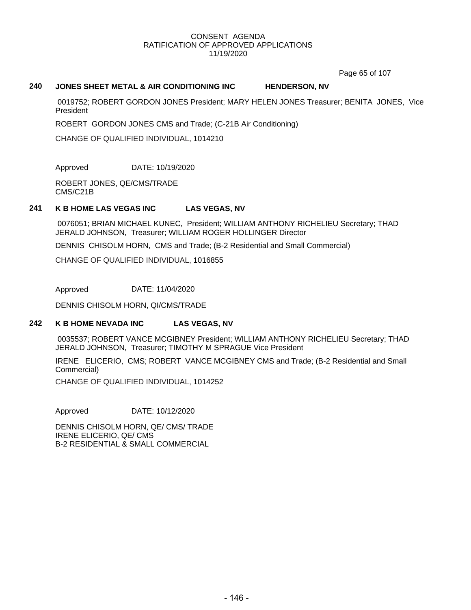Page 65 of 107

# **240 JONES SHEET METAL & AIR CONDITIONING INC HENDERSON, NV**

 0019752; ROBERT GORDON JONES President; MARY HELEN JONES Treasurer; BENITA JONES, Vice President

ROBERT GORDON JONES CMS and Trade; (C-21B Air Conditioning)

CHANGE OF QUALIFIED INDIVIDUAL, 1014210

Approved DATE: 10/19/2020

ROBERT JONES, QE/CMS/TRADE CMS/C21B

### **241 K B HOME LAS VEGAS INC LAS VEGAS, NV**

 0076051; BRIAN MICHAEL KUNEC, President; WILLIAM ANTHONY RICHELIEU Secretary; THAD JERALD JOHNSON, Treasurer; WILLIAM ROGER HOLLINGER Director

DENNIS CHISOLM HORN, CMS and Trade; (B-2 Residential and Small Commercial)

CHANGE OF QUALIFIED INDIVIDUAL, 1016855

Approved DATE: 11/04/2020

DENNIS CHISOLM HORN, QI/CMS/TRADE

### **242 K B HOME NEVADA INC LAS VEGAS, NV**

 0035537; ROBERT VANCE MCGIBNEY President; WILLIAM ANTHONY RICHELIEU Secretary; THAD JERALD JOHNSON, Treasurer; TIMOTHY M SPRAGUE Vice President

IRENE ELICERIO, CMS; ROBERT VANCE MCGIBNEY CMS and Trade; (B-2 Residential and Small Commercial)

CHANGE OF QUALIFIED INDIVIDUAL, 1014252

Approved DATE: 10/12/2020

DENNIS CHISOLM HORN, QE/ CMS/ TRADE IRENE ELICERIO, QE/ CMS B-2 RESIDENTIAL & SMALL COMMERCIAL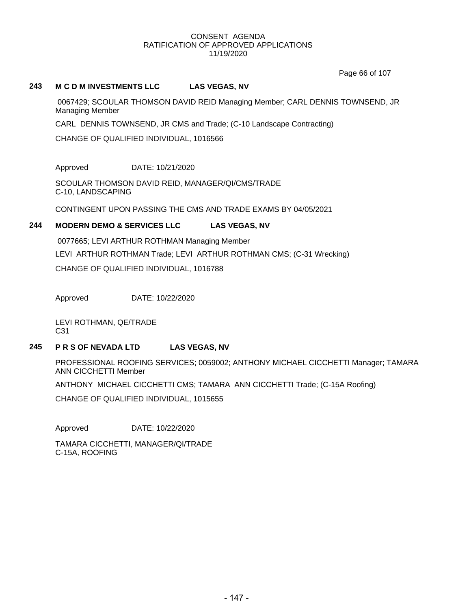Page 66 of 107

### **243 M C D M INVESTMENTS LLC LAS VEGAS, NV**

 0067429; SCOULAR THOMSON DAVID REID Managing Member; CARL DENNIS TOWNSEND, JR Managing Member

CARL DENNIS TOWNSEND, JR CMS and Trade; (C-10 Landscape Contracting)

CHANGE OF QUALIFIED INDIVIDUAL, 1016566

Approved DATE: 10/21/2020

SCOULAR THOMSON DAVID REID, MANAGER/QI/CMS/TRADE C-10, LANDSCAPING

CONTINGENT UPON PASSING THE CMS AND TRADE EXAMS BY 04/05/2021

# **244 MODERN DEMO & SERVICES LLC LAS VEGAS, NV**

 0077665; LEVI ARTHUR ROTHMAN Managing Member LEVI ARTHUR ROTHMAN Trade; LEVI ARTHUR ROTHMAN CMS; (C-31 Wrecking) CHANGE OF QUALIFIED INDIVIDUAL, 1016788

Approved DATE: 10/22/2020

LEVI ROTHMAN, QE/TRADE C31

# **245 P R S OF NEVADA LTD LAS VEGAS, NV**

PROFESSIONAL ROOFING SERVICES; 0059002; ANTHONY MICHAEL CICCHETTI Manager; TAMARA ANN CICCHETTI Member

ANTHONY MICHAEL CICCHETTI CMS; TAMARA ANN CICCHETTI Trade; (C-15A Roofing)

CHANGE OF QUALIFIED INDIVIDUAL, 1015655

Approved DATE: 10/22/2020

TAMARA CICCHETTI, MANAGER/QI/TRADE C-15A, ROOFING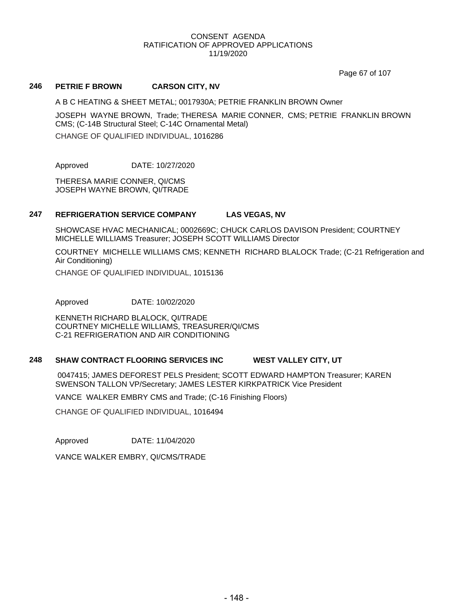Page 67 of 107

### **246 PETRIE F BROWN CARSON CITY, NV**

A B C HEATING & SHEET METAL; 0017930A; PETRIE FRANKLIN BROWN Owner

JOSEPH WAYNE BROWN, Trade; THERESA MARIE CONNER, CMS; PETRIE FRANKLIN BROWN CMS; (C-14B Structural Steel; C-14C Ornamental Metal)

CHANGE OF QUALIFIED INDIVIDUAL, 1016286

Approved DATE: 10/27/2020

THERESA MARIE CONNER, QI/CMS JOSEPH WAYNE BROWN, QI/TRADE

### **247 REFRIGERATION SERVICE COMPANY LAS VEGAS, NV**

SHOWCASE HVAC MECHANICAL; 0002669C; CHUCK CARLOS DAVISON President; COURTNEY MICHELLE WILLIAMS Treasurer; JOSEPH SCOTT WILLIAMS Director

COURTNEY MICHELLE WILLIAMS CMS; KENNETH RICHARD BLALOCK Trade; (C-21 Refrigeration and Air Conditioning)

CHANGE OF QUALIFIED INDIVIDUAL, 1015136

Approved DATE: 10/02/2020

KENNETH RICHARD BLALOCK, QI/TRADE COURTNEY MICHELLE WILLIAMS, TREASURER/QI/CMS C-21 REFRIGERATION AND AIR CONDITIONING

### **248 SHAW CONTRACT FLOORING SERVICES INC WEST VALLEY CITY, UT**

 0047415; JAMES DEFOREST PELS President; SCOTT EDWARD HAMPTON Treasurer; KAREN SWENSON TALLON VP/Secretary; JAMES LESTER KIRKPATRICK Vice President

VANCE WALKER EMBRY CMS and Trade; (C-16 Finishing Floors)

CHANGE OF QUALIFIED INDIVIDUAL, 1016494

Approved DATE: 11/04/2020

VANCE WALKER EMBRY, QI/CMS/TRADE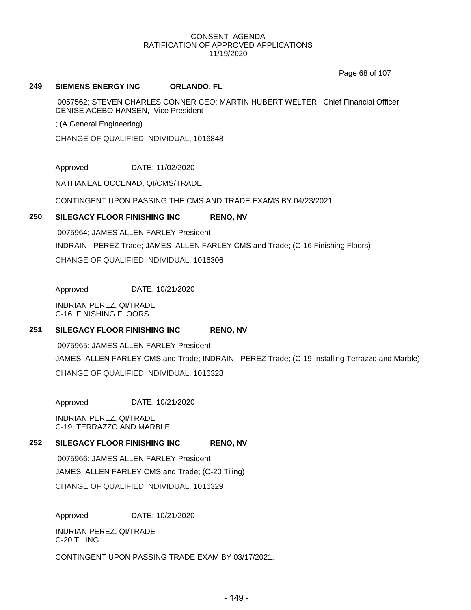Page 68 of 107

### **249 SIEMENS ENERGY INC ORLANDO, FL**

 0057562; STEVEN CHARLES CONNER CEO; MARTIN HUBERT WELTER, Chief Financial Officer; DENISE ACEBO HANSEN, Vice President

; (A General Engineering)

CHANGE OF QUALIFIED INDIVIDUAL, 1016848

Approved DATE: 11/02/2020

NATHANEAL OCCENAD, QI/CMS/TRADE

CONTINGENT UPON PASSING THE CMS AND TRADE EXAMS BY 04/23/2021.

### **250 SILEGACY FLOOR FINISHING INC RENO, NV**

 0075964; JAMES ALLEN FARLEY President INDRAIN PEREZ Trade; JAMES ALLEN FARLEY CMS and Trade; (C-16 Finishing Floors) CHANGE OF QUALIFIED INDIVIDUAL, 1016306

Approved DATE: 10/21/2020

INDRIAN PEREZ, QI/TRADE C-16, FINISHING FLOORS

# **251 SILEGACY FLOOR FINISHING INC RENO, NV**

0075965; JAMES ALLEN FARLEY President

JAMES ALLEN FARLEY CMS and Trade; INDRAIN PEREZ Trade; (C-19 Installing Terrazzo and Marble)

CHANGE OF QUALIFIED INDIVIDUAL, 1016328

Approved DATE: 10/21/2020

INDRIAN PEREZ, QI/TRADE C-19, TERRAZZO AND MARBLE

# **252 SILEGACY FLOOR FINISHING INC RENO, NV**

0075966; JAMES ALLEN FARLEY President

JAMES ALLEN FARLEY CMS and Trade; (C-20 Tiling)

CHANGE OF QUALIFIED INDIVIDUAL, 1016329

Approved DATE: 10/21/2020

INDRIAN PEREZ, QI/TRADE C-20 TILING

CONTINGENT UPON PASSING TRADE EXAM BY 03/17/2021.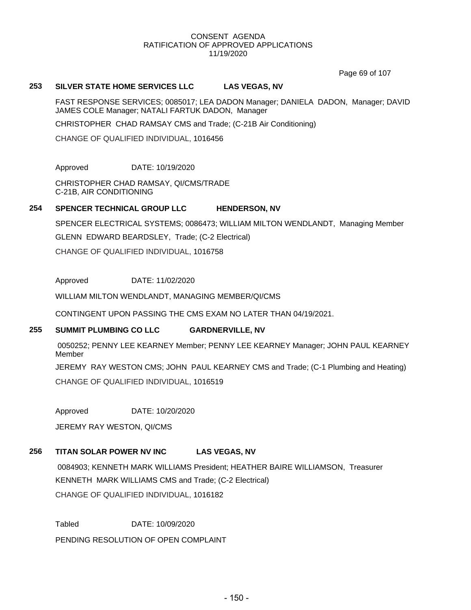Page 69 of 107

### **253 SILVER STATE HOME SERVICES LLC LAS VEGAS, NV**

FAST RESPONSE SERVICES; 0085017; LEA DADON Manager; DANIELA DADON, Manager; DAVID JAMES COLE Manager; NATALI FARTUK DADON, Manager

CHRISTOPHER CHAD RAMSAY CMS and Trade; (C-21B Air Conditioning)

CHANGE OF QUALIFIED INDIVIDUAL, 1016456

Approved DATE: 10/19/2020

CHRISTOPHER CHAD RAMSAY, QI/CMS/TRADE C-21B, AIR CONDITIONING

#### **254 SPENCER TECHNICAL GROUP LLC HENDERSON, NV**

SPENCER ELECTRICAL SYSTEMS; 0086473; WILLIAM MILTON WENDLANDT, Managing Member GLENN EDWARD BEARDSLEY, Trade; (C-2 Electrical) CHANGE OF QUALIFIED INDIVIDUAL, 1016758

Approved DATE: 11/02/2020

WILLIAM MILTON WENDLANDT, MANAGING MEMBER/QI/CMS

CONTINGENT UPON PASSING THE CMS EXAM NO LATER THAN 04/19/2021.

### **255 SUMMIT PLUMBING CO LLC GARDNERVILLE, NV**

 0050252; PENNY LEE KEARNEY Member; PENNY LEE KEARNEY Manager; JOHN PAUL KEARNEY Member

JEREMY RAY WESTON CMS; JOHN PAUL KEARNEY CMS and Trade; (C-1 Plumbing and Heating) CHANGE OF QUALIFIED INDIVIDUAL, 1016519

Approved DATE: 10/20/2020

JEREMY RAY WESTON, QI/CMS

# **256 TITAN SOLAR POWER NV INC LAS VEGAS, NV**

 0084903; KENNETH MARK WILLIAMS President; HEATHER BAIRE WILLIAMSON, Treasurer KENNETH MARK WILLIAMS CMS and Trade; (C-2 Electrical) CHANGE OF QUALIFIED INDIVIDUAL, 1016182

Tabled DATE: 10/09/2020 PENDING RESOLUTION OF OPEN COMPLAINT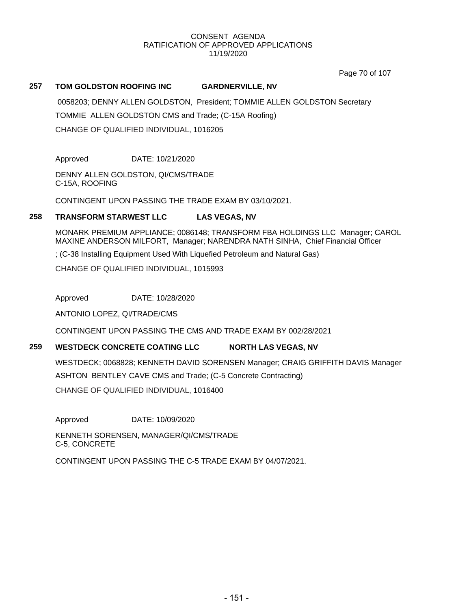Page 70 of 107

# **257 TOM GOLDSTON ROOFING INC GARDNERVILLE, NV**

 0058203; DENNY ALLEN GOLDSTON, President; TOMMIE ALLEN GOLDSTON Secretary TOMMIE ALLEN GOLDSTON CMS and Trade; (C-15A Roofing) CHANGE OF QUALIFIED INDIVIDUAL, 1016205

Approved DATE: 10/21/2020

DENNY ALLEN GOLDSTON, QI/CMS/TRADE C-15A, ROOFING

CONTINGENT UPON PASSING THE TRADE EXAM BY 03/10/2021.

### **258 TRANSFORM STARWEST LLC LAS VEGAS, NV**

MONARK PREMIUM APPLIANCE; 0086148; TRANSFORM FBA HOLDINGS LLC Manager; CAROL MAXINE ANDERSON MILFORT, Manager; NARENDRA NATH SINHA, Chief Financial Officer

; (C-38 Installing Equipment Used With Liquefied Petroleum and Natural Gas)

CHANGE OF QUALIFIED INDIVIDUAL, 1015993

Approved DATE: 10/28/2020

ANTONIO LOPEZ, QI/TRADE/CMS

CONTINGENT UPON PASSING THE CMS AND TRADE EXAM BY 002/28/2021

# **259 WESTDECK CONCRETE COATING LLC NORTH LAS VEGAS, NV**

WESTDECK; 0068828; KENNETH DAVID SORENSEN Manager; CRAIG GRIFFITH DAVIS Manager ASHTON BENTLEY CAVE CMS and Trade; (C-5 Concrete Contracting) CHANGE OF QUALIFIED INDIVIDUAL, 1016400

Approved DATE: 10/09/2020

KENNETH SORENSEN, MANAGER/QI/CMS/TRADE C-5, CONCRETE

CONTINGENT UPON PASSING THE C-5 TRADE EXAM BY 04/07/2021.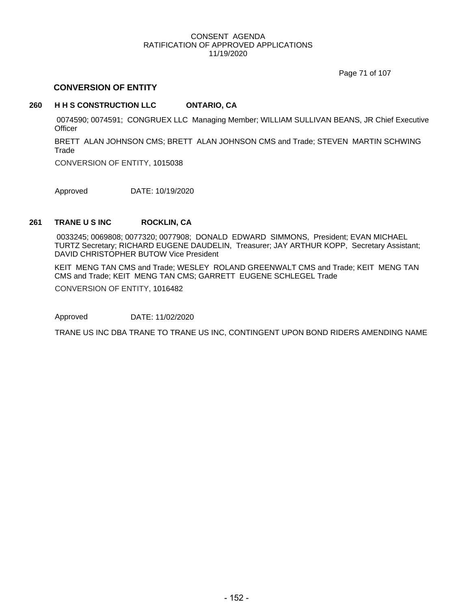Page 71 of 107

# **CONVERSION OF ENTITY**

### **260 H H S CONSTRUCTION LLC ONTARIO, CA**

 0074590; 0074591; CONGRUEX LLC Managing Member; WILLIAM SULLIVAN BEANS, JR Chief Executive **Officer** 

BRETT ALAN JOHNSON CMS; BRETT ALAN JOHNSON CMS and Trade; STEVEN MARTIN SCHWING Trade

CONVERSION OF ENTITY, 1015038

Approved DATE: 10/19/2020

#### **261 TRANE U S INC ROCKLIN, CA**

 0033245; 0069808; 0077320; 0077908; DONALD EDWARD SIMMONS, President; EVAN MICHAEL TURTZ Secretary; RICHARD EUGENE DAUDELIN, Treasurer; JAY ARTHUR KOPP, Secretary Assistant; DAVID CHRISTOPHER BUTOW Vice President

KEIT MENG TAN CMS and Trade; WESLEY ROLAND GREENWALT CMS and Trade; KEIT MENG TAN CMS and Trade; KEIT MENG TAN CMS; GARRETT EUGENE SCHLEGEL Trade

CONVERSION OF ENTITY, 1016482

Approved DATE: 11/02/2020

TRANE US INC DBA TRANE TO TRANE US INC, CONTINGENT UPON BOND RIDERS AMENDING NAME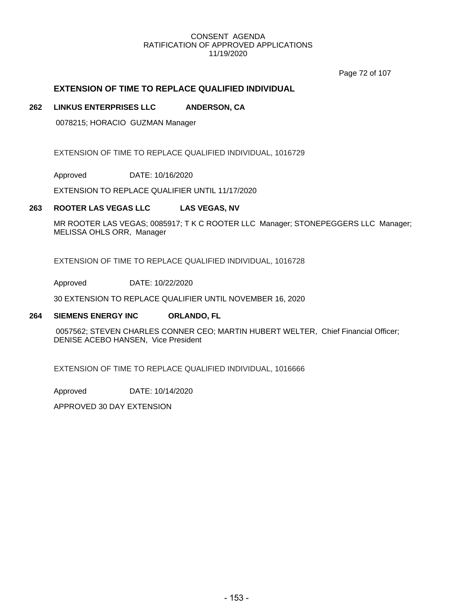Page 72 of 107

# **EXTENSION OF TIME TO REPLACE QUALIFIED INDIVIDUAL**

#### **262 LINKUS ENTERPRISES LLC ANDERSON, CA**

0078215; HORACIO GUZMAN Manager

EXTENSION OF TIME TO REPLACE QUALIFIED INDIVIDUAL, 1016729

Approved DATE: 10/16/2020

EXTENSION TO REPLACE QUALIFIER UNTIL 11/17/2020

### **263 ROOTER LAS VEGAS LLC LAS VEGAS, NV**

MR ROOTER LAS VEGAS; 0085917; T K C ROOTER LLC Manager; STONEPEGGERS LLC Manager; MELISSA OHLS ORR, Manager

EXTENSION OF TIME TO REPLACE QUALIFIED INDIVIDUAL, 1016728

Approved DATE: 10/22/2020

30 EXTENSION TO REPLACE QUALIFIER UNTIL NOVEMBER 16, 2020

#### **264 SIEMENS ENERGY INC ORLANDO, FL**

 0057562; STEVEN CHARLES CONNER CEO; MARTIN HUBERT WELTER, Chief Financial Officer; DENISE ACEBO HANSEN, Vice President

EXTENSION OF TIME TO REPLACE QUALIFIED INDIVIDUAL, 1016666

Approved DATE: 10/14/2020

APPROVED 30 DAY EXTENSION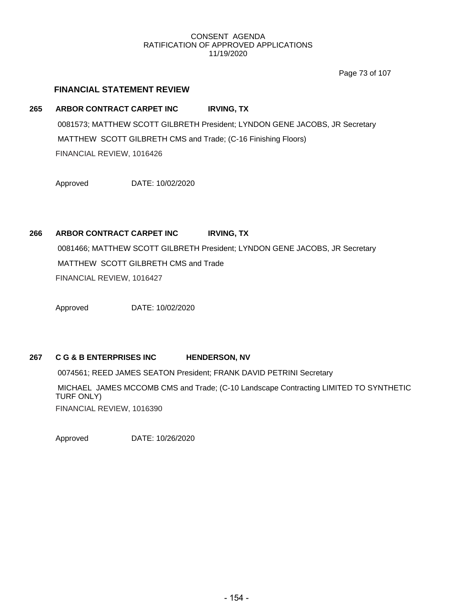Page 73 of 107

# **FINANCIAL STATEMENT REVIEW**

# **265 ARBOR CONTRACT CARPET INC IRVING, TX**

 0081573; MATTHEW SCOTT GILBRETH President; LYNDON GENE JACOBS, JR Secretary MATTHEW SCOTT GILBRETH CMS and Trade; (C-16 Finishing Floors) FINANCIAL REVIEW, 1016426

Approved DATE: 10/02/2020

# **266 ARBOR CONTRACT CARPET INC IRVING, TX**

 0081466; MATTHEW SCOTT GILBRETH President; LYNDON GENE JACOBS, JR Secretary MATTHEW SCOTT GILBRETH CMS and Trade FINANCIAL REVIEW, 1016427

Approved DATE: 10/02/2020

# **267 C G & B ENTERPRISES INC HENDERSON, NV**

0074561; REED JAMES SEATON President; FRANK DAVID PETRINI Secretary

 MICHAEL JAMES MCCOMB CMS and Trade; (C-10 Landscape Contracting LIMITED TO SYNTHETIC TURF ONLY) FINANCIAL REVIEW, 1016390

Approved DATE: 10/26/2020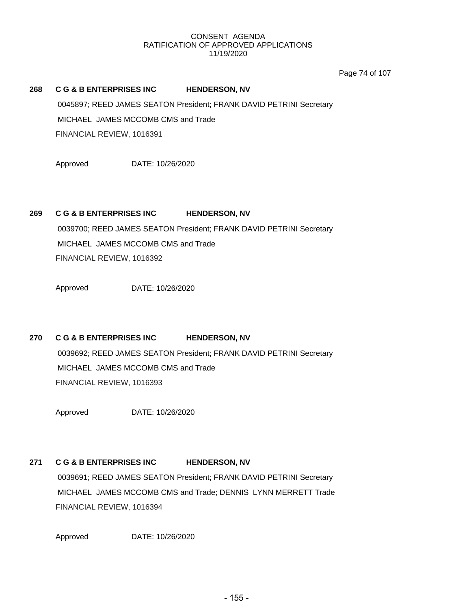Page 74 of 107

# **268 C G & B ENTERPRISES INC HENDERSON, NV**

 0045897; REED JAMES SEATON President; FRANK DAVID PETRINI Secretary MICHAEL JAMES MCCOMB CMS and Trade FINANCIAL REVIEW, 1016391

Approved DATE: 10/26/2020

# **269 C G & B ENTERPRISES INC HENDERSON, NV**

 0039700; REED JAMES SEATON President; FRANK DAVID PETRINI Secretary MICHAEL JAMES MCCOMB CMS and Trade FINANCIAL REVIEW, 1016392

Approved DATE: 10/26/2020

# **270 C G & B ENTERPRISES INC HENDERSON, NV**

 0039692; REED JAMES SEATON President; FRANK DAVID PETRINI Secretary MICHAEL JAMES MCCOMB CMS and Trade FINANCIAL REVIEW, 1016393

Approved DATE: 10/26/2020

# **271 C G & B ENTERPRISES INC HENDERSON, NV**

 0039691; REED JAMES SEATON President; FRANK DAVID PETRINI Secretary MICHAEL JAMES MCCOMB CMS and Trade; DENNIS LYNN MERRETT Trade FINANCIAL REVIEW, 1016394

Approved DATE: 10/26/2020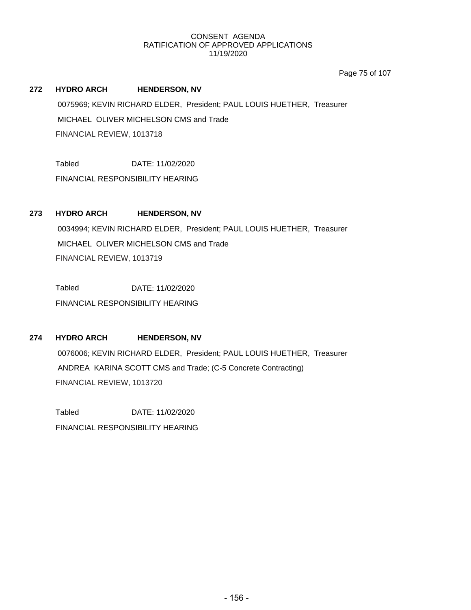Page 75 of 107

# **272 HYDRO ARCH HENDERSON, NV** 0075969; KEVIN RICHARD ELDER, President; PAUL LOUIS HUETHER, Treasurer MICHAEL OLIVER MICHELSON CMS and Trade FINANCIAL REVIEW, 1013718

Tabled DATE: 11/02/2020

FINANCIAL RESPONSIBILITY HEARING

# **273 HYDRO ARCH HENDERSON, NV**

 0034994; KEVIN RICHARD ELDER, President; PAUL LOUIS HUETHER, Treasurer MICHAEL OLIVER MICHELSON CMS and Trade FINANCIAL REVIEW, 1013719

Tabled DATE: 11/02/2020 FINANCIAL RESPONSIBILITY HEARING

# **274 HYDRO ARCH HENDERSON, NV** 0076006; KEVIN RICHARD ELDER, President; PAUL LOUIS HUETHER, Treasurer ANDREA KARINA SCOTT CMS and Trade; (C-5 Concrete Contracting) FINANCIAL REVIEW, 1013720

Tabled DATE: 11/02/2020 FINANCIAL RESPONSIBILITY HEARING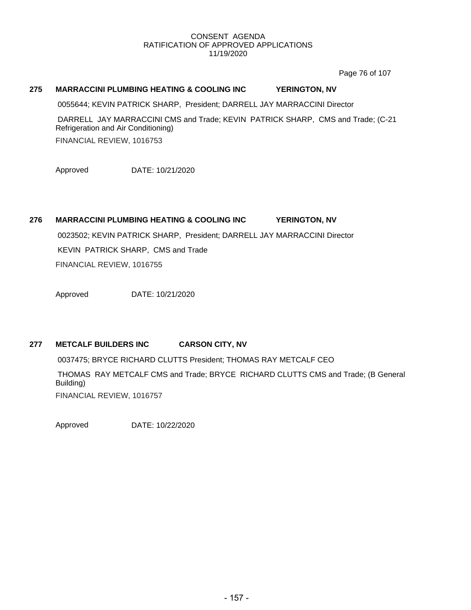Page 76 of 107

### **275 MARRACCINI PLUMBING HEATING & COOLING INC YERINGTON, NV**

0055644; KEVIN PATRICK SHARP, President; DARRELL JAY MARRACCINI Director

 DARRELL JAY MARRACCINI CMS and Trade; KEVIN PATRICK SHARP, CMS and Trade; (C-21 Refrigeration and Air Conditioning)

FINANCIAL REVIEW, 1016753

Approved DATE: 10/21/2020

# **276 MARRACCINI PLUMBING HEATING & COOLING INC YERINGTON, NV** 0023502; KEVIN PATRICK SHARP, President; DARRELL JAY MARRACCINI Director KEVIN PATRICK SHARP, CMS and Trade

FINANCIAL REVIEW, 1016755

Approved DATE: 10/21/2020

# **277 METCALF BUILDERS INC CARSON CITY, NV**

0037475; BRYCE RICHARD CLUTTS President; THOMAS RAY METCALF CEO

 THOMAS RAY METCALF CMS and Trade; BRYCE RICHARD CLUTTS CMS and Trade; (B General Building) FINANCIAL REVIEW, 1016757

Approved DATE: 10/22/2020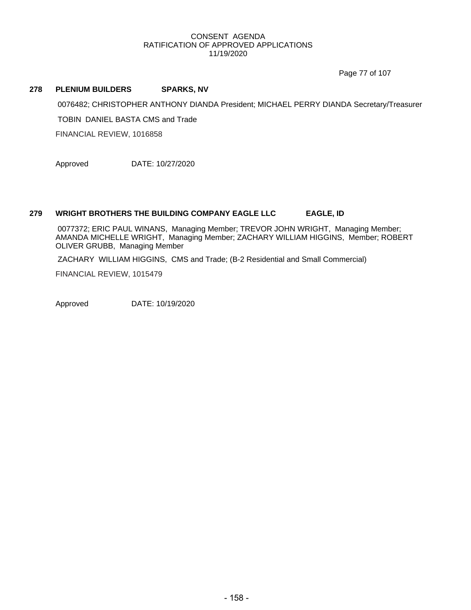Page 77 of 107

### **278 PLENIUM BUILDERS SPARKS, NV**

0076482; CHRISTOPHER ANTHONY DIANDA President; MICHAEL PERRY DIANDA Secretary/Treasurer

TOBIN DANIEL BASTA CMS and Trade

FINANCIAL REVIEW, 1016858

Approved DATE: 10/27/2020

### **279 WRIGHT BROTHERS THE BUILDING COMPANY EAGLE LLC EAGLE, ID**

 0077372; ERIC PAUL WINANS, Managing Member; TREVOR JOHN WRIGHT, Managing Member; AMANDA MICHELLE WRIGHT, Managing Member; ZACHARY WILLIAM HIGGINS, Member; ROBERT OLIVER GRUBB, Managing Member

ZACHARY WILLIAM HIGGINS, CMS and Trade; (B-2 Residential and Small Commercial)

FINANCIAL REVIEW, 1015479

Approved DATE: 10/19/2020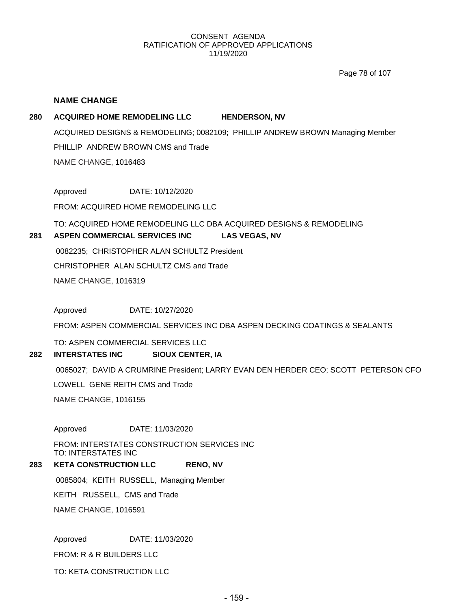Page 78 of 107

### **NAME CHANGE**

#### **280 ACQUIRED HOME REMODELING LLC HENDERSON, NV**

NAME CHANGE, 1016483 PHILLIP ANDREW BROWN CMS and Trade ACQUIRED DESIGNS & REMODELING; 0082109; PHILLIP ANDREW BROWN Managing Member

FROM: ACQUIRED HOME REMODELING LLC Approved DATE: 10/12/2020

TO: ACQUIRED HOME REMODELING LLC DBA ACQUIRED DESIGNS & REMODELING

#### **281 ASPEN COMMERCIAL SERVICES INC LAS VEGAS, NV**

0082235; CHRISTOPHER ALAN SCHULTZ President

CHRISTOPHER ALAN SCHULTZ CMS and Trade

NAME CHANGE, 1016319

Approved DATE: 10/27/2020

FROM: ASPEN COMMERCIAL SERVICES INC DBA ASPEN DECKING COATINGS & SEALANTS

TO: ASPEN COMMERCIAL SERVICES LLC

#### **282 INTERSTATES INC SIOUX CENTER, IA**

0065027; DAVID A CRUMRINE President; LARRY EVAN DEN HERDER CEO; SCOTT PETERSON CFO

LOWELL GENE REITH CMS and Trade

NAME CHANGE, 1016155

Approved DATE: 11/03/2020

FROM: INTERSTATES CONSTRUCTION SERVICES INC TO: INTERSTATES INC

#### **283 KETA CONSTRUCTION LLC RENO, NV**

0085804; KEITH RUSSELL, Managing Member

KEITH RUSSELL, CMS and Trade

NAME CHANGE, 1016591

Approved DATE: 11/03/2020

FROM: R & R BUILDERS LLC

TO: KETA CONSTRUCTION LLC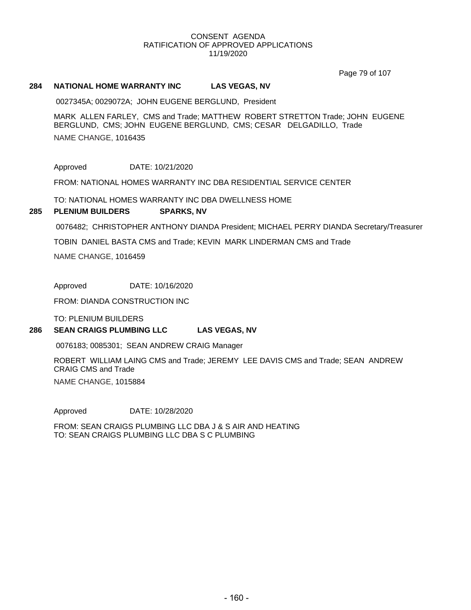Page 79 of 107

#### **284 NATIONAL HOME WARRANTY INC LAS VEGAS, NV**

0027345A; 0029072A; JOHN EUGENE BERGLUND, President

NAME CHANGE, 1016435 MARK ALLEN FARLEY, CMS and Trade; MATTHEW ROBERT STRETTON Trade; JOHN EUGENE BERGLUND, CMS; JOHN EUGENE BERGLUND, CMS; CESAR DELGADILLO, Trade

Approved DATE: 10/21/2020

FROM: NATIONAL HOMES WARRANTY INC DBA RESIDENTIAL SERVICE CENTER

TO: NATIONAL HOMES WARRANTY INC DBA DWELLNESS HOME

#### **285 PLENIUM BUILDERS SPARKS, NV**

0076482; CHRISTOPHER ANTHONY DIANDA President; MICHAEL PERRY DIANDA Secretary/Treasurer

TOBIN DANIEL BASTA CMS and Trade; KEVIN MARK LINDERMAN CMS and Trade

NAME CHANGE, 1016459

Approved DATE: 10/16/2020

FROM: DIANDA CONSTRUCTION INC

TO: PLENIUM BUILDERS

#### **286 SEAN CRAIGS PLUMBING LLC LAS VEGAS, NV**

0076183; 0085301; SEAN ANDREW CRAIG Manager

ROBERT WILLIAM LAING CMS and Trade; JEREMY LEE DAVIS CMS and Trade; SEAN ANDREW CRAIG CMS and Trade

NAME CHANGE, 1015884

Approved DATE: 10/28/2020

FROM: SEAN CRAIGS PLUMBING LLC DBA J & S AIR AND HEATING TO: SEAN CRAIGS PLUMBING LLC DBA S C PLUMBING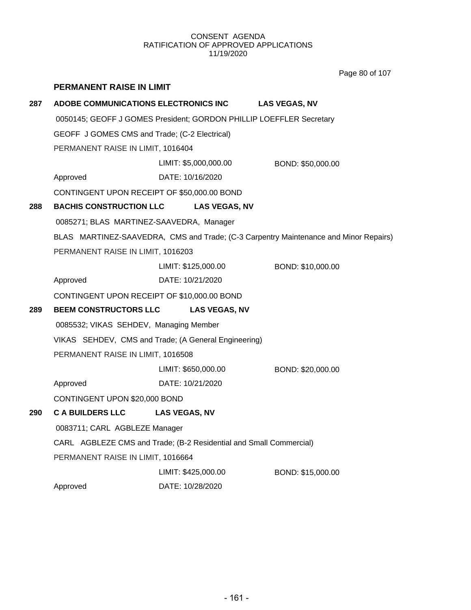Page 80 of 107

|     | <b>PERMANENT RAISE IN LIMIT</b>                                                                                                                           |                                                                    |                                                                                      |  |
|-----|-----------------------------------------------------------------------------------------------------------------------------------------------------------|--------------------------------------------------------------------|--------------------------------------------------------------------------------------|--|
| 287 |                                                                                                                                                           | ADOBE COMMUNICATIONS ELECTRONICS INC LAS VEGAS, NV                 |                                                                                      |  |
|     | 0050145; GEOFF J GOMES President; GORDON PHILLIP LOEFFLER Secretary<br>GEOFF J GOMES CMS and Trade; (C-2 Electrical)<br>PERMANENT RAISE IN LIMIT, 1016404 |                                                                    |                                                                                      |  |
|     |                                                                                                                                                           |                                                                    |                                                                                      |  |
|     |                                                                                                                                                           |                                                                    |                                                                                      |  |
|     |                                                                                                                                                           | LIMIT: \$5,000,000.00                                              | BOND: \$50,000.00                                                                    |  |
|     | Approved                                                                                                                                                  | DATE: 10/16/2020                                                   |                                                                                      |  |
|     | CONTINGENT UPON RECEIPT OF \$50,000.00 BOND                                                                                                               |                                                                    |                                                                                      |  |
| 288 | <b>BACHIS CONSTRUCTION LLC</b>                                                                                                                            | <b>LAS VEGAS, NV</b>                                               |                                                                                      |  |
|     | 0085271; BLAS MARTINEZ-SAAVEDRA, Manager                                                                                                                  |                                                                    |                                                                                      |  |
|     |                                                                                                                                                           |                                                                    | BLAS MARTINEZ-SAAVEDRA, CMS and Trade; (C-3 Carpentry Maintenance and Minor Repairs) |  |
|     | PERMANENT RAISE IN LIMIT, 1016203                                                                                                                         |                                                                    |                                                                                      |  |
|     |                                                                                                                                                           | LIMIT: \$125,000.00                                                | BOND: \$10,000.00                                                                    |  |
|     | Approved                                                                                                                                                  | DATE: 10/21/2020                                                   |                                                                                      |  |
|     | CONTINGENT UPON RECEIPT OF \$10,000.00 BOND                                                                                                               |                                                                    |                                                                                      |  |
| 289 | <b>BEEM CONSTRUCTORS LLC</b>                                                                                                                              | <b>LAS VEGAS, NV</b>                                               |                                                                                      |  |
|     | 0085532; VIKAS SEHDEV, Managing Member                                                                                                                    |                                                                    |                                                                                      |  |
|     |                                                                                                                                                           | VIKAS SEHDEV, CMS and Trade; (A General Engineering)               |                                                                                      |  |
|     | PERMANENT RAISE IN LIMIT, 1016508                                                                                                                         |                                                                    |                                                                                      |  |
|     |                                                                                                                                                           | LIMIT: \$650,000.00                                                | BOND: \$20,000.00                                                                    |  |
|     | Approved                                                                                                                                                  | DATE: 10/21/2020                                                   |                                                                                      |  |
|     | CONTINGENT UPON \$20,000 BOND                                                                                                                             |                                                                    |                                                                                      |  |
| 290 | <b>C A BUILDERS LLC</b>                                                                                                                                   | <b>LAS VEGAS, NV</b>                                               |                                                                                      |  |
|     | 0083711; CARL AGBLEZE Manager                                                                                                                             |                                                                    |                                                                                      |  |
|     |                                                                                                                                                           | CARL AGBLEZE CMS and Trade; (B-2 Residential and Small Commercial) |                                                                                      |  |
|     | PERMANENT RAISE IN LIMIT, 1016664                                                                                                                         |                                                                    |                                                                                      |  |
|     |                                                                                                                                                           | LIMIT: \$425,000.00                                                | BOND: \$15,000.00                                                                    |  |
|     | Approved                                                                                                                                                  | DATE: 10/28/2020                                                   |                                                                                      |  |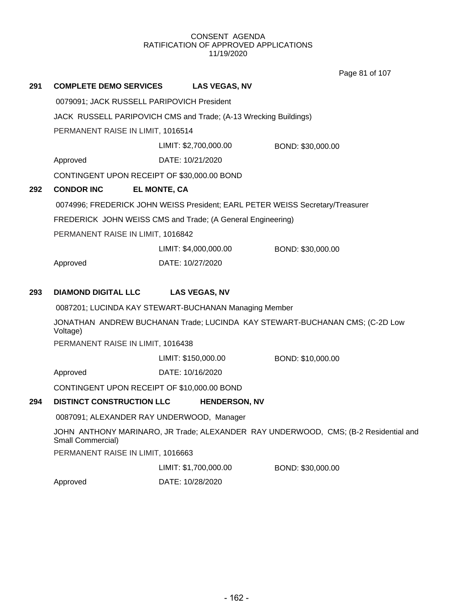Page 81 of 107

| 291 | <b>COMPLETE DEMO SERVICES</b>                                    |                     | <b>LAS VEGAS, NV</b>  |                                                                               |
|-----|------------------------------------------------------------------|---------------------|-----------------------|-------------------------------------------------------------------------------|
|     | 0079091; JACK RUSSELL PARIPOVICH President                       |                     |                       |                                                                               |
|     | JACK RUSSELL PARIPOVICH CMS and Trade; (A-13 Wrecking Buildings) |                     |                       |                                                                               |
|     | PERMANENT RAISE IN LIMIT, 1016514                                |                     |                       |                                                                               |
|     |                                                                  |                     | LIMIT: \$2,700,000.00 | BOND: \$30,000.00                                                             |
|     | Approved                                                         |                     | DATE: 10/21/2020      |                                                                               |
|     | CONTINGENT UPON RECEIPT OF \$30,000.00 BOND                      |                     |                       |                                                                               |
| 292 | <b>CONDOR INC</b>                                                | <b>EL MONTE, CA</b> |                       |                                                                               |
|     |                                                                  |                     |                       | 0074996; FREDERICK JOHN WEISS President; EARL PETER WEISS Secretary/Treasurer |
|     | FREDERICK JOHN WEISS CMS and Trade; (A General Engineering)      |                     |                       |                                                                               |
|     | PERMANENT RAISE IN LIMIT, 1016842                                |                     |                       |                                                                               |
|     |                                                                  |                     | LIMIT: \$4,000,000.00 | BOND: \$30,000.00                                                             |
|     | Approved                                                         |                     | DATE: 10/27/2020      |                                                                               |
|     |                                                                  |                     |                       |                                                                               |
| 293 | <b>DIAMOND DIGITAL LLC</b>                                       |                     | <b>LAS VEGAS, NV</b>  |                                                                               |
|     | 0087201; LUCINDA KAY STEWART-BUCHANAN Managing Member            |                     |                       |                                                                               |
|     | Voltage)                                                         |                     |                       | JONATHAN ANDREW BUCHANAN Trade; LUCINDA KAY STEWART-BUCHANAN CMS; (C-2D Low   |
|     | PERMANENT RAISE IN LIMIT, 1016438                                |                     |                       |                                                                               |

LIMIT: \$150,000.00 BOND: \$10,000.00

Approved DATE: 10/16/2020

CONTINGENT UPON RECEIPT OF \$10,000.00 BOND

## **294 DISTINCT CONSTRUCTION LLC HENDERSON, NV**

0087091; ALEXANDER RAY UNDERWOOD, Manager

JOHN ANTHONY MARINARO, JR Trade; ALEXANDER RAY UNDERWOOD, CMS; (B-2 Residential and Small Commercial)

PERMANENT RAISE IN LIMIT, 1016663

LIMIT: \$1,700,000.00 BOND: \$30,000.00

Approved DATE: 10/28/2020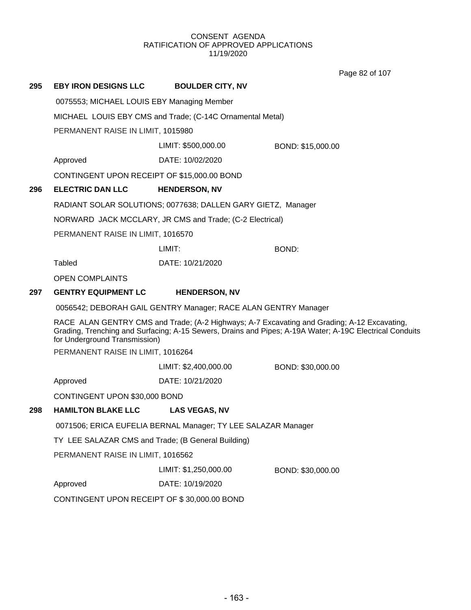Page 82 of 107

| 295 | <b>EBY IRON DESIGNS LLC</b>                               | <b>BOULDER CITY, NV</b>                                        |                                                                                                                                                                                                        |  |
|-----|-----------------------------------------------------------|----------------------------------------------------------------|--------------------------------------------------------------------------------------------------------------------------------------------------------------------------------------------------------|--|
|     | 0075553; MICHAEL LOUIS EBY Managing Member                |                                                                |                                                                                                                                                                                                        |  |
|     | MICHAEL LOUIS EBY CMS and Trade; (C-14C Ornamental Metal) |                                                                |                                                                                                                                                                                                        |  |
|     | PERMANENT RAISE IN LIMIT, 1015980                         |                                                                |                                                                                                                                                                                                        |  |
|     |                                                           | LIMIT: \$500,000.00                                            | BOND: \$15,000.00                                                                                                                                                                                      |  |
|     | Approved                                                  | DATE: 10/02/2020                                               |                                                                                                                                                                                                        |  |
|     | CONTINGENT UPON RECEIPT OF \$15,000.00 BOND               |                                                                |                                                                                                                                                                                                        |  |
| 296 | <b>ELECTRIC DAN LLC</b>                                   | <b>HENDERSON, NV</b>                                           |                                                                                                                                                                                                        |  |
|     |                                                           | RADIANT SOLAR SOLUTIONS; 0077638; DALLEN GARY GIETZ, Manager   |                                                                                                                                                                                                        |  |
|     |                                                           | NORWARD JACK MCCLARY, JR CMS and Trade; (C-2 Electrical)       |                                                                                                                                                                                                        |  |
|     | PERMANENT RAISE IN LIMIT, 1016570                         |                                                                |                                                                                                                                                                                                        |  |
|     |                                                           | LIMIT:                                                         | BOND:                                                                                                                                                                                                  |  |
|     | <b>Tabled</b>                                             | DATE: 10/21/2020                                               |                                                                                                                                                                                                        |  |
|     | <b>OPEN COMPLAINTS</b>                                    |                                                                |                                                                                                                                                                                                        |  |
| 297 | <b>GENTRY EQUIPMENT LC</b>                                | <b>HENDERSON, NV</b>                                           |                                                                                                                                                                                                        |  |
|     |                                                           | 0056542; DEBORAH GAIL GENTRY Manager; RACE ALAN GENTRY Manager |                                                                                                                                                                                                        |  |
|     | for Underground Transmission)                             |                                                                | RACE ALAN GENTRY CMS and Trade; (A-2 Highways; A-7 Excavating and Grading; A-12 Excavating,<br>Grading, Trenching and Surfacing; A-15 Sewers, Drains and Pipes; A-19A Water; A-19C Electrical Conduits |  |
|     | PERMANENT RAISE IN LIMIT, 1016264                         |                                                                |                                                                                                                                                                                                        |  |
|     |                                                           | LIMIT: \$2,400,000.00                                          | BOND: \$30,000.00                                                                                                                                                                                      |  |
|     | Approved                                                  | DATE: 10/21/2020                                               |                                                                                                                                                                                                        |  |
|     | CONTINGENT UPON \$30,000 BOND                             |                                                                |                                                                                                                                                                                                        |  |
| 298 | <b>HAMILTON BLAKE LLC</b>                                 | <b>LAS VEGAS, NV</b>                                           |                                                                                                                                                                                                        |  |
|     |                                                           | 0071506; ERICA EUFELIA BERNAL Manager; TY LEE SALAZAR Manager  |                                                                                                                                                                                                        |  |
|     |                                                           | TY LEE SALAZAR CMS and Trade; (B General Building)             |                                                                                                                                                                                                        |  |
|     | PERMANENT RAISE IN LIMIT, 1016562                         |                                                                |                                                                                                                                                                                                        |  |
|     |                                                           | LIMIT: \$1,250,000.00                                          | BOND: \$30,000.00                                                                                                                                                                                      |  |
|     | Approved                                                  | DATE: 10/19/2020                                               |                                                                                                                                                                                                        |  |
|     | CONTINGENT UPON RECEIPT OF \$30,000.00 BOND               |                                                                |                                                                                                                                                                                                        |  |
|     |                                                           |                                                                |                                                                                                                                                                                                        |  |
|     |                                                           |                                                                |                                                                                                                                                                                                        |  |
|     |                                                           |                                                                |                                                                                                                                                                                                        |  |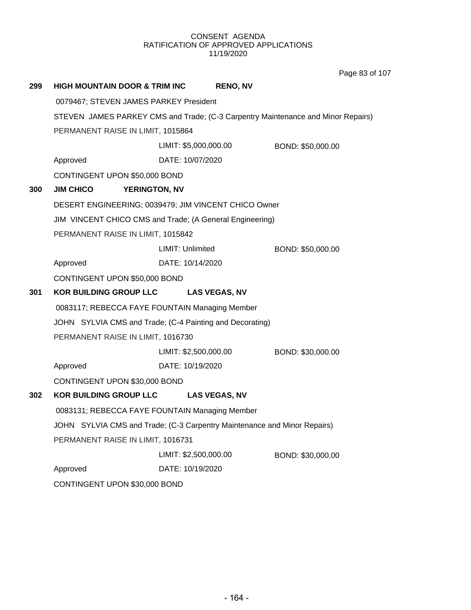Page 83 of 107

**299 HIGH MOUNTAIN DOOR & TRIM INC RENO, NV** 0079467; STEVEN JAMES PARKEY President STEVEN JAMES PARKEY CMS and Trade; (C-3 Carpentry Maintenance and Minor Repairs) PERMANENT RAISE IN LIMIT, 1015864 Approved DATE: 10/07/2020 LIMIT: \$5,000,000.00 BOND: \$50,000.00 CONTINGENT UPON \$50,000 BOND **300 JIM CHICO YERINGTON, NV** DESERT ENGINEERING; 0039479; JIM VINCENT CHICO Owner JIM VINCENT CHICO CMS and Trade; (A General Engineering) PERMANENT RAISE IN LIMIT, 1015842 Approved DATE: 10/14/2020 LIMIT: Unlimited BOND: \$50,000.00 CONTINGENT UPON \$50,000 BOND **301 KOR BUILDING GROUP LLC LAS VEGAS, NV** 0083117; REBECCA FAYE FOUNTAIN Managing Member JOHN SYLVIA CMS and Trade; (C-4 Painting and Decorating) PERMANENT RAISE IN LIMIT, 1016730 Approved DATE: 10/19/2020 LIMIT: \$2,500,000.00 BOND: \$30,000.00 CONTINGENT UPON \$30,000 BOND **302 KOR BUILDING GROUP LLC LAS VEGAS, NV** 0083131; REBECCA FAYE FOUNTAIN Managing Member JOHN SYLVIA CMS and Trade; (C-3 Carpentry Maintenance and Minor Repairs) PERMANENT RAISE IN LIMIT, 1016731 Approved DATE: 10/19/2020 LIMIT: \$2,500,000.00 BOND: \$30,000.00 CONTINGENT UPON \$30,000 BOND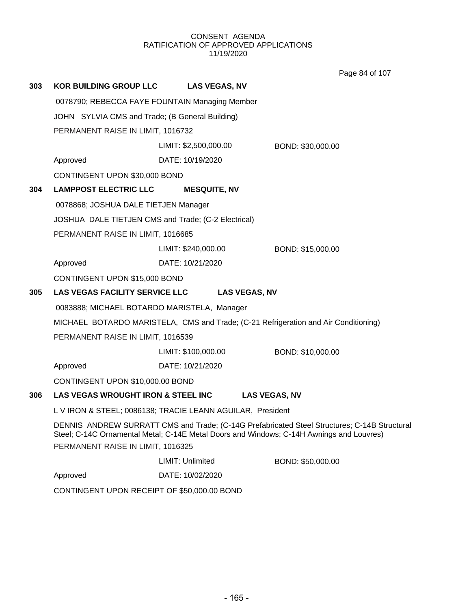Page 84 of 107

| 303 | KOR BUILDING GROUP LLC                                                                                                                                                                   |  | <b>LAS VEGAS, NV</b>  |                                                                                     |
|-----|------------------------------------------------------------------------------------------------------------------------------------------------------------------------------------------|--|-----------------------|-------------------------------------------------------------------------------------|
|     | 0078790; REBECCA FAYE FOUNTAIN Managing Member                                                                                                                                           |  |                       |                                                                                     |
|     | JOHN SYLVIA CMS and Trade; (B General Building)                                                                                                                                          |  |                       |                                                                                     |
|     | PERMANENT RAISE IN LIMIT, 1016732                                                                                                                                                        |  |                       |                                                                                     |
|     |                                                                                                                                                                                          |  | LIMIT: \$2,500,000.00 | BOND: \$30,000.00                                                                   |
|     | Approved                                                                                                                                                                                 |  | DATE: 10/19/2020      |                                                                                     |
|     | CONTINGENT UPON \$30,000 BOND                                                                                                                                                            |  |                       |                                                                                     |
| 304 | <b>LAMPPOST ELECTRIC LLC</b>                                                                                                                                                             |  | <b>MESQUITE, NV</b>   |                                                                                     |
|     | 0078868; JOSHUA DALE TIETJEN Manager                                                                                                                                                     |  |                       |                                                                                     |
|     | JOSHUA DALE TIETJEN CMS and Trade; (C-2 Electrical)                                                                                                                                      |  |                       |                                                                                     |
|     | PERMANENT RAISE IN LIMIT, 1016685                                                                                                                                                        |  |                       |                                                                                     |
|     |                                                                                                                                                                                          |  | LIMIT: \$240,000.00   | BOND: \$15,000.00                                                                   |
|     | Approved                                                                                                                                                                                 |  | DATE: 10/21/2020      |                                                                                     |
|     | CONTINGENT UPON \$15,000 BOND                                                                                                                                                            |  |                       |                                                                                     |
| 305 | <b>LAS VEGAS FACILITY SERVICE LLC</b>                                                                                                                                                    |  | <b>LAS VEGAS, NV</b>  |                                                                                     |
|     | 0083888; MICHAEL BOTARDO MARISTELA, Manager                                                                                                                                              |  |                       |                                                                                     |
|     |                                                                                                                                                                                          |  |                       | MICHAEL BOTARDO MARISTELA, CMS and Trade; (C-21 Refrigeration and Air Conditioning) |
|     | PERMANENT RAISE IN LIMIT, 1016539                                                                                                                                                        |  |                       |                                                                                     |
|     |                                                                                                                                                                                          |  | LIMIT: \$100,000.00   | BOND: \$10,000.00                                                                   |
|     | Approved                                                                                                                                                                                 |  | DATE: 10/21/2020      |                                                                                     |
|     | CONTINGENT UPON \$10,000.00 BOND                                                                                                                                                         |  |                       |                                                                                     |
| 306 | LAS VEGAS WROUGHT IRON & STEEL INC                                                                                                                                                       |  |                       | <b>LAS VEGAS, NV</b>                                                                |
|     | L V IRON & STEEL; 0086138; TRACIE LEANN AGUILAR, President                                                                                                                               |  |                       |                                                                                     |
|     | DENNIS ANDREW SURRATT CMS and Trade; (C-14G Prefabricated Steel Structures; C-14B Structural<br>Steel; C-14C Ornamental Metal; C-14E Metal Doors and Windows; C-14H Awnings and Louvres) |  |                       |                                                                                     |
|     | PERMANENT RAISE IN LIMIT, 1016325                                                                                                                                                        |  |                       |                                                                                     |
|     |                                                                                                                                                                                          |  | LIMIT: Unlimited      | BOND: \$50,000.00                                                                   |
|     | Approved                                                                                                                                                                                 |  | DATE: 10/02/2020      |                                                                                     |
|     | CONTINGENT UPON RECEIPT OF \$50,000.00 BOND                                                                                                                                              |  |                       |                                                                                     |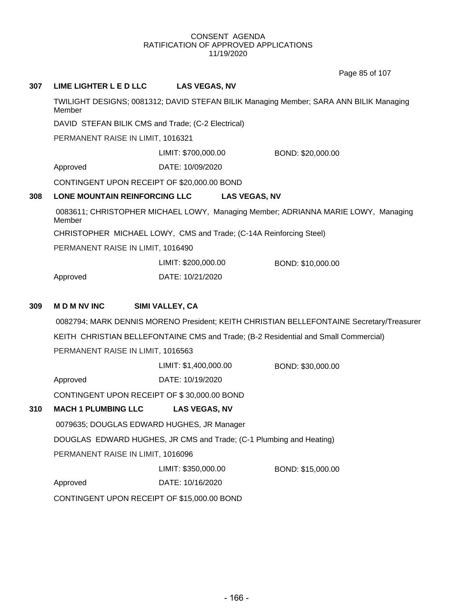Page 85 of 107

| 307 | LIME LIGHTER L E D LLC                                                                   | <b>LAS VEGAS, NV</b>                                               |                                                                                        |  |  |
|-----|------------------------------------------------------------------------------------------|--------------------------------------------------------------------|----------------------------------------------------------------------------------------|--|--|
|     | Member                                                                                   |                                                                    | TWILIGHT DESIGNS; 0081312; DAVID STEFAN BILIK Managing Member; SARA ANN BILIK Managing |  |  |
|     |                                                                                          | DAVID STEFAN BILIK CMS and Trade; (C-2 Electrical)                 |                                                                                        |  |  |
|     | PERMANENT RAISE IN LIMIT, 1016321                                                        |                                                                    |                                                                                        |  |  |
|     |                                                                                          | LIMIT: \$700,000.00                                                | BOND: \$20,000.00                                                                      |  |  |
|     | Approved                                                                                 | DATE: 10/09/2020                                                   |                                                                                        |  |  |
|     | CONTINGENT UPON RECEIPT OF \$20,000.00 BOND                                              |                                                                    |                                                                                        |  |  |
| 308 | <b>LONE MOUNTAIN REINFORCING LLC</b>                                                     | <b>LAS VEGAS, NV</b>                                               |                                                                                        |  |  |
|     | Member                                                                                   |                                                                    | 0083611; CHRISTOPHER MICHAEL LOWY, Managing Member; ADRIANNA MARIE LOWY, Managing      |  |  |
|     |                                                                                          | CHRISTOPHER MICHAEL LOWY, CMS and Trade; (C-14A Reinforcing Steel) |                                                                                        |  |  |
|     | PERMANENT RAISE IN LIMIT, 1016490                                                        |                                                                    |                                                                                        |  |  |
|     |                                                                                          | LIMIT: \$200,000.00                                                | BOND: \$10,000.00                                                                      |  |  |
|     | Approved                                                                                 | DATE: 10/21/2020                                                   |                                                                                        |  |  |
| 309 | <b>MDMNVINC</b>                                                                          | SIMI VALLEY, CA                                                    |                                                                                        |  |  |
|     | 0082794; MARK DENNIS MORENO President; KEITH CHRISTIAN BELLEFONTAINE Secretary/Treasurer |                                                                    |                                                                                        |  |  |
|     | KEITH CHRISTIAN BELLEFONTAINE CMS and Trade; (B-2 Residential and Small Commercial)      |                                                                    |                                                                                        |  |  |
|     | PERMANENT RAISE IN LIMIT, 1016563                                                        |                                                                    |                                                                                        |  |  |
|     |                                                                                          | LIMIT: \$1,400,000.00                                              | BOND: \$30,000.00                                                                      |  |  |
|     | Approved                                                                                 | DATE: 10/19/2020                                                   |                                                                                        |  |  |
|     | CONTINGENT UPON RECEIPT OF \$30,000.00 BOND                                              |                                                                    |                                                                                        |  |  |
| 310 | <b>MACH 1 PLUMBING LLC</b>                                                               | <b>LAS VEGAS, NV</b>                                               |                                                                                        |  |  |
|     | 0079635; DOUGLAS EDWARD HUGHES, JR Manager                                               |                                                                    |                                                                                        |  |  |
|     | DOUGLAS EDWARD HUGHES, JR CMS and Trade; (C-1 Plumbing and Heating)                      |                                                                    |                                                                                        |  |  |
|     | PERMANENT RAISE IN LIMIT, 1016096                                                        |                                                                    |                                                                                        |  |  |
|     |                                                                                          | LIMIT: \$350,000.00                                                | BOND: \$15,000.00                                                                      |  |  |
|     | Approved                                                                                 | DATE: 10/16/2020                                                   |                                                                                        |  |  |
|     | CONTINGENT UPON RECEIPT OF \$15,000.00 BOND                                              |                                                                    |                                                                                        |  |  |
|     |                                                                                          |                                                                    |                                                                                        |  |  |
|     |                                                                                          |                                                                    |                                                                                        |  |  |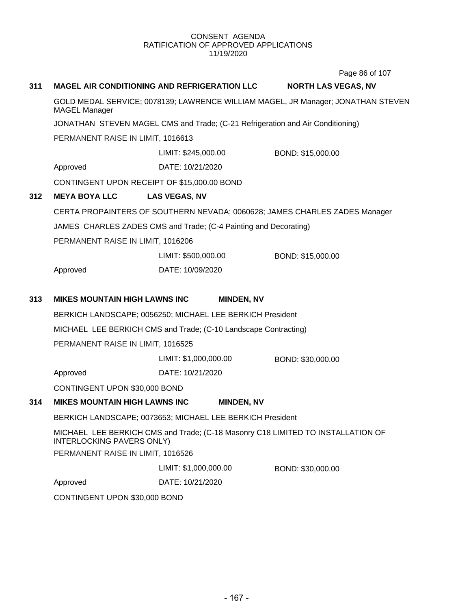Page 86 of 107

| 311 |                                                                                                              | <b>MAGEL AIR CONDITIONING AND REFRIGERATION LLC</b>                            | <b>NORTH LAS VEGAS, NV</b>                                                 |  |
|-----|--------------------------------------------------------------------------------------------------------------|--------------------------------------------------------------------------------|----------------------------------------------------------------------------|--|
|     | GOLD MEDAL SERVICE; 0078139; LAWRENCE WILLIAM MAGEL, JR Manager; JONATHAN STEVEN<br><b>MAGEL Manager</b>     |                                                                                |                                                                            |  |
|     |                                                                                                              | JONATHAN STEVEN MAGEL CMS and Trade; (C-21 Refrigeration and Air Conditioning) |                                                                            |  |
|     | PERMANENT RAISE IN LIMIT, 1016613                                                                            |                                                                                |                                                                            |  |
|     |                                                                                                              | LIMIT: \$245,000.00                                                            | BOND: \$15,000.00                                                          |  |
|     | Approved                                                                                                     | DATE: 10/21/2020                                                               |                                                                            |  |
|     | CONTINGENT UPON RECEIPT OF \$15,000.00 BOND                                                                  |                                                                                |                                                                            |  |
| 312 | <b>MEYA BOYA LLC</b>                                                                                         | <b>LAS VEGAS, NV</b>                                                           |                                                                            |  |
|     |                                                                                                              |                                                                                | CERTA PROPAINTERS OF SOUTHERN NEVADA; 0060628; JAMES CHARLES ZADES Manager |  |
|     |                                                                                                              | JAMES CHARLES ZADES CMS and Trade; (C-4 Painting and Decorating)               |                                                                            |  |
|     | PERMANENT RAISE IN LIMIT, 1016206                                                                            |                                                                                |                                                                            |  |
|     |                                                                                                              | LIMIT: \$500,000.00                                                            | BOND: \$15,000.00                                                          |  |
|     | Approved                                                                                                     | DATE: 10/09/2020                                                               |                                                                            |  |
| 313 | <b>MIKES MOUNTAIN HIGH LAWNS INC</b>                                                                         | <b>MINDEN, NV</b>                                                              |                                                                            |  |
|     |                                                                                                              | BERKICH LANDSCAPE; 0056250; MICHAEL LEE BERKICH President                      |                                                                            |  |
|     | MICHAEL LEE BERKICH CMS and Trade; (C-10 Landscape Contracting)                                              |                                                                                |                                                                            |  |
|     | PERMANENT RAISE IN LIMIT, 1016525                                                                            |                                                                                |                                                                            |  |
|     |                                                                                                              | LIMIT: \$1,000,000.00                                                          | BOND: \$30,000.00                                                          |  |
|     | Approved                                                                                                     | DATE: 10/21/2020                                                               |                                                                            |  |
|     | CONTINGENT UPON \$30,000 BOND                                                                                |                                                                                |                                                                            |  |
| 314 | <b>MIKES MOUNTAIN HIGH LAWNS INC</b>                                                                         | <b>MINDEN, NV</b>                                                              |                                                                            |  |
|     | BERKICH LANDSCAPE; 0073653; MICHAEL LEE BERKICH President                                                    |                                                                                |                                                                            |  |
|     | MICHAEL LEE BERKICH CMS and Trade; (C-18 Masonry C18 LIMITED TO INSTALLATION OF<br>INTERLOCKING PAVERS ONLY) |                                                                                |                                                                            |  |
|     | PERMANENT RAISE IN LIMIT, 1016526                                                                            |                                                                                |                                                                            |  |
|     |                                                                                                              | LIMIT: \$1,000,000.00                                                          | BOND: \$30,000.00                                                          |  |
|     | Approved                                                                                                     | DATE: 10/21/2020                                                               |                                                                            |  |
|     | CONTINGENT UPON \$30,000 BOND                                                                                |                                                                                |                                                                            |  |
|     |                                                                                                              |                                                                                |                                                                            |  |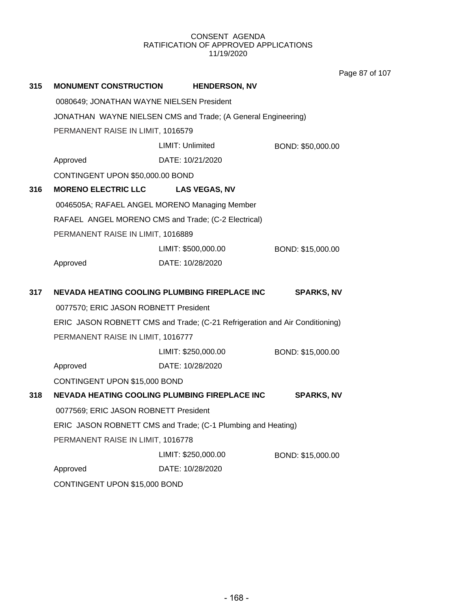Page 87 of 107

| 315 | <b>MONUMENT CONSTRUCTION</b>                                  | <b>HENDERSON, NV</b>                                                        |                   |
|-----|---------------------------------------------------------------|-----------------------------------------------------------------------------|-------------------|
|     | 0080649; JONATHAN WAYNE NIELSEN President                     |                                                                             |                   |
|     | JONATHAN WAYNE NIELSEN CMS and Trade; (A General Engineering) |                                                                             |                   |
|     | PERMANENT RAISE IN LIMIT, 1016579                             |                                                                             |                   |
|     |                                                               | LIMIT: Unlimited                                                            | BOND: \$50,000.00 |
|     | Approved                                                      | DATE: 10/21/2020                                                            |                   |
|     | CONTINGENT UPON \$50,000.00 BOND                              |                                                                             |                   |
| 316 | <b>MORENO ELECTRIC LLC</b>                                    | <b>LAS VEGAS, NV</b>                                                        |                   |
|     |                                                               | 0046505A; RAFAEL ANGEL MORENO Managing Member                               |                   |
|     |                                                               | RAFAEL ANGEL MORENO CMS and Trade; (C-2 Electrical)                         |                   |
|     | PERMANENT RAISE IN LIMIT, 1016889                             |                                                                             |                   |
|     |                                                               | LIMIT: \$500,000.00                                                         | BOND: \$15,000.00 |
|     | Approved                                                      | DATE: 10/28/2020                                                            |                   |
|     |                                                               |                                                                             |                   |
|     |                                                               |                                                                             |                   |
| 317 |                                                               | NEVADA HEATING COOLING PLUMBING FIREPLACE INC                               | <b>SPARKS, NV</b> |
|     | 0077570; ERIC JASON ROBNETT President                         |                                                                             |                   |
|     |                                                               | ERIC JASON ROBNETT CMS and Trade; (C-21 Refrigeration and Air Conditioning) |                   |
|     | PERMANENT RAISE IN LIMIT, 1016777                             |                                                                             |                   |
|     |                                                               | LIMIT: \$250,000.00                                                         | BOND: \$15,000.00 |
|     | Approved                                                      | DATE: 10/28/2020                                                            |                   |
|     | CONTINGENT UPON \$15,000 BOND                                 |                                                                             |                   |
| 318 |                                                               | NEVADA HEATING COOLING PLUMBING FIREPLACE INC                               | <b>SPARKS, NV</b> |
|     | 0077569; ERIC JASON ROBNETT President                         |                                                                             |                   |
|     |                                                               | ERIC JASON ROBNETT CMS and Trade; (C-1 Plumbing and Heating)                |                   |
|     | PERMANENT RAISE IN LIMIT, 1016778                             |                                                                             |                   |
|     |                                                               | LIMIT: \$250,000.00                                                         | BOND: \$15,000.00 |
|     | Approved                                                      | DATE: 10/28/2020                                                            |                   |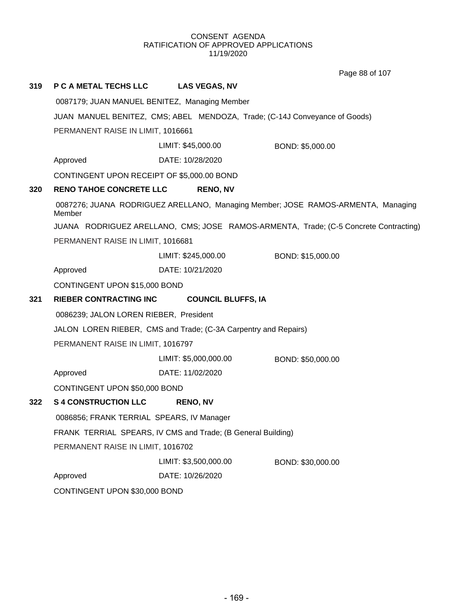Page 88 of 107

| 319 | <b>P C A METAL TECHS LLC</b>                                 | <b>LAS VEGAS, NV</b>                                                       |                                                                                      |
|-----|--------------------------------------------------------------|----------------------------------------------------------------------------|--------------------------------------------------------------------------------------|
|     | 0087179; JUAN MANUEL BENITEZ, Managing Member                |                                                                            |                                                                                      |
|     |                                                              | JUAN MANUEL BENITEZ, CMS; ABEL MENDOZA, Trade; (C-14J Conveyance of Goods) |                                                                                      |
|     | PERMANENT RAISE IN LIMIT, 1016661                            |                                                                            |                                                                                      |
|     |                                                              | LIMIT: \$45,000.00                                                         | BOND: \$5,000.00                                                                     |
|     | Approved                                                     | DATE: 10/28/2020                                                           |                                                                                      |
|     | CONTINGENT UPON RECEIPT OF \$5,000.00 BOND                   |                                                                            |                                                                                      |
| 320 | <b>RENO TAHOE CONCRETE LLC</b>                               | <b>RENO, NV</b>                                                            |                                                                                      |
|     | Member                                                       |                                                                            | 0087276; JUANA RODRIGUEZ ARELLANO, Managing Member; JOSE RAMOS-ARMENTA, Managing     |
|     |                                                              |                                                                            | JUANA RODRIGUEZ ARELLANO, CMS; JOSE RAMOS-ARMENTA, Trade; (C-5 Concrete Contracting) |
|     | PERMANENT RAISE IN LIMIT, 1016681                            |                                                                            |                                                                                      |
|     |                                                              | LIMIT: \$245,000.00                                                        | BOND: \$15,000.00                                                                    |
|     | Approved                                                     | DATE: 10/21/2020                                                           |                                                                                      |
|     | CONTINGENT UPON \$15,000 BOND                                |                                                                            |                                                                                      |
| 321 | <b>RIEBER CONTRACTING INC</b>                                | <b>COUNCIL BLUFFS, IA</b>                                                  |                                                                                      |
|     | 0086239; JALON LOREN RIEBER, President                       |                                                                            |                                                                                      |
|     |                                                              | JALON LOREN RIEBER, CMS and Trade; (C-3A Carpentry and Repairs)            |                                                                                      |
|     | PERMANENT RAISE IN LIMIT, 1016797                            |                                                                            |                                                                                      |
|     |                                                              | LIMIT: \$5,000,000.00                                                      | BOND: \$50,000.00                                                                    |
|     | Approved                                                     | DATE: 11/02/2020                                                           |                                                                                      |
|     | CONTINGENT UPON \$50,000 BOND                                |                                                                            |                                                                                      |
| 322 | <b>S 4 CONSTRUCTION LLC</b>                                  | <b>RENO, NV</b>                                                            |                                                                                      |
|     | 0086856; FRANK TERRIAL SPEARS, IV Manager                    |                                                                            |                                                                                      |
|     | FRANK TERRIAL SPEARS, IV CMS and Trade; (B General Building) |                                                                            |                                                                                      |
|     | PERMANENT RAISE IN LIMIT, 1016702                            |                                                                            |                                                                                      |
|     |                                                              | LIMIT: \$3,500,000.00                                                      | BOND: \$30,000.00                                                                    |
|     | Approved                                                     | DATE: 10/26/2020                                                           |                                                                                      |
|     | CONTINGENT UPON \$30,000 BOND                                |                                                                            |                                                                                      |
|     |                                                              |                                                                            |                                                                                      |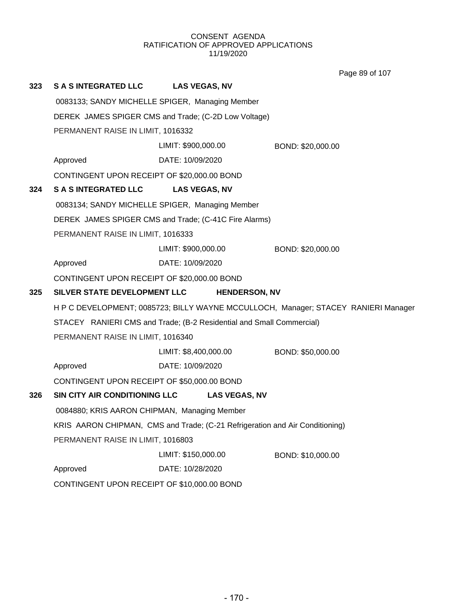Page 89 of 107

| 323 | <b>S A S INTEGRATED LLC</b>                                                  | <b>LAS VEGAS, NV</b>                                                               |                   |  |
|-----|------------------------------------------------------------------------------|------------------------------------------------------------------------------------|-------------------|--|
|     |                                                                              | 0083133; SANDY MICHELLE SPIGER, Managing Member                                    |                   |  |
|     |                                                                              | DEREK JAMES SPIGER CMS and Trade; (C-2D Low Voltage)                               |                   |  |
|     | PERMANENT RAISE IN LIMIT, 1016332                                            |                                                                                    |                   |  |
|     |                                                                              | LIMIT: \$900,000.00                                                                | BOND: \$20,000.00 |  |
|     | Approved                                                                     | DATE: 10/09/2020                                                                   |                   |  |
|     | CONTINGENT UPON RECEIPT OF \$20,000.00 BOND                                  |                                                                                    |                   |  |
| 324 | <b>S A S INTEGRATED LLC</b>                                                  | <b>LAS VEGAS, NV</b>                                                               |                   |  |
|     |                                                                              | 0083134; SANDY MICHELLE SPIGER, Managing Member                                    |                   |  |
|     |                                                                              | DEREK JAMES SPIGER CMS and Trade; (C-41C Fire Alarms)                              |                   |  |
|     | PERMANENT RAISE IN LIMIT, 1016333                                            |                                                                                    |                   |  |
|     |                                                                              | LIMIT: \$900,000.00                                                                | BOND: \$20,000.00 |  |
|     | Approved                                                                     | DATE: 10/09/2020                                                                   |                   |  |
|     | CONTINGENT UPON RECEIPT OF \$20,000.00 BOND                                  |                                                                                    |                   |  |
| 325 | SILVER STATE DEVELOPMENT LLC                                                 | <b>HENDERSON, NV</b>                                                               |                   |  |
|     |                                                                              | H P C DEVELOPMENT; 0085723; BILLY WAYNE MCCULLOCH, Manager; STACEY RANIERI Manager |                   |  |
|     |                                                                              | STACEY RANIERI CMS and Trade; (B-2 Residential and Small Commercial)               |                   |  |
|     | PERMANENT RAISE IN LIMIT, 1016340                                            |                                                                                    |                   |  |
|     |                                                                              | LIMIT: \$8,400,000.00                                                              | BOND: \$50,000.00 |  |
|     | Approved                                                                     | DATE: 10/09/2020                                                                   |                   |  |
|     | CONTINGENT UPON RECEIPT OF \$50,000.00 BOND                                  |                                                                                    |                   |  |
| 326 | SIN CITY AIR CONDITIONING LLC                                                | <b>LAS VEGAS, NV</b>                                                               |                   |  |
|     | 0084880; KRIS AARON CHIPMAN, Managing Member                                 |                                                                                    |                   |  |
|     | KRIS AARON CHIPMAN, CMS and Trade; (C-21 Refrigeration and Air Conditioning) |                                                                                    |                   |  |
|     | PERMANENT RAISE IN LIMIT, 1016803                                            |                                                                                    |                   |  |
|     |                                                                              | LIMIT: \$150,000.00                                                                | BOND: \$10,000.00 |  |
|     | Approved                                                                     | DATE: 10/28/2020                                                                   |                   |  |
|     | CONTINGENT UPON RECEIPT OF \$10,000.00 BOND                                  |                                                                                    |                   |  |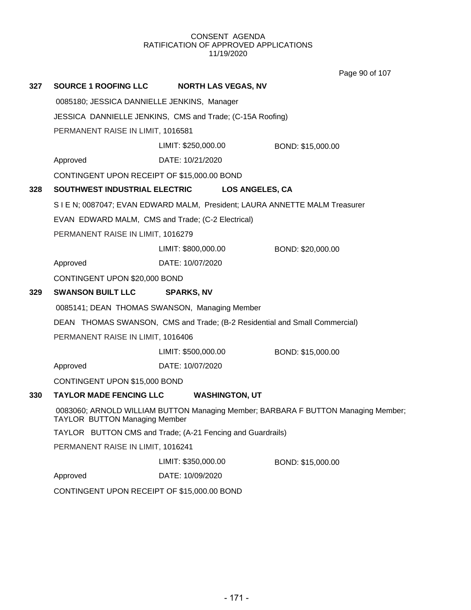Page 90 of 107

| 327 | <b>SOURCE 1 ROOFING LLC</b>                       | <b>NORTH LAS VEGAS, NV</b>                                                  |                                                                                   |
|-----|---------------------------------------------------|-----------------------------------------------------------------------------|-----------------------------------------------------------------------------------|
|     | 0085180; JESSICA DANNIELLE JENKINS, Manager       |                                                                             |                                                                                   |
|     |                                                   | JESSICA DANNIELLE JENKINS, CMS and Trade; (C-15A Roofing)                   |                                                                                   |
|     | PERMANENT RAISE IN LIMIT, 1016581                 |                                                                             |                                                                                   |
|     |                                                   | LIMIT: \$250,000.00                                                         | BOND: \$15,000.00                                                                 |
|     | Approved                                          | DATE: 10/21/2020                                                            |                                                                                   |
|     | CONTINGENT UPON RECEIPT OF \$15,000.00 BOND       |                                                                             |                                                                                   |
| 328 | SOUTHWEST INDUSTRIAL ELECTRIC                     | <b>LOS ANGELES, CA</b>                                                      |                                                                                   |
|     |                                                   | S I E N; 0087047; EVAN EDWARD MALM, President; LAURA ANNETTE MALM Treasurer |                                                                                   |
|     | EVAN EDWARD MALM, CMS and Trade; (C-2 Electrical) |                                                                             |                                                                                   |
|     | PERMANENT RAISE IN LIMIT, 1016279                 |                                                                             |                                                                                   |
|     |                                                   | LIMIT: \$800,000.00                                                         | BOND: \$20,000.00                                                                 |
|     | Approved                                          | DATE: 10/07/2020                                                            |                                                                                   |
|     | CONTINGENT UPON \$20,000 BOND                     |                                                                             |                                                                                   |
| 329 | <b>SWANSON BUILT LLC</b>                          | <b>SPARKS, NV</b>                                                           |                                                                                   |
|     |                                                   | 0085141; DEAN THOMAS SWANSON, Managing Member                               |                                                                                   |
|     |                                                   | DEAN THOMAS SWANSON, CMS and Trade; (B-2 Residential and Small Commercial)  |                                                                                   |
|     | PERMANENT RAISE IN LIMIT, 1016406                 |                                                                             |                                                                                   |
|     |                                                   | LIMIT: \$500,000.00                                                         | BOND: \$15,000.00                                                                 |
|     | Approved                                          | DATE: 10/07/2020                                                            |                                                                                   |
|     | CONTINGENT UPON \$15,000 BOND                     |                                                                             |                                                                                   |
| 330 | <b>TAYLOR MADE FENCING LLC</b>                    | <b>WASHINGTON, UT</b>                                                       |                                                                                   |
|     | <b>TAYLOR BUTTON Managing Member</b>              |                                                                             | 0083060; ARNOLD WILLIAM BUTTON Managing Member; BARBARA F BUTTON Managing Member; |
|     |                                                   | TAYLOR BUTTON CMS and Trade; (A-21 Fencing and Guardrails)                  |                                                                                   |
|     | PERMANENT RAISE IN LIMIT, 1016241                 |                                                                             |                                                                                   |
|     |                                                   | LIMIT: \$350,000.00                                                         | BOND: \$15,000.00                                                                 |
|     | Approved                                          | DATE: 10/09/2020                                                            |                                                                                   |
|     | CONTINGENT UPON RECEIPT OF \$15,000.00 BOND       |                                                                             |                                                                                   |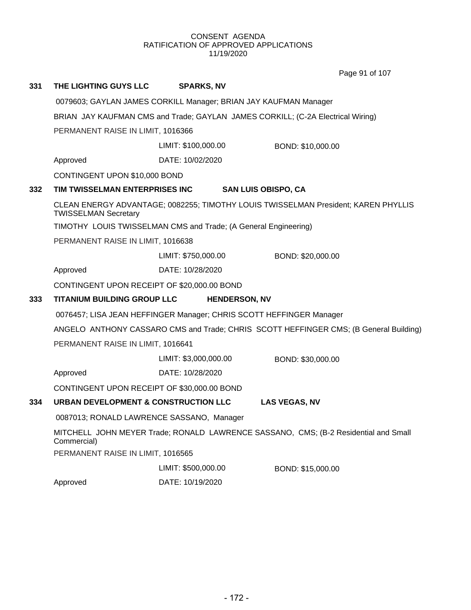Page 91 of 107

| 331 | THE LIGHTING GUYS LLC                                            | <b>SPARKS, NV</b>                                                               |                                                                                       |  |  |
|-----|------------------------------------------------------------------|---------------------------------------------------------------------------------|---------------------------------------------------------------------------------------|--|--|
|     | 0079603; GAYLAN JAMES CORKILL Manager; BRIAN JAY KAUFMAN Manager |                                                                                 |                                                                                       |  |  |
|     |                                                                  | BRIAN JAY KAUFMAN CMS and Trade; GAYLAN JAMES CORKILL; (C-2A Electrical Wiring) |                                                                                       |  |  |
|     | PERMANENT RAISE IN LIMIT, 1016366                                |                                                                                 |                                                                                       |  |  |
|     |                                                                  | LIMIT: \$100,000.00                                                             | BOND: \$10,000.00                                                                     |  |  |
|     | Approved                                                         | DATE: 10/02/2020                                                                |                                                                                       |  |  |
|     | CONTINGENT UPON \$10,000 BOND                                    |                                                                                 |                                                                                       |  |  |
| 332 | TIM TWISSELMAN ENTERPRISES INC                                   | <b>SAN LUIS OBISPO, CA</b>                                                      |                                                                                       |  |  |
|     | <b>TWISSELMAN Secretary</b>                                      |                                                                                 | CLEAN ENERGY ADVANTAGE; 0082255; TIMOTHY LOUIS TWISSELMAN President; KAREN PHYLLIS    |  |  |
|     |                                                                  | TIMOTHY LOUIS TWISSELMAN CMS and Trade; (A General Engineering)                 |                                                                                       |  |  |
|     | PERMANENT RAISE IN LIMIT, 1016638                                |                                                                                 |                                                                                       |  |  |
|     |                                                                  | LIMIT: \$750,000.00                                                             | BOND: \$20,000.00                                                                     |  |  |
|     | Approved                                                         | DATE: 10/28/2020                                                                |                                                                                       |  |  |
|     | CONTINGENT UPON RECEIPT OF \$20,000.00 BOND                      |                                                                                 |                                                                                       |  |  |
| 333 | <b>TITANIUM BUILDING GROUP LLC</b>                               | <b>HENDERSON, NV</b>                                                            |                                                                                       |  |  |
|     |                                                                  | 0076457; LISA JEAN HEFFINGER Manager; CHRIS SCOTT HEFFINGER Manager             |                                                                                       |  |  |
|     |                                                                  |                                                                                 | ANGELO ANTHONY CASSARO CMS and Trade; CHRIS SCOTT HEFFINGER CMS; (B General Building) |  |  |
|     | PERMANENT RAISE IN LIMIT, 1016641                                |                                                                                 |                                                                                       |  |  |
|     |                                                                  | LIMIT: \$3,000,000.00                                                           | BOND: \$30,000.00                                                                     |  |  |
|     | Approved                                                         | DATE: 10/28/2020                                                                |                                                                                       |  |  |
|     | CONTINGENT UPON RECEIPT OF \$30,000.00 BOND                      |                                                                                 |                                                                                       |  |  |
| 334 | URBAN DEVELOPMENT & CONSTRUCTION LLC                             |                                                                                 | <b>LAS VEGAS, NV</b>                                                                  |  |  |
|     |                                                                  | 0087013; RONALD LAWRENCE SASSANO, Manager                                       |                                                                                       |  |  |
|     | Commercial)                                                      |                                                                                 | MITCHELL JOHN MEYER Trade; RONALD LAWRENCE SASSANO, CMS; (B-2 Residential and Small   |  |  |
|     | PERMANENT RAISE IN LIMIT, 1016565                                |                                                                                 |                                                                                       |  |  |
|     |                                                                  | LIMIT: \$500,000.00                                                             | BOND: \$15,000.00                                                                     |  |  |
|     |                                                                  |                                                                                 |                                                                                       |  |  |

Approved DATE: 10/19/2020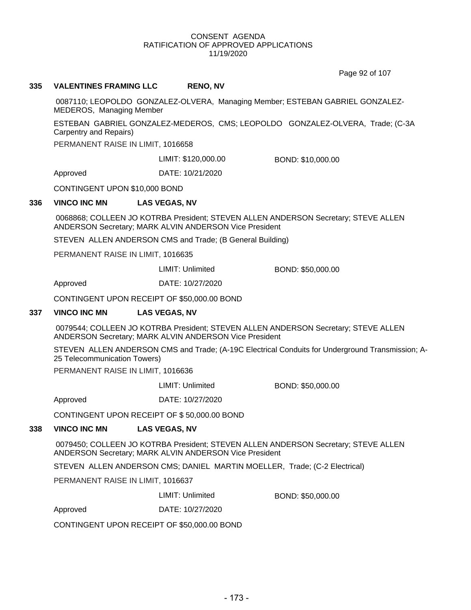Page 92 of 107

#### **335 VALENTINES FRAMING LLC RENO, NV**

 0087110; LEOPOLDO GONZALEZ-OLVERA, Managing Member; ESTEBAN GABRIEL GONZALEZ-MEDEROS, Managing Member

ESTEBAN GABRIEL GONZALEZ-MEDEROS, CMS; LEOPOLDO GONZALEZ-OLVERA, Trade; (C-3A Carpentry and Repairs)

PERMANENT RAISE IN LIMIT, 1016658

LIMIT: \$120,000.00 BOND: \$10,000.00

Approved DATE: 10/21/2020

CONTINGENT UPON \$10,000 BOND

#### **336 VINCO INC MN LAS VEGAS, NV**

 0068868; COLLEEN JO KOTRBA President; STEVEN ALLEN ANDERSON Secretary; STEVE ALLEN ANDERSON Secretary; MARK ALVIN ANDERSON Vice President

STEVEN ALLEN ANDERSON CMS and Trade; (B General Building)

PERMANENT RAISE IN LIMIT, 1016635

LIMIT: Unlimited BOND: \$50,000.00

Approved DATE: 10/27/2020

CONTINGENT UPON RECEIPT OF \$50,000.00 BOND

#### **337 VINCO INC MN LAS VEGAS, NV**

 0079544; COLLEEN JO KOTRBA President; STEVEN ALLEN ANDERSON Secretary; STEVE ALLEN ANDERSON Secretary; MARK ALVIN ANDERSON Vice President

STEVEN ALLEN ANDERSON CMS and Trade; (A-19C Electrical Conduits for Underground Transmission; A-25 Telecommunication Towers)

PERMANENT RAISE IN LIMIT, 1016636

LIMIT: Unlimited BOND: \$50,000.00

Approved DATE: 10/27/2020

CONTINGENT UPON RECEIPT OF \$ 50,000.00 BOND

#### **338 VINCO INC MN LAS VEGAS, NV**

 0079450; COLLEEN JO KOTRBA President; STEVEN ALLEN ANDERSON Secretary; STEVE ALLEN ANDERSON Secretary; MARK ALVIN ANDERSON Vice President

STEVEN ALLEN ANDERSON CMS; DANIEL MARTIN MOELLER, Trade; (C-2 Electrical)

PERMANENT RAISE IN LIMIT, 1016637

LIMIT: Unlimited BOND: \$50,000.00

Approved DATE: 10/27/2020

CONTINGENT UPON RECEIPT OF \$50,000.00 BOND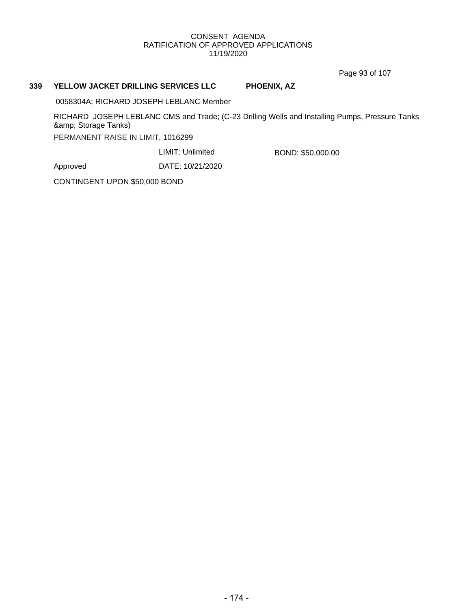Page 93 of 107

#### **339 YELLOW JACKET DRILLING SERVICES LLC PHOENIX, AZ**

0058304A; RICHARD JOSEPH LEBLANC Member

RICHARD JOSEPH LEBLANC CMS and Trade; (C-23 Drilling Wells and Installing Pumps, Pressure Tanks & amp; Storage Tanks)

PERMANENT RAISE IN LIMIT, 1016299

LIMIT: Unlimited BOND: \$50,000.00

Approved DATE: 10/21/2020

CONTINGENT UPON \$50,000 BOND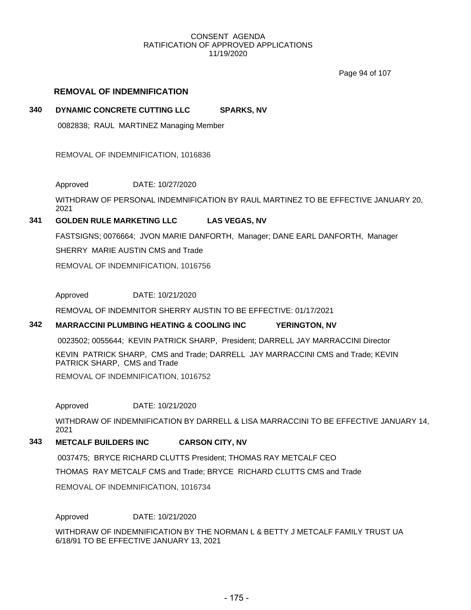Page 94 of 107

# **REMOVAL OF INDEMNIFICATION**

# **340 DYNAMIC CONCRETE CUTTING LLC SPARKS, NV**

0082838; RAUL MARTINEZ Managing Member

REMOVAL OF INDEMNIFICATION, 1016836

Approved DATE: 10/27/2020

WITHDRAW OF PERSONAL INDEMNIFICATION BY RAUL MARTINEZ TO BE EFFECTIVE JANUARY 20, 2021

# **341 GOLDEN RULE MARKETING LLC LAS VEGAS, NV**

FASTSIGNS; 0076664; JVON MARIE DANFORTH, Manager; DANE EARL DANFORTH, Manager SHERRY MARIE AUSTIN CMS and Trade

REMOVAL OF INDEMNIFICATION, 1016756

Approved DATE: 10/21/2020

REMOVAL OF INDEMNITOR SHERRY AUSTIN TO BE EFFECTIVE: 01/17/2021

# **342 MARRACCINI PLUMBING HEATING & COOLING INC YERINGTON, NV**

0023502; 0055644; KEVIN PATRICK SHARP, President; DARRELL JAY MARRACCINI Director

KEVIN PATRICK SHARP, CMS and Trade; DARRELL JAY MARRACCINI CMS and Trade; KEVIN PATRICK SHARP, CMS and Trade

REMOVAL OF INDEMNIFICATION, 1016752

Approved DATE: 10/21/2020

WITHDRAW OF INDEMNIFICATION BY DARRELL & LISA MARRACCINI TO BE EFFECTIVE JANUARY 14, 2021

# **343 METCALF BUILDERS INC CARSON CITY, NV**

0037475; BRYCE RICHARD CLUTTS President; THOMAS RAY METCALF CEO

THOMAS RAY METCALF CMS and Trade; BRYCE RICHARD CLUTTS CMS and Trade

REMOVAL OF INDEMNIFICATION, 1016734

Approved DATE: 10/21/2020

WITHDRAW OF INDEMNIFICATION BY THE NORMAN L & BETTY J METCALF FAMILY TRUST UA 6/18/91 TO BE EFFECTIVE JANUARY 13, 2021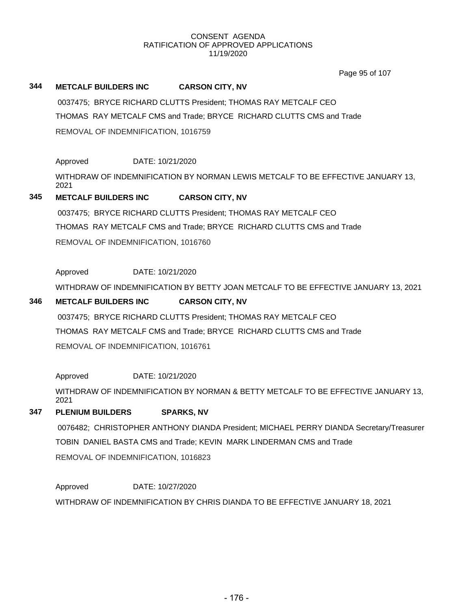Page 95 of 107

# **344 METCALF BUILDERS INC CARSON CITY, NV**

 0037475; BRYCE RICHARD CLUTTS President; THOMAS RAY METCALF CEO THOMAS RAY METCALF CMS and Trade; BRYCE RICHARD CLUTTS CMS and Trade REMOVAL OF INDEMNIFICATION, 1016759

Approved DATE: 10/21/2020

WITHDRAW OF INDEMNIFICATION BY NORMAN LEWIS METCALF TO BE EFFECTIVE JANUARY 13, 2021

# **345 METCALF BUILDERS INC CARSON CITY, NV**

 0037475; BRYCE RICHARD CLUTTS President; THOMAS RAY METCALF CEO THOMAS RAY METCALF CMS and Trade; BRYCE RICHARD CLUTTS CMS and Trade REMOVAL OF INDEMNIFICATION, 1016760

Approved DATE: 10/21/2020

WITHDRAW OF INDEMNIFICATION BY BETTY JOAN METCALF TO BE EFFECTIVE JANUARY 13, 2021

# **346 METCALF BUILDERS INC CARSON CITY, NV**

 0037475; BRYCE RICHARD CLUTTS President; THOMAS RAY METCALF CEO THOMAS RAY METCALF CMS and Trade; BRYCE RICHARD CLUTTS CMS and Trade REMOVAL OF INDEMNIFICATION, 1016761

Approved DATE: 10/21/2020

WITHDRAW OF INDEMNIFICATION BY NORMAN & BETTY METCALF TO BE EFFECTIVE JANUARY 13, 2021

# **347 PLENIUM BUILDERS SPARKS, NV**

 0076482; CHRISTOPHER ANTHONY DIANDA President; MICHAEL PERRY DIANDA Secretary/Treasurer TOBIN DANIEL BASTA CMS and Trade; KEVIN MARK LINDERMAN CMS and Trade REMOVAL OF INDEMNIFICATION, 1016823

Approved DATE: 10/27/2020 WITHDRAW OF INDEMNIFICATION BY CHRIS DIANDA TO BE EFFECTIVE JANUARY 18, 2021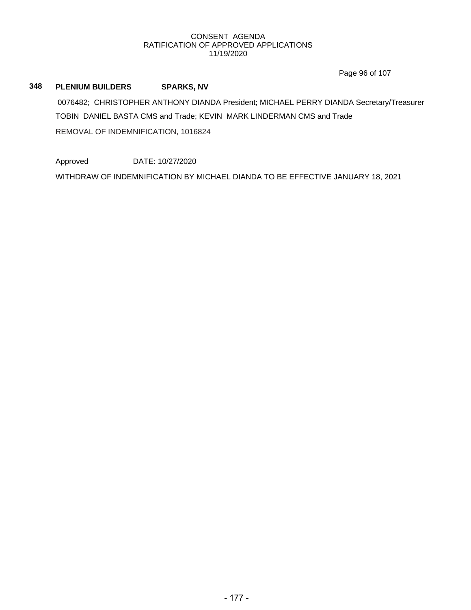Page 96 of 107

# **348 PLENIUM BUILDERS SPARKS, NV**

 0076482; CHRISTOPHER ANTHONY DIANDA President; MICHAEL PERRY DIANDA Secretary/Treasurer TOBIN DANIEL BASTA CMS and Trade; KEVIN MARK LINDERMAN CMS and Trade REMOVAL OF INDEMNIFICATION, 1016824

Approved DATE: 10/27/2020

WITHDRAW OF INDEMNIFICATION BY MICHAEL DIANDA TO BE EFFECTIVE JANUARY 18, 2021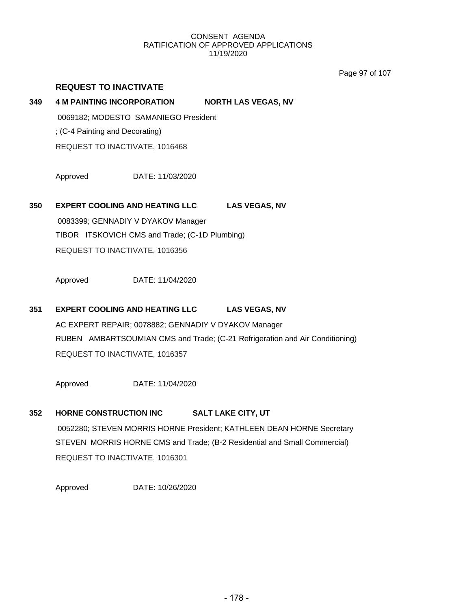Page 97 of 107

### **REQUEST TO INACTIVATE**

## **349 4 M PAINTING INCORPORATION NORTH LAS VEGAS, NV**

 0069182; MODESTO SAMANIEGO President ; (C-4 Painting and Decorating) REQUEST TO INACTIVATE, 1016468

Approved DATE: 11/03/2020

# **350 EXPERT COOLING AND HEATING LLC LAS VEGAS, NV**

 0083399; GENNADIY V DYAKOV Manager TIBOR ITSKOVICH CMS and Trade; (C-1D Plumbing) REQUEST TO INACTIVATE, 1016356

Approved DATE: 11/04/2020

# **351 EXPERT COOLING AND HEATING LLC LAS VEGAS, NV**

AC EXPERT REPAIR; 0078882; GENNADIY V DYAKOV Manager RUBEN AMBARTSOUMIAN CMS and Trade; (C-21 Refrigeration and Air Conditioning) REQUEST TO INACTIVATE, 1016357

Approved DATE: 11/04/2020

# **352 HORNE CONSTRUCTION INC SALT LAKE CITY, UT**

 0052280; STEVEN MORRIS HORNE President; KATHLEEN DEAN HORNE Secretary STEVEN MORRIS HORNE CMS and Trade; (B-2 Residential and Small Commercial) REQUEST TO INACTIVATE, 1016301

Approved DATE: 10/26/2020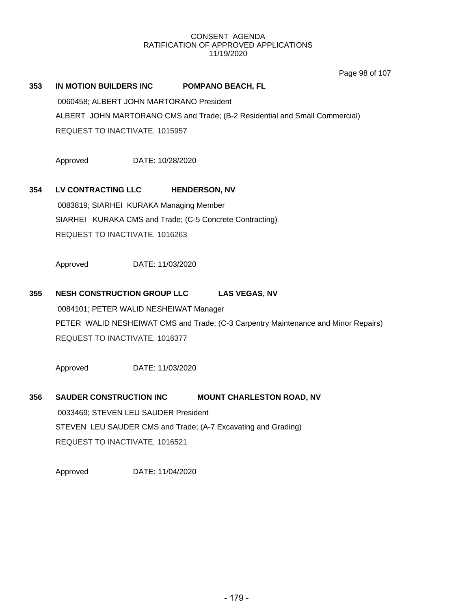Page 98 of 107

### **353 IN MOTION BUILDERS INC POMPANO BEACH, FL**

0060458; ALBERT JOHN MARTORANO President

ALBERT JOHN MARTORANO CMS and Trade; (B-2 Residential and Small Commercial)

REQUEST TO INACTIVATE, 1015957

Approved DATE: 10/28/2020

# **354 LV CONTRACTING LLC HENDERSON, NV**

 0083819; SIARHEI KURAKA Managing Member SIARHEI KURAKA CMS and Trade; (C-5 Concrete Contracting) REQUEST TO INACTIVATE, 1016263

Approved DATE: 11/03/2020

# **355 NESH CONSTRUCTION GROUP LLC LAS VEGAS, NV**

 0084101; PETER WALID NESHEIWAT Manager PETER WALID NESHEIWAT CMS and Trade; (C-3 Carpentry Maintenance and Minor Repairs) REQUEST TO INACTIVATE, 1016377

Approved DATE: 11/03/2020

**356 SAUDER CONSTRUCTION INC MOUNT CHARLESTON ROAD, NV** 0033469; STEVEN LEU SAUDER President STEVEN LEU SAUDER CMS and Trade; (A-7 Excavating and Grading) REQUEST TO INACTIVATE, 1016521

Approved DATE: 11/04/2020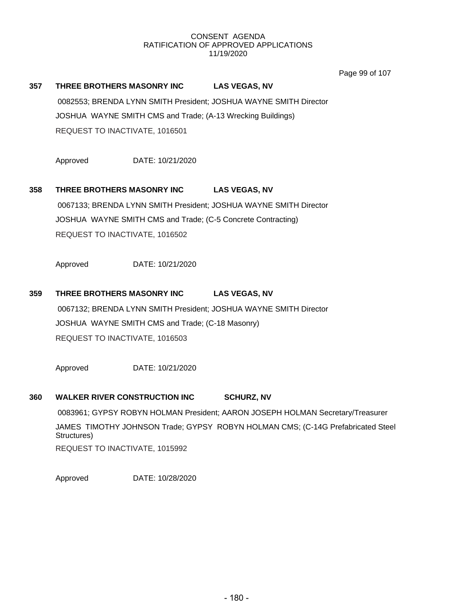Page 99 of 107

# **357 THREE BROTHERS MASONRY INC LAS VEGAS, NV** 0082553; BRENDA LYNN SMITH President; JOSHUA WAYNE SMITH Director JOSHUA WAYNE SMITH CMS and Trade; (A-13 Wrecking Buildings) REQUEST TO INACTIVATE, 1016501

Approved DATE: 10/21/2020

# **358 THREE BROTHERS MASONRY INC LAS VEGAS, NV** 0067133; BRENDA LYNN SMITH President; JOSHUA WAYNE SMITH Director

JOSHUA WAYNE SMITH CMS and Trade; (C-5 Concrete Contracting) REQUEST TO INACTIVATE, 1016502

Approved DATE: 10/21/2020

# **359 THREE BROTHERS MASONRY INC LAS VEGAS, NV**

 0067132; BRENDA LYNN SMITH President; JOSHUA WAYNE SMITH Director JOSHUA WAYNE SMITH CMS and Trade; (C-18 Masonry) REQUEST TO INACTIVATE, 1016503

Approved DATE: 10/21/2020

# **360 WALKER RIVER CONSTRUCTION INC SCHURZ, NV**

 0083961; GYPSY ROBYN HOLMAN President; AARON JOSEPH HOLMAN Secretary/Treasurer JAMES TIMOTHY JOHNSON Trade; GYPSY ROBYN HOLMAN CMS; (C-14G Prefabricated Steel Structures) REQUEST TO INACTIVATE, 1015992

Approved DATE: 10/28/2020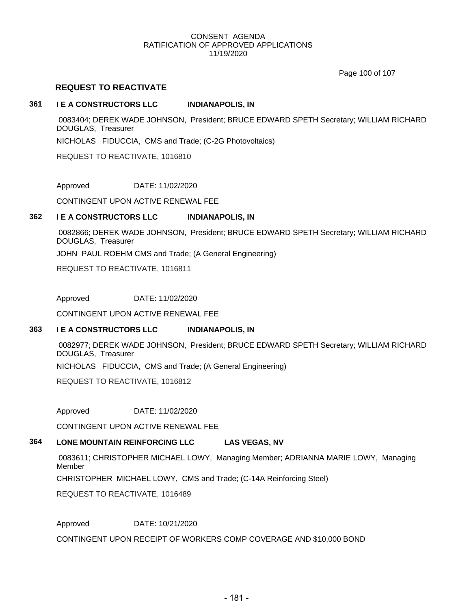Page 100 of 107

# **REQUEST TO REACTIVATE**

# **361 I E A CONSTRUCTORS LLC INDIANAPOLIS, IN**

 0083404; DEREK WADE JOHNSON, President; BRUCE EDWARD SPETH Secretary; WILLIAM RICHARD DOUGLAS, Treasurer

NICHOLAS FIDUCCIA, CMS and Trade; (C-2G Photovoltaics)

REQUEST TO REACTIVATE, 1016810

Approved DATE: 11/02/2020

CONTINGENT UPON ACTIVE RENEWAL FEE

# **362 I E A CONSTRUCTORS LLC INDIANAPOLIS, IN**

 0082866; DEREK WADE JOHNSON, President; BRUCE EDWARD SPETH Secretary; WILLIAM RICHARD DOUGLAS, Treasurer

JOHN PAUL ROEHM CMS and Trade; (A General Engineering)

REQUEST TO REACTIVATE, 1016811

Approved DATE: 11/02/2020

CONTINGENT UPON ACTIVE RENEWAL FEE

# **363 I E A CONSTRUCTORS LLC INDIANAPOLIS, IN**

 0082977; DEREK WADE JOHNSON, President; BRUCE EDWARD SPETH Secretary; WILLIAM RICHARD DOUGLAS, Treasurer

NICHOLAS FIDUCCIA, CMS and Trade; (A General Engineering)

REQUEST TO REACTIVATE, 1016812

Approved DATE: 11/02/2020

CONTINGENT UPON ACTIVE RENEWAL FEE

# **364 LONE MOUNTAIN REINFORCING LLC LAS VEGAS, NV**

 0083611; CHRISTOPHER MICHAEL LOWY, Managing Member; ADRIANNA MARIE LOWY, Managing Member

CHRISTOPHER MICHAEL LOWY, CMS and Trade; (C-14A Reinforcing Steel)

REQUEST TO REACTIVATE, 1016489

Approved DATE: 10/21/2020

CONTINGENT UPON RECEIPT OF WORKERS COMP COVERAGE AND \$10,000 BOND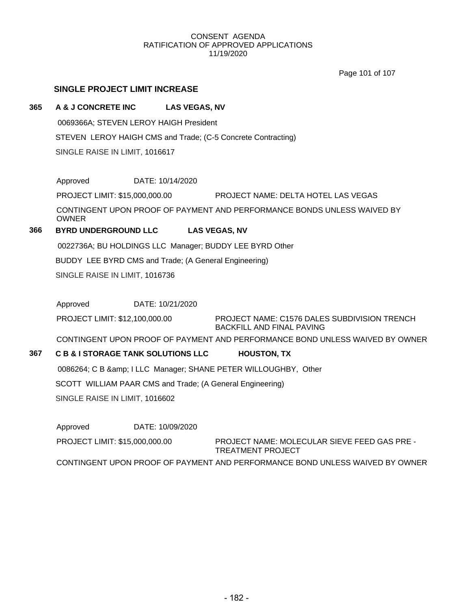Page 101 of 107

# **SINGLE PROJECT LIMIT INCREASE**

# **365 A & J CONCRETE INC LAS VEGAS, NV** 0069366A; STEVEN LEROY HAIGH President STEVEN LEROY HAIGH CMS and Trade; (C-5 Concrete Contracting) SINGLE RAISE IN LIMIT, 1016617

Approved DATE: 10/14/2020

PROJECT LIMIT: \$15,000,000.00 PROJECT NAME: DELTA HOTEL LAS VEGAS

CONTINGENT UPON PROOF OF PAYMENT AND PERFORMANCE BONDS UNLESS WAIVED BY OWNER

# **366 BYRD UNDERGROUND LLC LAS VEGAS, NV**

 0022736A; BU HOLDINGS LLC Manager; BUDDY LEE BYRD Other BUDDY LEE BYRD CMS and Trade; (A General Engineering) SINGLE RAISE IN LIMIT, 1016736

Approved DATE: 10/21/2020

PROJECT LIMIT: \$12,100,000.00

PROJECT NAME: C1576 DALES SUBDIVISION TRENCH BACKFILL AND FINAL PAVING

CONTINGENT UPON PROOF OF PAYMENT AND PERFORMANCE BOND UNLESS WAIVED BY OWNER

# **367 C B & I STORAGE TANK SOLUTIONS LLC HOUSTON, TX**

0086264; C B & amp; I LLC Manager; SHANE PETER WILLOUGHBY, Other

SCOTT WILLIAM PAAR CMS and Trade; (A General Engineering)

SINGLE RAISE IN LIMIT, 1016602

Approved DATE: 10/09/2020 PROJECT LIMIT: \$15,000,000.00

PROJECT NAME: MOLECULAR SIEVE FEED GAS PRE - TREATMENT PROJECT

CONTINGENT UPON PROOF OF PAYMENT AND PERFORMANCE BOND UNLESS WAIVED BY OWNER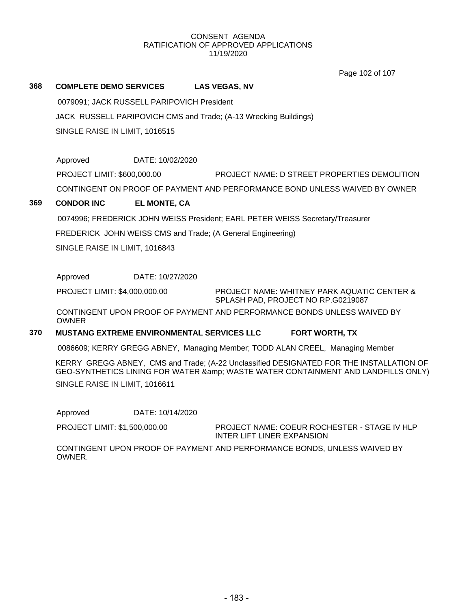Page 102 of 107

### **368 COMPLETE DEMO SERVICES LAS VEGAS, NV**

 0079091; JACK RUSSELL PARIPOVICH President JACK RUSSELL PARIPOVICH CMS and Trade; (A-13 Wrecking Buildings) SINGLE RAISE IN LIMIT, 1016515

Approved DATE: 10/02/2020 PROJECT LIMIT: \$600,000.00 PROJECT NAME: D STREET PROPERTIES DEMOLITION CONTINGENT ON PROOF OF PAYMENT AND PERFORMANCE BOND UNLESS WAIVED BY OWNER

# **369 CONDOR INC EL MONTE, CA**

0074996; FREDERICK JOHN WEISS President; EARL PETER WEISS Secretary/Treasurer

FREDERICK JOHN WEISS CMS and Trade; (A General Engineering)

SINGLE RAISE IN LIMIT, 1016843

Approved DATE: 10/27/2020

PROJECT LIMIT: \$4,000,000.00

PROJECT NAME: WHITNEY PARK AQUATIC CENTER & SPLASH PAD, PROJECT NO RP.G0219087

CONTINGENT UPON PROOF OF PAYMENT AND PERFORMANCE BONDS UNLESS WAIVED BY OWNER

# **370 MUSTANG EXTREME ENVIRONMENTAL SERVICES LLC FORT WORTH, TX**

0086609; KERRY GREGG ABNEY, Managing Member; TODD ALAN CREEL, Managing Member

KERRY GREGG ABNEY, CMS and Trade; (A-22 Unclassified DESIGNATED FOR THE INSTALLATION OF GEO-SYNTHETICS LINING FOR WATER & amp; WASTE WATER CONTAINMENT AND LANDFILLS ONLY) SINGLE RAISE IN LIMIT, 1016611

Approved DATE: 10/14/2020

PROJECT LIMIT: \$1,500,000.00

PROJECT NAME: COEUR ROCHESTER - STAGE IV HLP INTER LIFT LINER EXPANSION

CONTINGENT UPON PROOF OF PAYMENT AND PERFORMANCE BONDS, UNLESS WAIVED BY OWNER.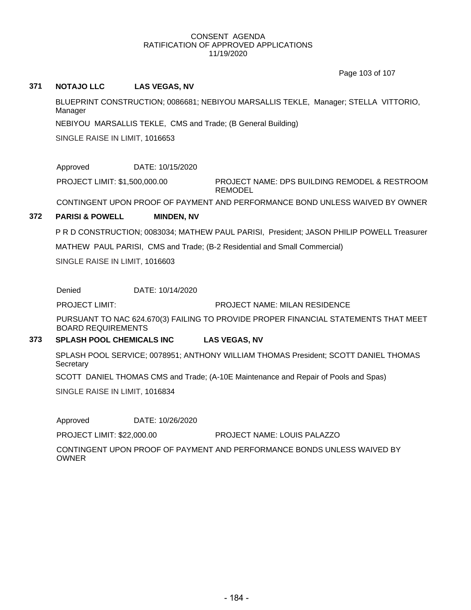Page 103 of 107

## **371 NOTAJO LLC LAS VEGAS, NV**

BLUEPRINT CONSTRUCTION; 0086681; NEBIYOU MARSALLIS TEKLE, Manager; STELLA VITTORIO, Manager

NEBIYOU MARSALLIS TEKLE, CMS and Trade; (B General Building)

SINGLE RAISE IN LIMIT, 1016653

Approved DATE: 10/15/2020

PROJECT NAME: DPS BUILDING REMODEL & RESTROOM REMODEL PROJECT LIMIT: \$1,500,000.00

CONTINGENT UPON PROOF OF PAYMENT AND PERFORMANCE BOND UNLESS WAIVED BY OWNER

# **372 PARISI & POWELL MINDEN, NV**

P R D CONSTRUCTION; 0083034; MATHEW PAUL PARISI, President; JASON PHILIP POWELL Treasurer MATHEW PAUL PARISI, CMS and Trade; (B-2 Residential and Small Commercial)

SINGLE RAISE IN LIMIT, 1016603

Denied DATE: 10/14/2020

PROJECT LIMIT: PROJECT NAME: MILAN RESIDENCE

PURSUANT TO NAC 624.670(3) FAILING TO PROVIDE PROPER FINANCIAL STATEMENTS THAT MEET BOARD REQUIREMENTS

#### **373 SPLASH POOL CHEMICALS INC LAS VEGAS, NV**

SPLASH POOL SERVICE; 0078951; ANTHONY WILLIAM THOMAS President; SCOTT DANIEL THOMAS **Secretary** 

SCOTT DANIEL THOMAS CMS and Trade; (A-10E Maintenance and Repair of Pools and Spas)

SINGLE RAISE IN LIMIT, 1016834

Approved DATE: 10/26/2020

#### PROJECT LIMIT: \$22,000.00 PROJECT NAME: LOUIS PALAZZO

CONTINGENT UPON PROOF OF PAYMENT AND PERFORMANCE BONDS UNLESS WAIVED BY OWNER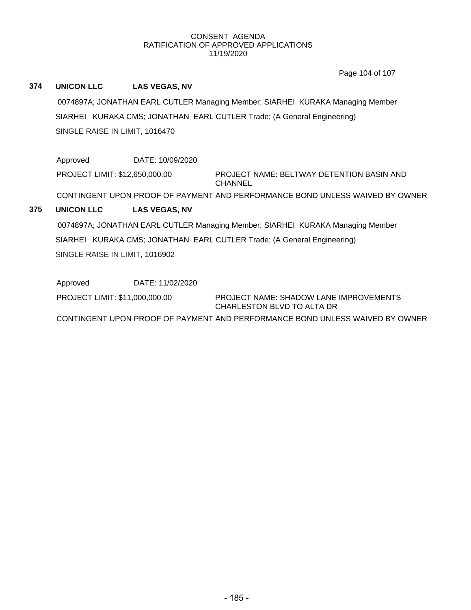Page 104 of 107

# **374 UNICON LLC LAS VEGAS, NV**

 0074897A; JONATHAN EARL CUTLER Managing Member; SIARHEI KURAKA Managing Member SIARHEI KURAKA CMS; JONATHAN EARL CUTLER Trade; (A General Engineering) SINGLE RAISE IN LIMIT, 1016470

Approved DATE: 10/09/2020 PROJECT LIMIT: \$12,650,000.00

PROJECT NAME: BELTWAY DETENTION BASIN AND **CHANNEL** 

CONTINGENT UPON PROOF OF PAYMENT AND PERFORMANCE BOND UNLESS WAIVED BY OWNER

# **375 UNICON LLC LAS VEGAS, NV**

 0074897A; JONATHAN EARL CUTLER Managing Member; SIARHEI KURAKA Managing Member SIARHEI KURAKA CMS; JONATHAN EARL CUTLER Trade; (A General Engineering) SINGLE RAISE IN LIMIT, 1016902

Approved DATE: 11/02/2020

PROJECT LIMIT: \$11,000,000.00

PROJECT NAME: SHADOW LANE IMPROVEMENTS CHARLESTON BLVD TO ALTA DR

CONTINGENT UPON PROOF OF PAYMENT AND PERFORMANCE BOND UNLESS WAIVED BY OWNER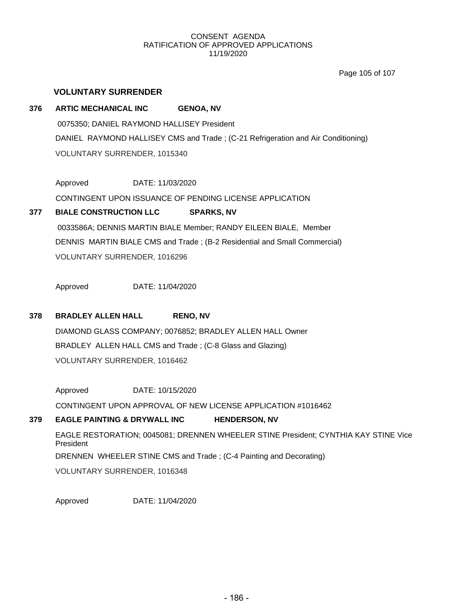#### CONSENT AGENDA RATIFICATION OF APPROVED APPLICATIONS 11/19/2020

Page 105 of 107

# **VOLUNTARY SURRENDER**

# **376 ARTIC MECHANICAL INC GENOA, NV** 0075350; DANIEL RAYMOND HALLISEY President DANIEL RAYMOND HALLISEY CMS and Trade ; (C-21 Refrigeration and Air Conditioning) VOLUNTARY SURRENDER, 1015340

Approved DATE: 11/03/2020

CONTINGENT UPON ISSUANCE OF PENDING LICENSE APPLICATION

# **377 BIALE CONSTRUCTION LLC SPARKS, NV**

 0033586A; DENNIS MARTIN BIALE Member; RANDY EILEEN BIALE, Member DENNIS MARTIN BIALE CMS and Trade ; (B-2 Residential and Small Commercial) VOLUNTARY SURRENDER, 1016296

Approved DATE: 11/04/2020

# **378 BRADLEY ALLEN HALL RENO, NV**

DIAMOND GLASS COMPANY; 0076852; BRADLEY ALLEN HALL Owner BRADLEY ALLEN HALL CMS and Trade ; (C-8 Glass and Glazing) VOLUNTARY SURRENDER, 1016462

Approved DATE: 10/15/2020

CONTINGENT UPON APPROVAL OF NEW LICENSE APPLICATION #1016462

## **379 EAGLE PAINTING & DRYWALL INC HENDERSON, NV**

EAGLE RESTORATION; 0045081; DRENNEN WHEELER STINE President; CYNTHIA KAY STINE Vice President DRENNEN WHEELER STINE CMS and Trade ; (C-4 Painting and Decorating)

VOLUNTARY SURRENDER, 1016348

Approved DATE: 11/04/2020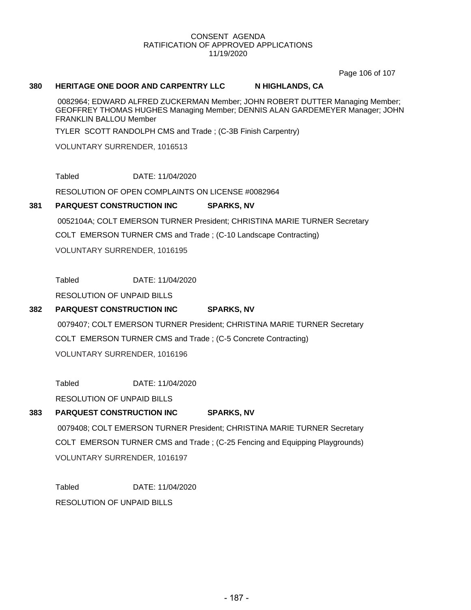#### CONSENT AGENDA RATIFICATION OF APPROVED APPLICATIONS 11/19/2020

Page 106 of 107

#### **380 HERITAGE ONE DOOR AND CARPENTRY LLC N HIGHLANDS, CA**

 0082964; EDWARD ALFRED ZUCKERMAN Member; JOHN ROBERT DUTTER Managing Member; GEOFFREY THOMAS HUGHES Managing Member; DENNIS ALAN GARDEMEYER Manager; JOHN FRANKLIN BALLOU Member

TYLER SCOTT RANDOLPH CMS and Trade ; (C-3B Finish Carpentry)

VOLUNTARY SURRENDER, 1016513

Tabled DATE: 11/04/2020

RESOLUTION OF OPEN COMPLAINTS ON LICENSE #0082964

## **381 PARQUEST CONSTRUCTION INC SPARKS, NV**

0052104A; COLT EMERSON TURNER President; CHRISTINA MARIE TURNER Secretary

COLT EMERSON TURNER CMS and Trade ; (C-10 Landscape Contracting)

VOLUNTARY SURRENDER, 1016195

Tabled DATE: 11/04/2020

RESOLUTION OF UNPAID BILLS

## **382 PARQUEST CONSTRUCTION INC SPARKS, NV**

 0079407; COLT EMERSON TURNER President; CHRISTINA MARIE TURNER Secretary COLT EMERSON TURNER CMS and Trade ; (C-5 Concrete Contracting) VOLUNTARY SURRENDER, 1016196

Tabled DATE: 11/04/2020

RESOLUTION OF UNPAID BILLS

## **383 PARQUEST CONSTRUCTION INC SPARKS, NV**

 0079408; COLT EMERSON TURNER President; CHRISTINA MARIE TURNER Secretary COLT EMERSON TURNER CMS and Trade ; (C-25 Fencing and Equipping Playgrounds) VOLUNTARY SURRENDER, 1016197

Tabled DATE: 11/04/2020 RESOLUTION OF UNPAID BILLS